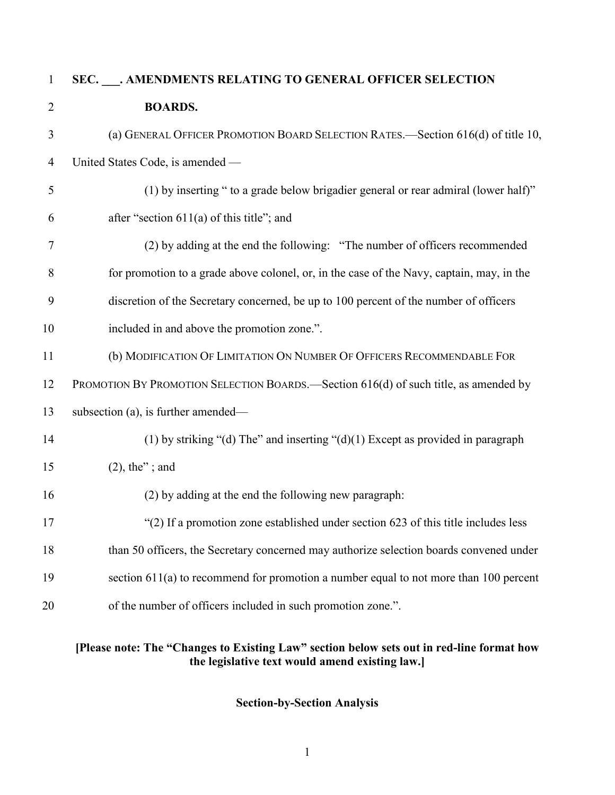| $\mathbf{1}$   | SEC. ___. AMENDMENTS RELATING TO GENERAL OFFICER SELECTION                                |
|----------------|-------------------------------------------------------------------------------------------|
| $\overline{2}$ | <b>BOARDS.</b>                                                                            |
| 3              | (a) GENERAL OFFICER PROMOTION BOARD SELECTION RATES.-Section 616(d) of title 10,          |
| $\overline{4}$ | United States Code, is amended -                                                          |
| 5              | (1) by inserting " to a grade below brigadier general or rear admiral (lower half)"       |
| 6              | after "section $611(a)$ of this title"; and                                               |
| 7              | (2) by adding at the end the following: "The number of officers recommended               |
| 8              | for promotion to a grade above colonel, or, in the case of the Navy, captain, may, in the |
| 9              | discretion of the Secretary concerned, be up to 100 percent of the number of officers     |
| 10             | included in and above the promotion zone.".                                               |
| 11             | (b) MODIFICATION OF LIMITATION ON NUMBER OF OFFICERS RECOMMENDABLE FOR                    |
| 12             | PROMOTION BY PROMOTION SELECTION BOARDS.—Section 616(d) of such title, as amended by      |
| 13             | subsection (a), is further amended—                                                       |
| 14             | (1) by striking "(d) The" and inserting " $(d)(1)$ Except as provided in paragraph        |
| 15             | $(2)$ , the"; and                                                                         |
| 16             | (2) by adding at the end the following new paragraph:                                     |
| 17             | " $(2)$ If a promotion zone established under section 623 of this title includes less     |
| 18             | than 50 officers, the Secretary concerned may authorize selection boards convened under   |
| 19             | section $611(a)$ to recommend for promotion a number equal to not more than 100 percent   |
| 20             | of the number of officers included in such promotion zone.".                              |
|                |                                                                                           |

#### **[Please note: The "Changes to Existing Law" section below sets out in red-line format how the legislative text would amend existing law.]**

**Section-by-Section Analysis**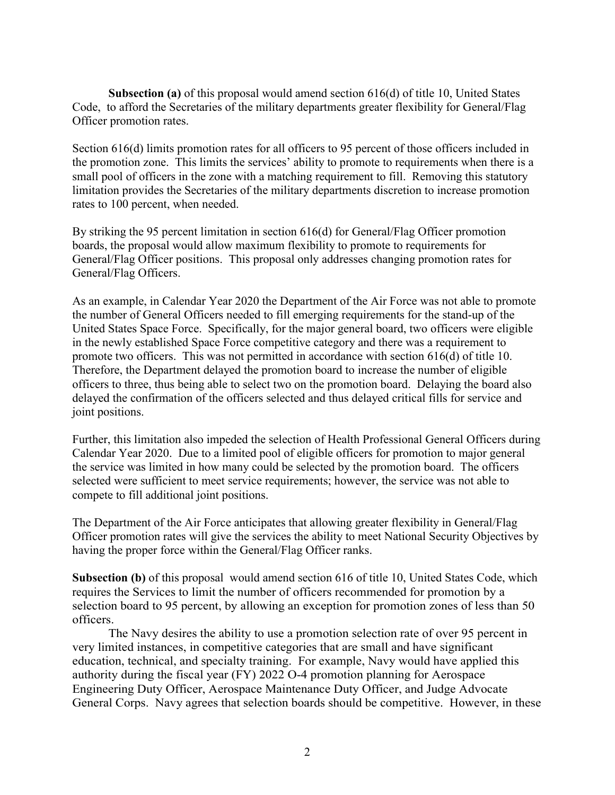**Subsection (a)** of this proposal would amend section 616(d) of title 10, United States Code, to afford the Secretaries of the military departments greater flexibility for General/Flag Officer promotion rates.

Section 616(d) limits promotion rates for all officers to 95 percent of those officers included in the promotion zone. This limits the services' ability to promote to requirements when there is a small pool of officers in the zone with a matching requirement to fill. Removing this statutory limitation provides the Secretaries of the military departments discretion to increase promotion rates to 100 percent, when needed.

By striking the 95 percent limitation in section 616(d) for General/Flag Officer promotion boards, the proposal would allow maximum flexibility to promote to requirements for General/Flag Officer positions. This proposal only addresses changing promotion rates for General/Flag Officers.

As an example, in Calendar Year 2020 the Department of the Air Force was not able to promote the number of General Officers needed to fill emerging requirements for the stand-up of the United States Space Force. Specifically, for the major general board, two officers were eligible in the newly established Space Force competitive category and there was a requirement to promote two officers. This was not permitted in accordance with section 616(d) of title 10. Therefore, the Department delayed the promotion board to increase the number of eligible officers to three, thus being able to select two on the promotion board. Delaying the board also delayed the confirmation of the officers selected and thus delayed critical fills for service and joint positions.

Further, this limitation also impeded the selection of Health Professional General Officers during Calendar Year 2020. Due to a limited pool of eligible officers for promotion to major general the service was limited in how many could be selected by the promotion board. The officers selected were sufficient to meet service requirements; however, the service was not able to compete to fill additional joint positions.

The Department of the Air Force anticipates that allowing greater flexibility in General/Flag Officer promotion rates will give the services the ability to meet National Security Objectives by having the proper force within the General/Flag Officer ranks.

**Subsection (b)** of this proposal would amend section 616 of title 10, United States Code, which requires the Services to limit the number of officers recommended for promotion by a selection board to 95 percent, by allowing an exception for promotion zones of less than 50 officers.

The Navy desires the ability to use a promotion selection rate of over 95 percent in very limited instances, in competitive categories that are small and have significant education, technical, and specialty training. For example, Navy would have applied this authority during the fiscal year (FY) 2022 O-4 promotion planning for Aerospace Engineering Duty Officer, Aerospace Maintenance Duty Officer, and Judge Advocate General Corps. Navy agrees that selection boards should be competitive. However, in these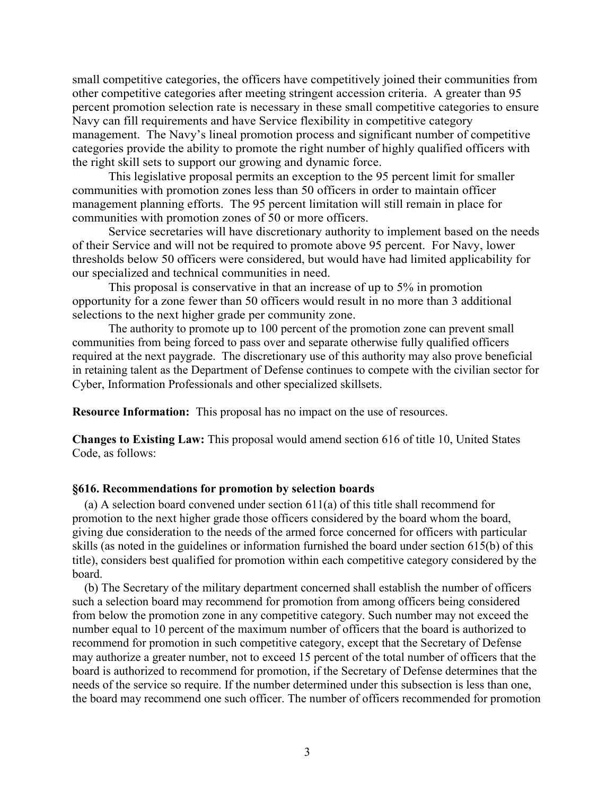small competitive categories, the officers have competitively joined their communities from other competitive categories after meeting stringent accession criteria. A greater than 95 percent promotion selection rate is necessary in these small competitive categories to ensure Navy can fill requirements and have Service flexibility in competitive category management. The Navy's lineal promotion process and significant number of competitive categories provide the ability to promote the right number of highly qualified officers with the right skill sets to support our growing and dynamic force.

This legislative proposal permits an exception to the 95 percent limit for smaller communities with promotion zones less than 50 officers in order to maintain officer management planning efforts. The 95 percent limitation will still remain in place for communities with promotion zones of 50 or more officers.

Service secretaries will have discretionary authority to implement based on the needs of their Service and will not be required to promote above 95 percent. For Navy, lower thresholds below 50 officers were considered, but would have had limited applicability for our specialized and technical communities in need.

This proposal is conservative in that an increase of up to 5% in promotion opportunity for a zone fewer than 50 officers would result in no more than 3 additional selections to the next higher grade per community zone.

The authority to promote up to 100 percent of the promotion zone can prevent small communities from being forced to pass over and separate otherwise fully qualified officers required at the next paygrade. The discretionary use of this authority may also prove beneficial in retaining talent as the Department of Defense continues to compete with the civilian sector for Cyber, Information Professionals and other specialized skillsets.

**Resource Information:** This proposal has no impact on the use of resources.

**Changes to Existing Law:** This proposal would amend section 616 of title 10, United States Code, as follows:

#### **§616. Recommendations for promotion by selection boards**

(a) A selection board convened under section  $611(a)$  of this title shall recommend for promotion to the next higher grade those officers considered by the board whom the board, giving due consideration to the needs of the armed force concerned for officers with particular skills (as noted in the guidelines or information furnished the board under section 615(b) of this title), considers best qualified for promotion within each competitive category considered by the board.

(b) The Secretary of the military department concerned shall establish the number of officers such a selection board may recommend for promotion from among officers being considered from below the promotion zone in any competitive category. Such number may not exceed the number equal to 10 percent of the maximum number of officers that the board is authorized to recommend for promotion in such competitive category, except that the Secretary of Defense may authorize a greater number, not to exceed 15 percent of the total number of officers that the board is authorized to recommend for promotion, if the Secretary of Defense determines that the needs of the service so require. If the number determined under this subsection is less than one, the board may recommend one such officer. The number of officers recommended for promotion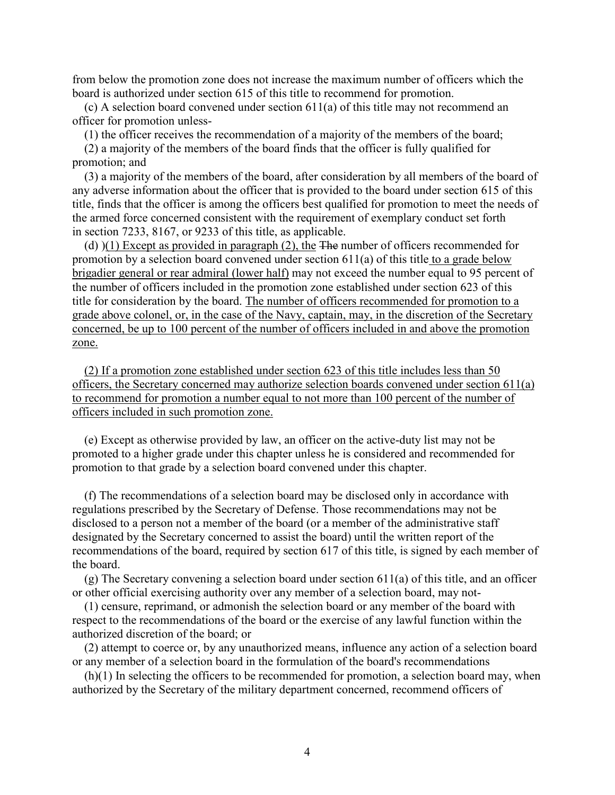from below the promotion zone does not increase the maximum number of officers which the board is authorized under section 615 of this title to recommend for promotion.

(c) A selection board convened under section 611(a) of this title may not recommend an officer for promotion unless-

(1) the officer receives the recommendation of a majority of the members of the board;

(2) a majority of the members of the board finds that the officer is fully qualified for promotion; and

(3) a majority of the members of the board, after consideration by all members of the board of any adverse information about the officer that is provided to the board under section 615 of this title, finds that the officer is among the officers best qualified for promotion to meet the needs of the armed force concerned consistent with the requirement of exemplary conduct set forth in section 7233, 8167, or 9233 of this title, as applicable.

(d) )(1) Except as provided in paragraph (2), the The number of officers recommended for promotion by a selection board convened under section 611(a) of this title to a grade below brigadier general or rear admiral (lower half) may not exceed the number equal to 95 percent of the number of officers included in the promotion zone established under section 623 of this title for consideration by the board. The number of officers recommended for promotion to a grade above colonel, or, in the case of the Navy, captain, may, in the discretion of the Secretary concerned, be up to 100 percent of the number of officers included in and above the promotion zone.

(2) If a promotion zone established under section 623 of this title includes less than 50 officers, the Secretary concerned may authorize selection boards convened under section 611(a) to recommend for promotion a number equal to not more than 100 percent of the number of officers included in such promotion zone.

(e) Except as otherwise provided by law, an officer on the active-duty list may not be promoted to a higher grade under this chapter unless he is considered and recommended for promotion to that grade by a selection board convened under this chapter.

(f) The recommendations of a selection board may be disclosed only in accordance with regulations prescribed by the Secretary of Defense. Those recommendations may not be disclosed to a person not a member of the board (or a member of the administrative staff designated by the Secretary concerned to assist the board) until the written report of the recommendations of the board, required by section 617 of this title, is signed by each member of the board.

(g) The Secretary convening a selection board under section 611(a) of this title, and an officer or other official exercising authority over any member of a selection board, may not-

(1) censure, reprimand, or admonish the selection board or any member of the board with respect to the recommendations of the board or the exercise of any lawful function within the authorized discretion of the board; or

(2) attempt to coerce or, by any unauthorized means, influence any action of a selection board or any member of a selection board in the formulation of the board's recommendations

(h)(1) In selecting the officers to be recommended for promotion, a selection board may, when authorized by the Secretary of the military department concerned, recommend officers of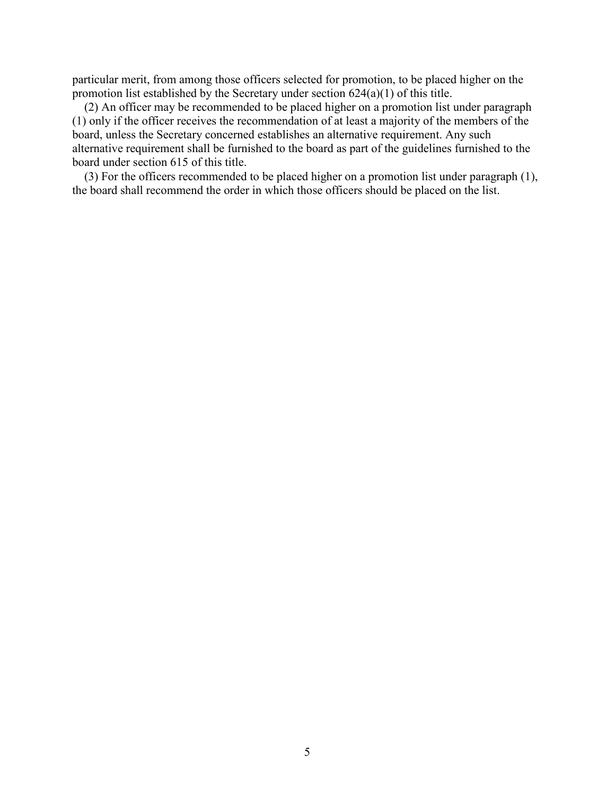particular merit, from among those officers selected for promotion, to be placed higher on the promotion list established by the Secretary under section 624(a)(1) of this title.

(2) An officer may be recommended to be placed higher on a promotion list under paragraph (1) only if the officer receives the recommendation of at least a majority of the members of the board, unless the Secretary concerned establishes an alternative requirement. Any such alternative requirement shall be furnished to the board as part of the guidelines furnished to the board under section 615 of this title.

(3) For the officers recommended to be placed higher on a promotion list under paragraph (1), the board shall recommend the order in which those officers should be placed on the list.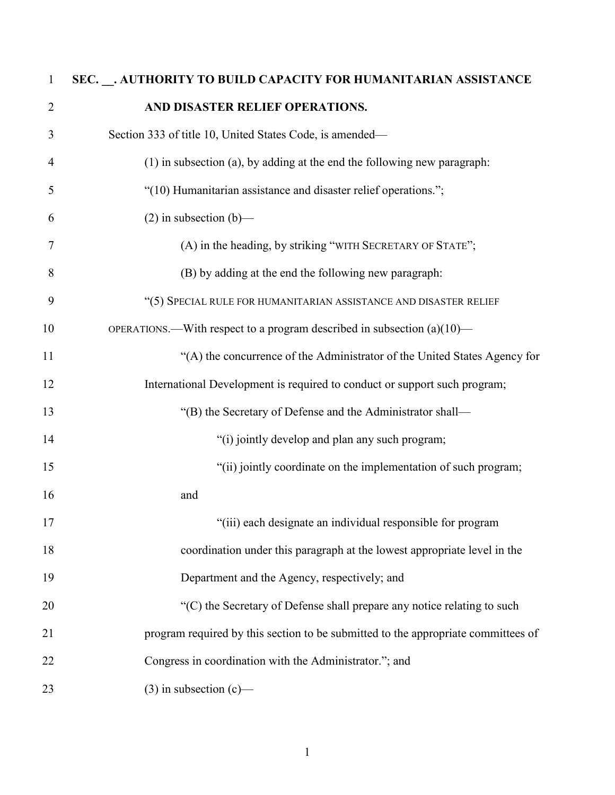# **SEC. \_\_. AUTHORITY TO BUILD CAPACITY FOR HUMANITARIAN ASSISTANCE AND DISASTER RELIEF OPERATIONS.** Section 333 of title 10, United States Code, is amended— (1) in subsection (a), by adding at the end the following new paragraph: "(10) Humanitarian assistance and disaster relief operations."; 6 (2) in subsection  $(b)$ — (A) in the heading, by striking "WITH SECRETARY OF STATE"; (B) by adding at the end the following new paragraph: "(5) SPECIAL RULE FOR HUMANITARIAN ASSISTANCE AND DISASTER RELIEF OPERATIONS.—With respect to a program described in subsection (a)(10)— "(A) the concurrence of the Administrator of the United States Agency for 12 International Development is required to conduct or support such program; 13 "(B) the Secretary of Defense and the Administrator shall— 14 "(i) jointly develop and plan any such program; "(ii) jointly coordinate on the implementation of such program; and 17 "(iii) each designate an individual responsible for program coordination under this paragraph at the lowest appropriate level in the Department and the Agency, respectively; and 20 "(C) the Secretary of Defense shall prepare any notice relating to such program required by this section to be submitted to the appropriate committees of Congress in coordination with the Administrator."; and 23 (3) in subsection  $(c)$ —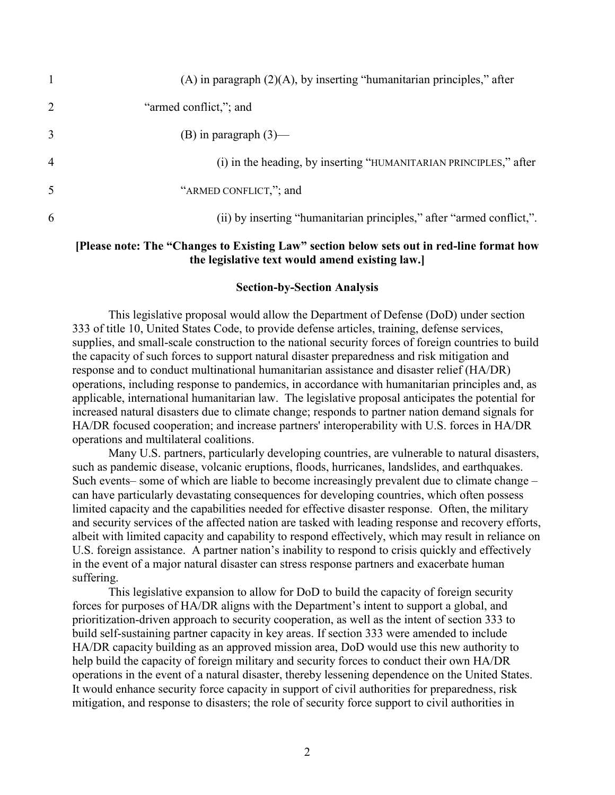|   | (A) in paragraph $(2)(A)$ , by inserting "humanitarian principles," after |
|---|---------------------------------------------------------------------------|
| 2 | "armed conflict,"; and                                                    |
| 3 | (B) in paragraph $(3)$ —                                                  |
| 4 | (i) in the heading, by inserting "HUMANITARIAN PRINCIPLES," after         |
| 5 | "ARMED CONFLICT,"; and                                                    |
| 6 | (ii) by inserting "humanitarian principles," after "armed conflict,".     |
|   |                                                                           |

#### **[Please note: The "Changes to Existing Law" section below sets out in red-line format how the legislative text would amend existing law.]**

#### **Section-by-Section Analysis**

This legislative proposal would allow the Department of Defense (DoD) under section 333 of title 10, United States Code, to provide defense articles, training, defense services, supplies, and small-scale construction to the national security forces of foreign countries to build the capacity of such forces to support natural disaster preparedness and risk mitigation and response and to conduct multinational humanitarian assistance and disaster relief (HA/DR) operations, including response to pandemics, in accordance with humanitarian principles and, as applicable, international humanitarian law. The legislative proposal anticipates the potential for increased natural disasters due to climate change; responds to partner nation demand signals for HA/DR focused cooperation; and increase partners' interoperability with U.S. forces in HA/DR operations and multilateral coalitions.

Many U.S. partners, particularly developing countries, are vulnerable to natural disasters, such as pandemic disease, volcanic eruptions, floods, hurricanes, landslides, and earthquakes. Such events– some of which are liable to become increasingly prevalent due to climate change – can have particularly devastating consequences for developing countries, which often possess limited capacity and the capabilities needed for effective disaster response. Often, the military and security services of the affected nation are tasked with leading response and recovery efforts, albeit with limited capacity and capability to respond effectively, which may result in reliance on U.S. foreign assistance. A partner nation's inability to respond to crisis quickly and effectively in the event of a major natural disaster can stress response partners and exacerbate human suffering.

This legislative expansion to allow for DoD to build the capacity of foreign security forces for purposes of HA/DR aligns with the Department's intent to support a global, and prioritization-driven approach to security cooperation, as well as the intent of section 333 to build self-sustaining partner capacity in key areas. If section 333 were amended to include HA/DR capacity building as an approved mission area, DoD would use this new authority to help build the capacity of foreign military and security forces to conduct their own HA/DR operations in the event of a natural disaster, thereby lessening dependence on the United States. It would enhance security force capacity in support of civil authorities for preparedness, risk mitigation, and response to disasters; the role of security force support to civil authorities in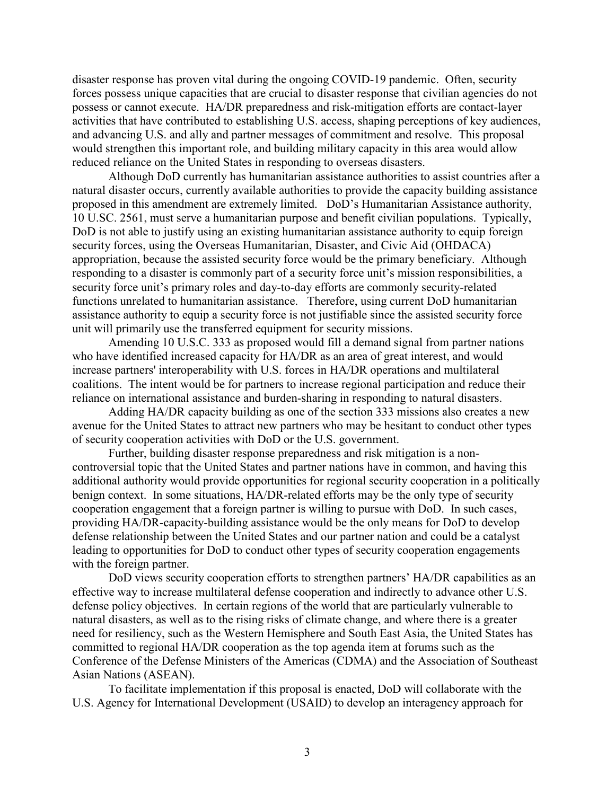disaster response has proven vital during the ongoing COVID-19 pandemic. Often, security forces possess unique capacities that are crucial to disaster response that civilian agencies do not possess or cannot execute. HA/DR preparedness and risk-mitigation efforts are contact-layer activities that have contributed to establishing U.S. access, shaping perceptions of key audiences, and advancing U.S. and ally and partner messages of commitment and resolve. This proposal would strengthen this important role, and building military capacity in this area would allow reduced reliance on the United States in responding to overseas disasters.

Although DoD currently has humanitarian assistance authorities to assist countries after a natural disaster occurs, currently available authorities to provide the capacity building assistance proposed in this amendment are extremely limited. DoD's Humanitarian Assistance authority, 10 U.SC. 2561, must serve a humanitarian purpose and benefit civilian populations. Typically, DoD is not able to justify using an existing humanitarian assistance authority to equip foreign security forces, using the Overseas Humanitarian, Disaster, and Civic Aid (OHDACA) appropriation, because the assisted security force would be the primary beneficiary. Although responding to a disaster is commonly part of a security force unit's mission responsibilities, a security force unit's primary roles and day-to-day efforts are commonly security-related functions unrelated to humanitarian assistance. Therefore, using current DoD humanitarian assistance authority to equip a security force is not justifiable since the assisted security force unit will primarily use the transferred equipment for security missions.

Amending 10 U.S.C. 333 as proposed would fill a demand signal from partner nations who have identified increased capacity for HA/DR as an area of great interest, and would increase partners' interoperability with U.S. forces in HA/DR operations and multilateral coalitions. The intent would be for partners to increase regional participation and reduce their reliance on international assistance and burden-sharing in responding to natural disasters.

Adding HA/DR capacity building as one of the section 333 missions also creates a new avenue for the United States to attract new partners who may be hesitant to conduct other types of security cooperation activities with DoD or the U.S. government.

Further, building disaster response preparedness and risk mitigation is a noncontroversial topic that the United States and partner nations have in common, and having this additional authority would provide opportunities for regional security cooperation in a politically benign context. In some situations, HA/DR-related efforts may be the only type of security cooperation engagement that a foreign partner is willing to pursue with DoD. In such cases, providing HA/DR-capacity-building assistance would be the only means for DoD to develop defense relationship between the United States and our partner nation and could be a catalyst leading to opportunities for DoD to conduct other types of security cooperation engagements with the foreign partner.

DoD views security cooperation efforts to strengthen partners' HA/DR capabilities as an effective way to increase multilateral defense cooperation and indirectly to advance other U.S. defense policy objectives. In certain regions of the world that are particularly vulnerable to natural disasters, as well as to the rising risks of climate change, and where there is a greater need for resiliency, such as the Western Hemisphere and South East Asia, the United States has committed to regional HA/DR cooperation as the top agenda item at forums such as the Conference of the Defense Ministers of the Americas (CDMA) and the Association of Southeast Asian Nations (ASEAN).

To facilitate implementation if this proposal is enacted, DoD will collaborate with the U.S. Agency for International Development (USAID) to develop an interagency approach for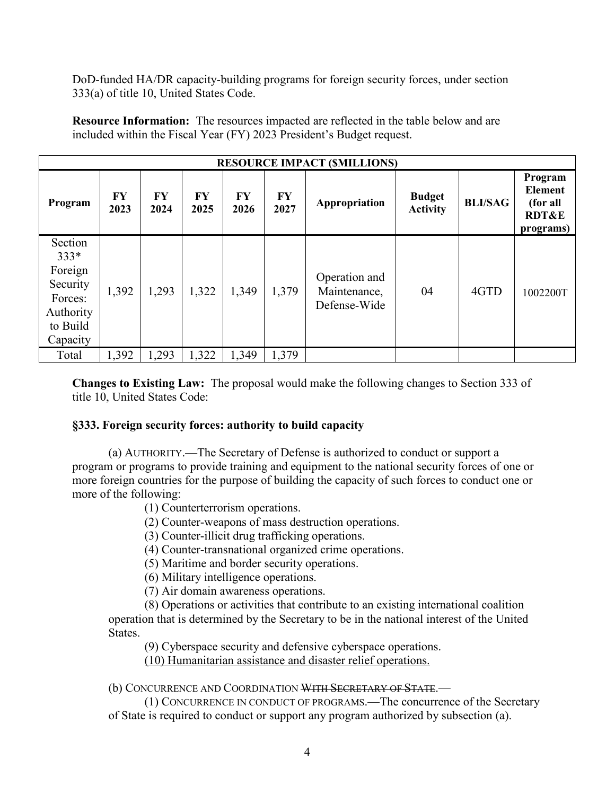DoD-funded HA/DR capacity-building programs for foreign security forces, under section 333(a) of title 10, United States Code.

**Resource Information:** The resources impacted are reflected in the table below and are included within the Fiscal Year (FY) 2023 President's Budget request.

|                                                                                          |                   |            |            |            |                   | <b>RESOURCE IMPACT (SMILLIONS)</b>            |                                  |                |                                                                        |
|------------------------------------------------------------------------------------------|-------------------|------------|------------|------------|-------------------|-----------------------------------------------|----------------------------------|----------------|------------------------------------------------------------------------|
| Program                                                                                  | <b>FY</b><br>2023 | FY<br>2024 | FY<br>2025 | FY<br>2026 | <b>FY</b><br>2027 | Appropriation                                 | <b>Budget</b><br><b>Activity</b> | <b>BLI/SAG</b> | Program<br><b>Element</b><br>(for all<br><b>RDT&amp;E</b><br>programs) |
| Section<br>$333*$<br>Foreign<br>Security<br>Forces:<br>Authority<br>to Build<br>Capacity | 1,392             | 1,293      | 1,322      | 1,349      | 1,379             | Operation and<br>Maintenance,<br>Defense-Wide | 04                               | 4GTD           | 1002200T                                                               |
| Total                                                                                    | 1,392             | 1,293      | 1,322      | 1,349      | 1,379             |                                               |                                  |                |                                                                        |

**Changes to Existing Law:** The proposal would make the following changes to Section 333 of title 10, United States Code:

#### **§333. Foreign security forces: authority to build capacity**

(a) AUTHORITY.—The Secretary of Defense is authorized to conduct or support a program or programs to provide training and equipment to the national security forces of one or more foreign countries for the purpose of building the capacity of such forces to conduct one or more of the following:

(1) Counterterrorism operations.

(2) Counter-weapons of mass destruction operations.

(3) Counter-illicit drug trafficking operations.

(4) Counter-transnational organized crime operations.

(5) Maritime and border security operations.

(6) Military intelligence operations.

(7) Air domain awareness operations.

(8) Operations or activities that contribute to an existing international coalition operation that is determined by the Secretary to be in the national interest of the United States.

(9) Cyberspace security and defensive cyberspace operations.

(10) Humanitarian assistance and disaster relief operations.

(b) CONCURRENCE AND COORDINATION WITH SECRETARY OF STATE.—

(1) CONCURRENCE IN CONDUCT OF PROGRAMS.—The concurrence of the Secretary of State is required to conduct or support any program authorized by subsection (a).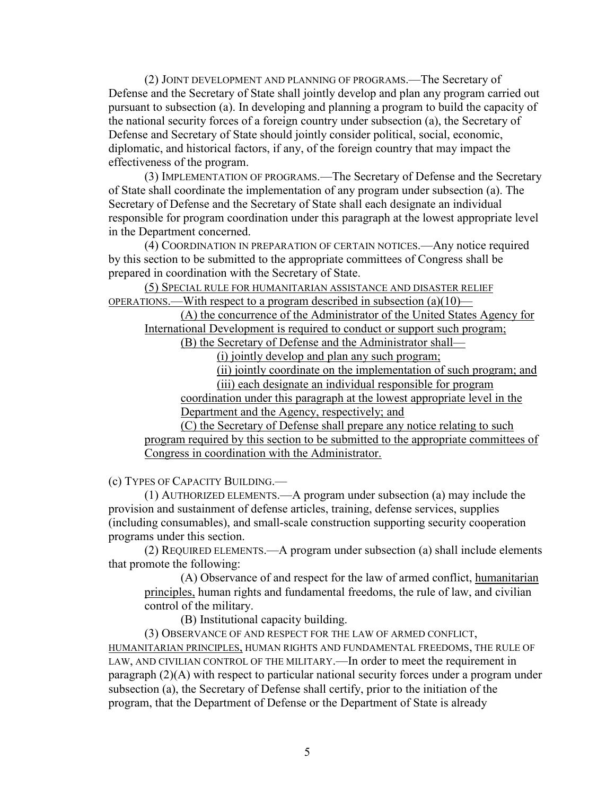(2) JOINT DEVELOPMENT AND PLANNING OF PROGRAMS.—The Secretary of Defense and the Secretary of State shall jointly develop and plan any program carried out pursuant to subsection (a). In developing and planning a program to build the capacity of the national security forces of a foreign country under subsection (a), the Secretary of Defense and Secretary of State should jointly consider political, social, economic, diplomatic, and historical factors, if any, of the foreign country that may impact the effectiveness of the program.

(3) IMPLEMENTATION OF PROGRAMS.—The Secretary of Defense and the Secretary of State shall coordinate the implementation of any program under subsection (a). The Secretary of Defense and the Secretary of State shall each designate an individual responsible for program coordination under this paragraph at the lowest appropriate level in the Department concerned.

(4) COORDINATION IN PREPARATION OF CERTAIN NOTICES.—Any notice required by this section to be submitted to the appropriate committees of Congress shall be prepared in coordination with the Secretary of State.

(5) SPECIAL RULE FOR HUMANITARIAN ASSISTANCE AND DISASTER RELIEF OPERATIONS.—With respect to a program described in subsection (a)(10)—

(A) the concurrence of the Administrator of the United States Agency for International Development is required to conduct or support such program;

(B) the Secretary of Defense and the Administrator shall—

(i) jointly develop and plan any such program;

(ii) jointly coordinate on the implementation of such program; and

(iii) each designate an individual responsible for program

coordination under this paragraph at the lowest appropriate level in the Department and the Agency, respectively; and

(C) the Secretary of Defense shall prepare any notice relating to such program required by this section to be submitted to the appropriate committees of Congress in coordination with the Administrator.

(c) TYPES OF CAPACITY BUILDING.—

(1) AUTHORIZED ELEMENTS.—A program under subsection (a) may include the provision and sustainment of defense articles, training, defense services, supplies (including consumables), and small-scale construction supporting security cooperation programs under this section.

(2) REQUIRED ELEMENTS.—A program under subsection (a) shall include elements that promote the following:

(A) Observance of and respect for the law of armed conflict, humanitarian principles, human rights and fundamental freedoms, the rule of law, and civilian control of the military.

(B) Institutional capacity building.

(3) OBSERVANCE OF AND RESPECT FOR THE LAW OF ARMED CONFLICT, HUMANITARIAN PRINCIPLES, HUMAN RIGHTS AND FUNDAMENTAL FREEDOMS, THE RULE OF LAW, AND CIVILIAN CONTROL OF THE MILITARY.—In order to meet the requirement in paragraph (2)(A) with respect to particular national security forces under a program under subsection (a), the Secretary of Defense shall certify, prior to the initiation of the program, that the Department of Defense or the Department of State is already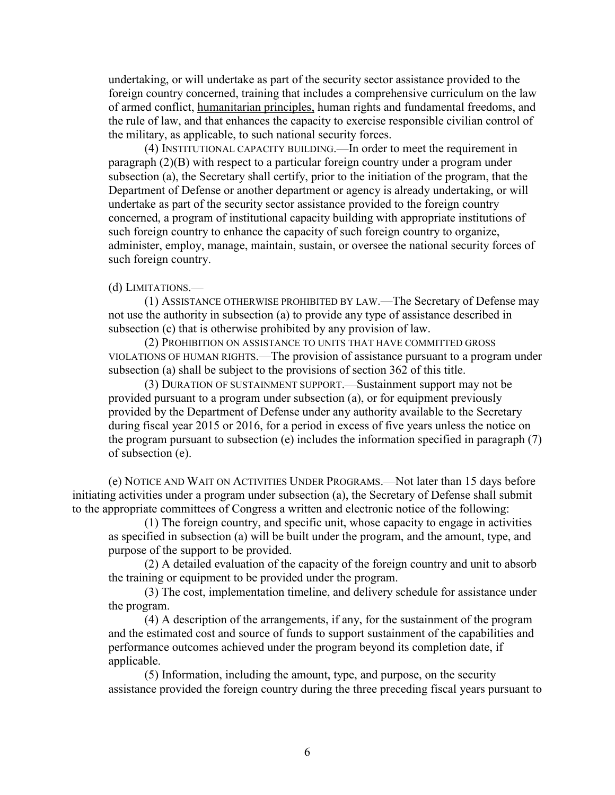undertaking, or will undertake as part of the security sector assistance provided to the foreign country concerned, training that includes a comprehensive curriculum on the law of armed conflict, humanitarian principles, human rights and fundamental freedoms, and the rule of law, and that enhances the capacity to exercise responsible civilian control of the military, as applicable, to such national security forces.

(4) INSTITUTIONAL CAPACITY BUILDING.—In order to meet the requirement in paragraph (2)(B) with respect to a particular foreign country under a program under subsection (a), the Secretary shall certify, prior to the initiation of the program, that the Department of Defense or another department or agency is already undertaking, or will undertake as part of the security sector assistance provided to the foreign country concerned, a program of institutional capacity building with appropriate institutions of such foreign country to enhance the capacity of such foreign country to organize, administer, employ, manage, maintain, sustain, or oversee the national security forces of such foreign country.

#### (d) LIMITATIONS.—

(1) ASSISTANCE OTHERWISE PROHIBITED BY LAW.—The Secretary of Defense may not use the authority in subsection (a) to provide any type of assistance described in subsection (c) that is otherwise prohibited by any provision of law.

(2) PROHIBITION ON ASSISTANCE TO UNITS THAT HAVE COMMITTED GROSS VIOLATIONS OF HUMAN RIGHTS.—The provision of assistance pursuant to a program under subsection (a) shall be subject to the provisions of section 362 of this title.

(3) DURATION OF SUSTAINMENT SUPPORT.—Sustainment support may not be provided pursuant to a program under subsection (a), or for equipment previously provided by the Department of Defense under any authority available to the Secretary during fiscal year 2015 or 2016, for a period in excess of five years unless the notice on the program pursuant to subsection (e) includes the information specified in paragraph (7) of subsection (e).

(e) NOTICE AND WAIT ON ACTIVITIES UNDER PROGRAMS.—Not later than 15 days before initiating activities under a program under subsection (a), the Secretary of Defense shall submit to the appropriate committees of Congress a written and electronic notice of the following:

(1) The foreign country, and specific unit, whose capacity to engage in activities as specified in subsection (a) will be built under the program, and the amount, type, and purpose of the support to be provided.

(2) A detailed evaluation of the capacity of the foreign country and unit to absorb the training or equipment to be provided under the program.

(3) The cost, implementation timeline, and delivery schedule for assistance under the program.

(4) A description of the arrangements, if any, for the sustainment of the program and the estimated cost and source of funds to support sustainment of the capabilities and performance outcomes achieved under the program beyond its completion date, if applicable.

(5) Information, including the amount, type, and purpose, on the security assistance provided the foreign country during the three preceding fiscal years pursuant to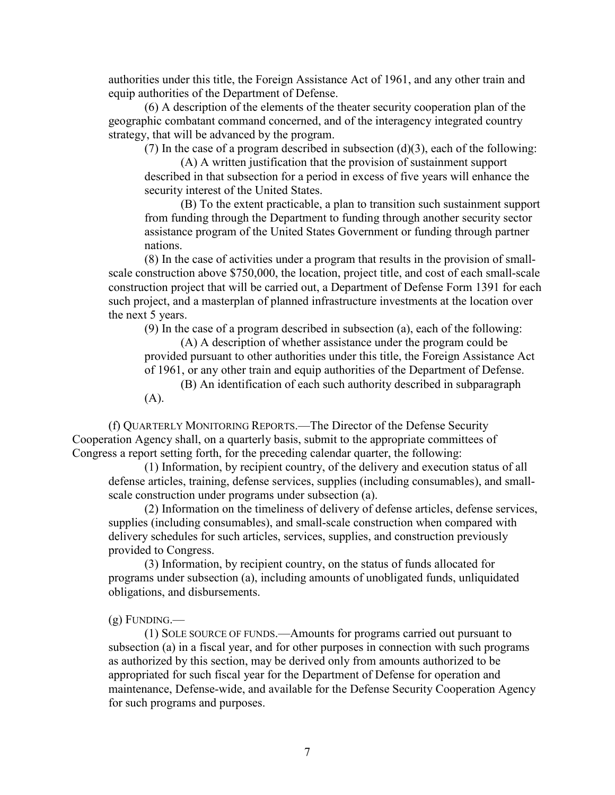authorities under this title, the Foreign Assistance Act of 1961, and any other train and equip authorities of the Department of Defense.

(6) A description of the elements of the theater security cooperation plan of the geographic combatant command concerned, and of the interagency integrated country strategy, that will be advanced by the program.

(7) In the case of a program described in subsection  $(d)(3)$ , each of the following:

(A) A written justification that the provision of sustainment support described in that subsection for a period in excess of five years will enhance the security interest of the United States.

(B) To the extent practicable, a plan to transition such sustainment support from funding through the Department to funding through another security sector assistance program of the United States Government or funding through partner nations.

(8) In the case of activities under a program that results in the provision of smallscale construction above \$750,000, the location, project title, and cost of each small-scale construction project that will be carried out, a Department of Defense Form 1391 for each such project, and a masterplan of planned infrastructure investments at the location over the next 5 years.

(9) In the case of a program described in subsection (a), each of the following:

(A) A description of whether assistance under the program could be

provided pursuant to other authorities under this title, the Foreign Assistance Act of 1961, or any other train and equip authorities of the Department of Defense.

(B) An identification of each such authority described in subparagraph (A).

(f) QUARTERLY MONITORING REPORTS.—The Director of the Defense Security Cooperation Agency shall, on a quarterly basis, submit to the appropriate committees of Congress a report setting forth, for the preceding calendar quarter, the following:

(1) Information, by recipient country, of the delivery and execution status of all defense articles, training, defense services, supplies (including consumables), and smallscale construction under programs under subsection (a).

(2) Information on the timeliness of delivery of defense articles, defense services, supplies (including consumables), and small-scale construction when compared with delivery schedules for such articles, services, supplies, and construction previously provided to Congress.

(3) Information, by recipient country, on the status of funds allocated for programs under subsection (a), including amounts of unobligated funds, unliquidated obligations, and disbursements.

 $(g)$  FUNDING.—

(1) SOLE SOURCE OF FUNDS.—Amounts for programs carried out pursuant to subsection (a) in a fiscal year, and for other purposes in connection with such programs as authorized by this section, may be derived only from amounts authorized to be appropriated for such fiscal year for the Department of Defense for operation and maintenance, Defense-wide, and available for the Defense Security Cooperation Agency for such programs and purposes.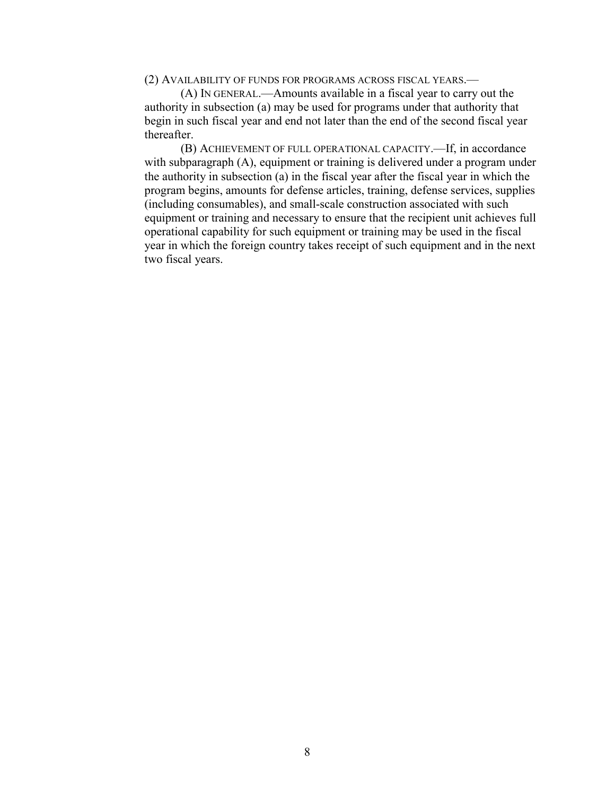(2) AVAILABILITY OF FUNDS FOR PROGRAMS ACROSS FISCAL YEARS.—

(A) IN GENERAL.—Amounts available in a fiscal year to carry out the authority in subsection (a) may be used for programs under that authority that begin in such fiscal year and end not later than the end of the second fiscal year thereafter.

(B) ACHIEVEMENT OF FULL OPERATIONAL CAPACITY.—If, in accordance with subparagraph (A), equipment or training is delivered under a program under the authority in subsection (a) in the fiscal year after the fiscal year in which the program begins, amounts for defense articles, training, defense services, supplies (including consumables), and small-scale construction associated with such equipment or training and necessary to ensure that the recipient unit achieves full operational capability for such equipment or training may be used in the fiscal year in which the foreign country takes receipt of such equipment and in the next two fiscal years.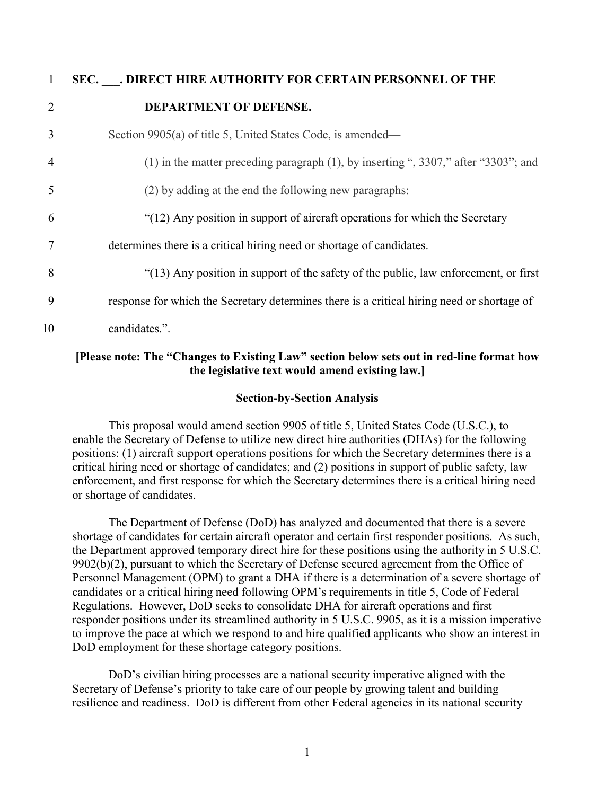|                | SEC. . DIRECT HIRE AUTHORITY FOR CERTAIN PERSONNEL OF THE                                  |
|----------------|--------------------------------------------------------------------------------------------|
| $\overline{2}$ | DEPARTMENT OF DEFENSE.                                                                     |
| 3              | Section 9905(a) of title 5, United States Code, is amended—                                |
| $\overline{4}$ | $(1)$ in the matter preceding paragraph $(1)$ , by inserting ", 3307," after "3303"; and   |
| 5              | (2) by adding at the end the following new paragraphs:                                     |
| 6              | "(12) Any position in support of aircraft operations for which the Secretary               |
| 7              | determines there is a critical hiring need or shortage of candidates.                      |
| 8              | "(13) Any position in support of the safety of the public, law enforcement, or first       |
| 9              | response for which the Secretary determines there is a critical hiring need or shortage of |
| 10             | candidates.".                                                                              |

#### **[Please note: The "Changes to Existing Law" section below sets out in red-line format how the legislative text would amend existing law.]**

#### **Section-by-Section Analysis**

This proposal would amend section 9905 of title 5, United States Code (U.S.C.), to enable the Secretary of Defense to utilize new direct hire authorities (DHAs) for the following positions: (1) aircraft support operations positions for which the Secretary determines there is a critical hiring need or shortage of candidates; and (2) positions in support of public safety, law enforcement, and first response for which the Secretary determines there is a critical hiring need or shortage of candidates.

The Department of Defense (DoD) has analyzed and documented that there is a severe shortage of candidates for certain aircraft operator and certain first responder positions. As such, the Department approved temporary direct hire for these positions using the authority in 5 U.S.C. 9902(b)(2), pursuant to which the Secretary of Defense secured agreement from the Office of Personnel Management (OPM) to grant a DHA if there is a determination of a severe shortage of candidates or a critical hiring need following OPM's requirements in title 5, Code of Federal Regulations. However, DoD seeks to consolidate DHA for aircraft operations and first responder positions under its streamlined authority in 5 U.S.C. 9905, as it is a mission imperative to improve the pace at which we respond to and hire qualified applicants who show an interest in DoD employment for these shortage category positions.

DoD's civilian hiring processes are a national security imperative aligned with the Secretary of Defense's priority to take care of our people by growing talent and building resilience and readiness. DoD is different from other Federal agencies in its national security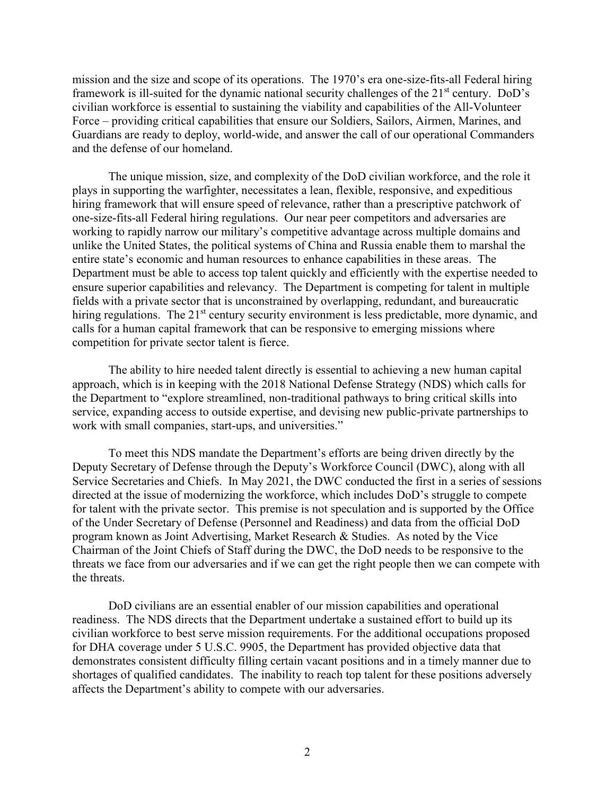mission and the size and scope of its operations. The 1970's era one-size-fits-all Federal hiring framework is ill-suited for the dynamic national security challenges of the 21<sup>st</sup> century. DoD's civilian workforce is essential to sustaining the viability and capabilities of the All-Volunteer Force – providing critical capabilities that ensure our Soldiers, Sailors, Airmen, Marines, and Guardians are ready to deploy, world-wide, and answer the call of our operational Commanders and the defense of our homeland.

The unique mission, size, and complexity of the DoD civilian workforce, and the role it plays in supporting the warfighter, necessitates a lean, flexible, responsive, and expeditious hiring framework that will ensure speed of relevance, rather than a prescriptive patchwork of one-size-fits-all Federal hiring regulations. Our near peer competitors and adversaries are working to rapidly narrow our military's competitive advantage across multiple domains and unlike the United States, the political systems of China and Russia enable them to marshal the entire state's economic and human resources to enhance capabilities in these areas. The Department must be able to access top talent quickly and efficiently with the expertise needed to ensure superior capabilities and relevancy. The Department is competing for talent in multiple fields with a private sector that is unconstrained by overlapping, redundant, and bureaucratic hiring regulations. The 21<sup>st</sup> century security environment is less predictable, more dynamic, and calls for a human capital framework that can be responsive to emerging missions where competition for private sector talent is fierce.

The ability to hire needed talent directly is essential to achieving a new human capital approach, which is in keeping with the 2018 National Defense Strategy (NDS) which calls for the Department to "explore streamlined, non-traditional pathways to bring critical skills into service, expanding access to outside expertise, and devising new public-private partnerships to work with small companies, start-ups, and universities."

To meet this NDS mandate the Department's efforts are being driven directly by the Deputy Secretary of Defense through the Deputy's Workforce Council (DWC), along with all Service Secretaries and Chiefs. In May 2021, the DWC conducted the first in a series of sessions directed at the issue of modernizing the workforce, which includes DoD's struggle to compete for talent with the private sector. This premise is not speculation and is supported by the Office of the Under Secretary of Defense (Personnel and Readiness) and data from the official DoD program known as Joint Advertising, Market Research & Studies. As noted by the Vice Chairman of the Joint Chiefs of Staff during the DWC, the DoD needs to be responsive to the threats we face from our adversaries and if we can get the right people then we can compete with the threats.

DoD civilians are an essential enabler of our mission capabilities and operational readiness. The NDS directs that the Department undertake a sustained effort to build up its civilian workforce to best serve mission requirements. For the additional occupations proposed for DHA coverage under 5 U.S.C. 9905, the Department has provided objective data that demonstrates consistent difficulty filling certain vacant positions and in a timely manner due to shortages of qualified candidates. The inability to reach top talent for these positions adversely affects the Department's ability to compete with our adversaries.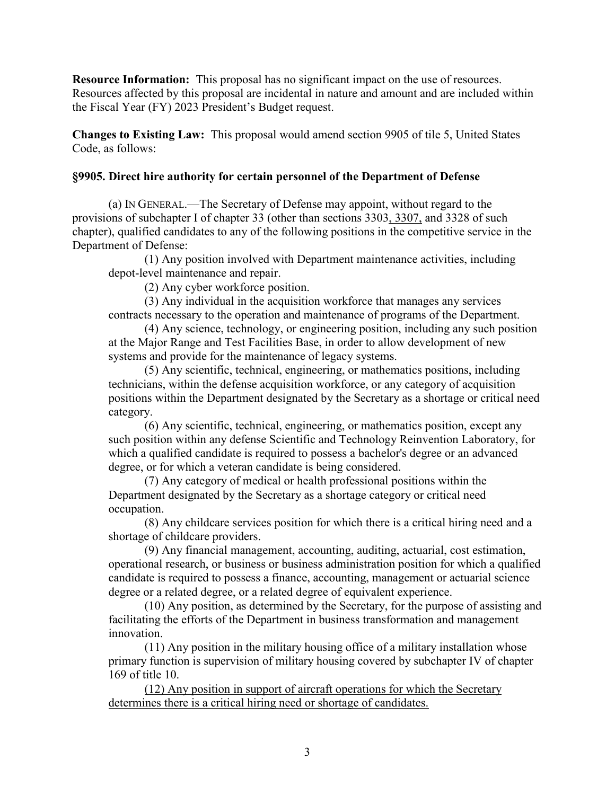**Resource Information:** This proposal has no significant impact on the use of resources. Resources affected by this proposal are incidental in nature and amount and are included within the Fiscal Year (FY) 2023 President's Budget request.

**Changes to Existing Law:** This proposal would amend section 9905 of tile 5, United States Code, as follows:

#### **§9905. Direct hire authority for certain personnel of the Department of Defense**

(a) IN GENERAL.—The Secretary of Defense may appoint, without regard to the provisions of subchapter I of chapter 33 (other than sections 3303, 3307, and 3328 of such chapter), qualified candidates to any of the following positions in the competitive service in the Department of Defense:

(1) Any position involved with Department maintenance activities, including depot-level maintenance and repair.

(2) Any cyber workforce position.

(3) Any individual in the acquisition workforce that manages any services contracts necessary to the operation and maintenance of programs of the Department.

(4) Any science, technology, or engineering position, including any such position at the Major Range and Test Facilities Base, in order to allow development of new systems and provide for the maintenance of legacy systems.

(5) Any scientific, technical, engineering, or mathematics positions, including technicians, within the defense acquisition workforce, or any category of acquisition positions within the Department designated by the Secretary as a shortage or critical need category.

(6) Any scientific, technical, engineering, or mathematics position, except any such position within any defense Scientific and Technology Reinvention Laboratory, for which a qualified candidate is required to possess a bachelor's degree or an advanced degree, or for which a veteran candidate is being considered.

(7) Any category of medical or health professional positions within the Department designated by the Secretary as a shortage category or critical need occupation.

(8) Any childcare services position for which there is a critical hiring need and a shortage of childcare providers.

(9) Any financial management, accounting, auditing, actuarial, cost estimation, operational research, or business or business administration position for which a qualified candidate is required to possess a finance, accounting, management or actuarial science degree or a related degree, or a related degree of equivalent experience.

(10) Any position, as determined by the Secretary, for the purpose of assisting and facilitating the efforts of the Department in business transformation and management innovation.

(11) Any position in the military housing office of a military installation whose primary function is supervision of military housing covered by subchapter IV of chapter 169 of title 10.

(12) Any position in support of aircraft operations for which the Secretary determines there is a critical hiring need or shortage of candidates.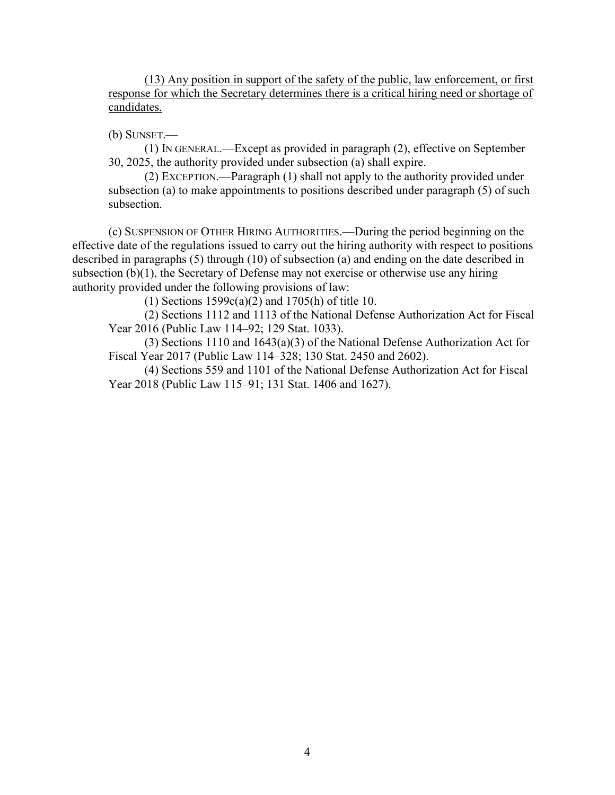(13) Any position in support of the safety of the public, law enforcement, or first response for which the Secretary determines there is a critical hiring need or shortage of candidates.

(b) SUNSET.—

(1) IN GENERAL.—Except as provided in paragraph (2), effective on September 30, 2025, the authority provided under subsection (a) shall expire.

(2) EXCEPTION.—Paragraph (1) shall not apply to the authority provided under subsection (a) to make appointments to positions described under paragraph (5) of such subsection.

(c) SUSPENSION OF OTHER HIRING AUTHORITIES.—During the period beginning on the effective date of the regulations issued to carry out the hiring authority with respect to positions described in paragraphs (5) through (10) of subsection (a) and ending on the date described in subsection (b)(1), the Secretary of Defense may not exercise or otherwise use any hiring authority provided under the following provisions of law:

(1) Sections 1599c(a)(2) and 1705(h) of title 10.

(2) Sections 1112 and 1113 of the National Defense Authorization Act for Fiscal Year 2016 (Public Law 114–92; 129 Stat. 1033).

(3) Sections 1110 and 1643(a)(3) of the National Defense Authorization Act for Fiscal Year 2017 (Public Law 114–328; 130 Stat. 2450 and 2602).

(4) Sections 559 and 1101 of the National Defense Authorization Act for Fiscal Year 2018 (Public Law 115–91; 131 Stat. 1406 and 1627).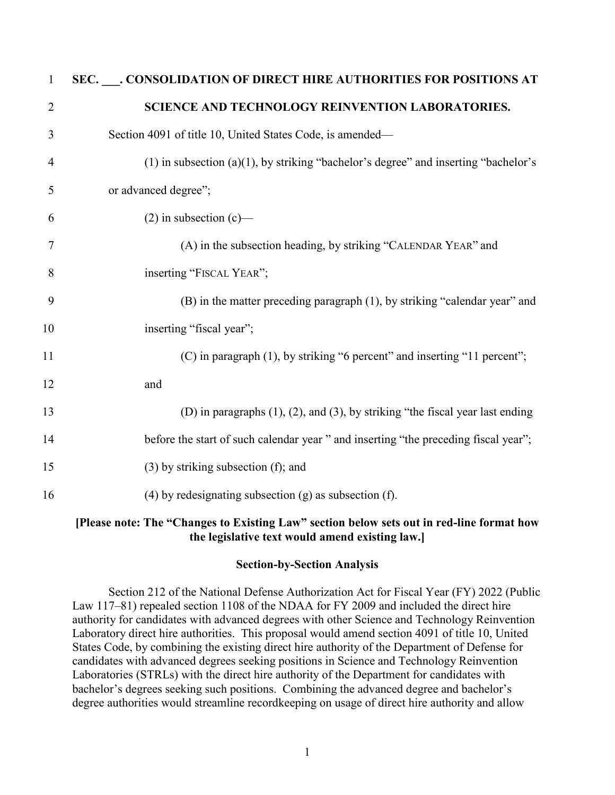| $\mathbf{1}$   | SEC. ___. CONSOLIDATION OF DIRECT HIRE AUTHORITIES FOR POSITIONS AT                    |
|----------------|----------------------------------------------------------------------------------------|
| $\overline{2}$ | SCIENCE AND TECHNOLOGY REINVENTION LABORATORIES.                                       |
| 3              | Section 4091 of title 10, United States Code, is amended-                              |
| $\overline{4}$ | (1) in subsection (a)(1), by striking "bachelor's degree" and inserting "bachelor's    |
| 5              | or advanced degree";                                                                   |
| 6              | $(2)$ in subsection $(c)$ —                                                            |
| 7              | (A) in the subsection heading, by striking "CALENDAR YEAR" and                         |
| 8              | inserting "FISCAL YEAR";                                                               |
| 9              | (B) in the matter preceding paragraph (1), by striking "calendar year" and             |
| 10             | inserting "fiscal year";                                                               |
| 11             | (C) in paragraph (1), by striking "6 percent" and inserting "11 percent";              |
| 12             | and                                                                                    |
| 13             | (D) in paragraphs $(1)$ , $(2)$ , and $(3)$ , by striking "the fiscal year last ending |
| 14             | before the start of such calendar year " and inserting "the preceding fiscal year";    |
| 15             | $(3)$ by striking subsection $(f)$ ; and                                               |
| 16             | (4) by redesignating subsection $(g)$ as subsection $(f)$ .                            |
|                |                                                                                        |

#### **[Please note: The "Changes to Existing Law" section below sets out in red-line format how the legislative text would amend existing law.]**

#### **Section-by-Section Analysis**

Section 212 of the National Defense Authorization Act for Fiscal Year (FY) 2022 (Public Law 117–81) repealed section 1108 of the NDAA for FY 2009 and included the direct hire authority for candidates with advanced degrees with other Science and Technology Reinvention Laboratory direct hire authorities. This proposal would amend section 4091 of title 10, United States Code, by combining the existing direct hire authority of the Department of Defense for candidates with advanced degrees seeking positions in Science and Technology Reinvention Laboratories (STRLs) with the direct hire authority of the Department for candidates with bachelor's degrees seeking such positions. Combining the advanced degree and bachelor's degree authorities would streamline recordkeeping on usage of direct hire authority and allow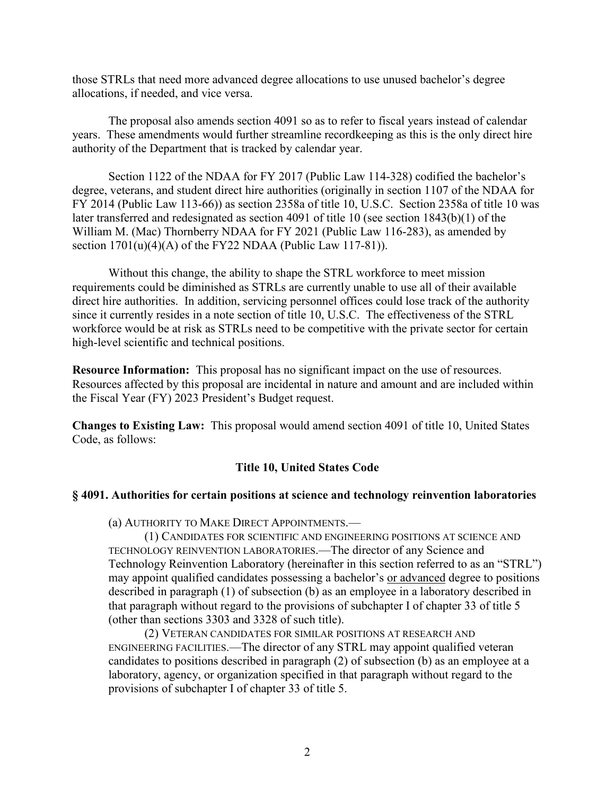those STRLs that need more advanced degree allocations to use unused bachelor's degree allocations, if needed, and vice versa.

The proposal also amends section 4091 so as to refer to fiscal years instead of calendar years. These amendments would further streamline recordkeeping as this is the only direct hire authority of the Department that is tracked by calendar year.

Section 1122 of the NDAA for FY 2017 (Public Law 114-328) codified the bachelor's degree, veterans, and student direct hire authorities (originally in section 1107 of the NDAA for FY 2014 (Public Law 113-66)) as section 2358a of title 10, U.S.C. Section 2358a of title 10 was later transferred and redesignated as section 4091 of title 10 (see section 1843(b)(1) of the William M. (Mac) Thornberry NDAA for FY 2021 (Public Law 116-283), as amended by section  $1701(u)(4)(A)$  of the FY22 NDAA (Public Law 117-81)).

Without this change, the ability to shape the STRL workforce to meet mission requirements could be diminished as STRLs are currently unable to use all of their available direct hire authorities. In addition, servicing personnel offices could lose track of the authority since it currently resides in a note section of title 10, U.S.C. The effectiveness of the STRL workforce would be at risk as STRLs need to be competitive with the private sector for certain high-level scientific and technical positions.

**Resource Information:** This proposal has no significant impact on the use of resources. Resources affected by this proposal are incidental in nature and amount and are included within the Fiscal Year (FY) 2023 President's Budget request.

**Changes to Existing Law:** This proposal would amend section 4091 of title 10, United States Code, as follows:

#### **Title 10, United States Code**

#### **§ 4091. Authorities for certain positions at science and technology reinvention laboratories**

(a) AUTHORITY TO MAKE DIRECT APPOINTMENTS.—

(1) CANDIDATES FOR SCIENTIFIC AND ENGINEERING POSITIONS AT SCIENCE AND TECHNOLOGY REINVENTION LABORATORIES.—The director of any Science and Technology Reinvention Laboratory (hereinafter in this section referred to as an "STRL") may appoint qualified candidates possessing a bachelor's or advanced degree to positions described in paragraph (1) of subsection (b) as an employee in a laboratory described in that paragraph without regard to the provisions of subchapter I of chapter 33 of title 5 (other than sections 3303 and 3328 of such title).

(2) VETERAN CANDIDATES FOR SIMILAR POSITIONS AT RESEARCH AND ENGINEERING FACILITIES.—The director of any STRL may appoint qualified veteran candidates to positions described in paragraph (2) of subsection (b) as an employee at a laboratory, agency, or organization specified in that paragraph without regard to the provisions of subchapter I of chapter 33 of title 5.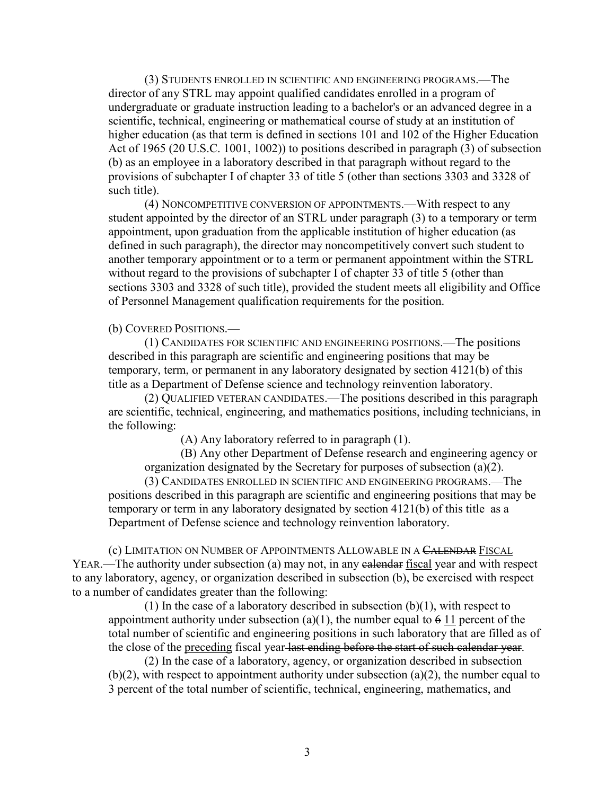(3) STUDENTS ENROLLED IN SCIENTIFIC AND ENGINEERING PROGRAMS.—The director of any STRL may appoint qualified candidates enrolled in a program of undergraduate or graduate instruction leading to a bachelor's or an advanced degree in a scientific, technical, engineering or mathematical course of study at an institution of higher education (as that term is defined in sections 101 and 102 of the Higher Education Act of 1965 (20 U.S.C. 1001, 1002)) to positions described in paragraph (3) of subsection (b) as an employee in a laboratory described in that paragraph without regard to the provisions of subchapter I of chapter 33 of title 5 (other than sections 3303 and 3328 of such title).

(4) NONCOMPETITIVE CONVERSION OF APPOINTMENTS.—With respect to any student appointed by the director of an STRL under paragraph (3) to a temporary or term appointment, upon graduation from the applicable institution of higher education (as defined in such paragraph), the director may noncompetitively convert such student to another temporary appointment or to a term or permanent appointment within the STRL without regard to the provisions of subchapter I of chapter 33 of title 5 (other than sections 3303 and 3328 of such title), provided the student meets all eligibility and Office of Personnel Management qualification requirements for the position.

#### (b) COVERED POSITIONS.—

(1) CANDIDATES FOR SCIENTIFIC AND ENGINEERING POSITIONS.—The positions described in this paragraph are scientific and engineering positions that may be temporary, term, or permanent in any laboratory designated by section 4121(b) of this title as a Department of Defense science and technology reinvention laboratory.

(2) QUALIFIED VETERAN CANDIDATES.—The positions described in this paragraph are scientific, technical, engineering, and mathematics positions, including technicians, in the following:

(A) Any laboratory referred to in paragraph (1).

(B) Any other Department of Defense research and engineering agency or organization designated by the Secretary for purposes of subsection (a)(2).

(3) CANDIDATES ENROLLED IN SCIENTIFIC AND ENGINEERING PROGRAMS.—The positions described in this paragraph are scientific and engineering positions that may be temporary or term in any laboratory designated by section 4121(b) of this title as a Department of Defense science and technology reinvention laboratory.

(c) LIMITATION ON NUMBER OF APPOINTMENTS ALLOWABLE IN A CALENDAR FISCAL YEAR.—The authority under subsection (a) may not, in any ealendar fiscal year and with respect to any laboratory, agency, or organization described in subsection (b), be exercised with respect to a number of candidates greater than the following:

(1) In the case of a laboratory described in subsection  $(b)(1)$ , with respect to appointment authority under subsection (a)(1), the number equal to  $6\ 11$  percent of the total number of scientific and engineering positions in such laboratory that are filled as of the close of the preceding fiscal year last ending before the start of such calendar year.

(2) In the case of a laboratory, agency, or organization described in subsection  $(b)(2)$ , with respect to appointment authority under subsection (a)(2), the number equal to 3 percent of the total number of scientific, technical, engineering, mathematics, and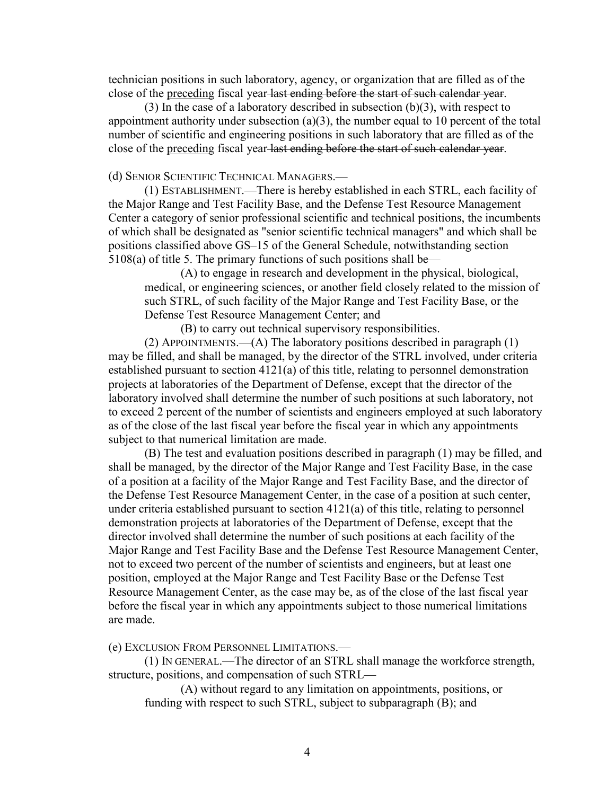technician positions in such laboratory, agency, or organization that are filled as of the close of the preceding fiscal year last ending before the start of such calendar year.

(3) In the case of a laboratory described in subsection (b)(3), with respect to appointment authority under subsection  $(a)(3)$ , the number equal to 10 percent of the total number of scientific and engineering positions in such laboratory that are filled as of the close of the preceding fiscal year-last ending before the start of such calendar year.

#### (d) SENIOR SCIENTIFIC TECHNICAL MANAGERS.—

(1) ESTABLISHMENT.—There is hereby established in each STRL, each facility of the Major Range and Test Facility Base, and the Defense Test Resource Management Center a category of senior professional scientific and technical positions, the incumbents of which shall be designated as "senior scientific technical managers" and which shall be positions classified above GS–15 of the General Schedule, notwithstanding section 5108(a) of title 5. The primary functions of such positions shall be—

(A) to engage in research and development in the physical, biological, medical, or engineering sciences, or another field closely related to the mission of such STRL, of such facility of the Major Range and Test Facility Base, or the Defense Test Resource Management Center; and

(B) to carry out technical supervisory responsibilities.

(2) APPOINTMENTS.—(A) The laboratory positions described in paragraph (1) may be filled, and shall be managed, by the director of the STRL involved, under criteria established pursuant to section 4121(a) of this title, relating to personnel demonstration projects at laboratories of the Department of Defense, except that the director of the laboratory involved shall determine the number of such positions at such laboratory, not to exceed 2 percent of the number of scientists and engineers employed at such laboratory as of the close of the last fiscal year before the fiscal year in which any appointments subject to that numerical limitation are made.

(B) The test and evaluation positions described in paragraph (1) may be filled, and shall be managed, by the director of the Major Range and Test Facility Base, in the case of a position at a facility of the Major Range and Test Facility Base, and the director of the Defense Test Resource Management Center, in the case of a position at such center, under criteria established pursuant to section 4121(a) of this title, relating to personnel demonstration projects at laboratories of the Department of Defense, except that the director involved shall determine the number of such positions at each facility of the Major Range and Test Facility Base and the Defense Test Resource Management Center, not to exceed two percent of the number of scientists and engineers, but at least one position, employed at the Major Range and Test Facility Base or the Defense Test Resource Management Center, as the case may be, as of the close of the last fiscal year before the fiscal year in which any appointments subject to those numerical limitations are made.

(e) EXCLUSION FROM PERSONNEL LIMITATIONS.—

(1) IN GENERAL.—The director of an STRL shall manage the workforce strength, structure, positions, and compensation of such STRL—

(A) without regard to any limitation on appointments, positions, or funding with respect to such STRL, subject to subparagraph (B); and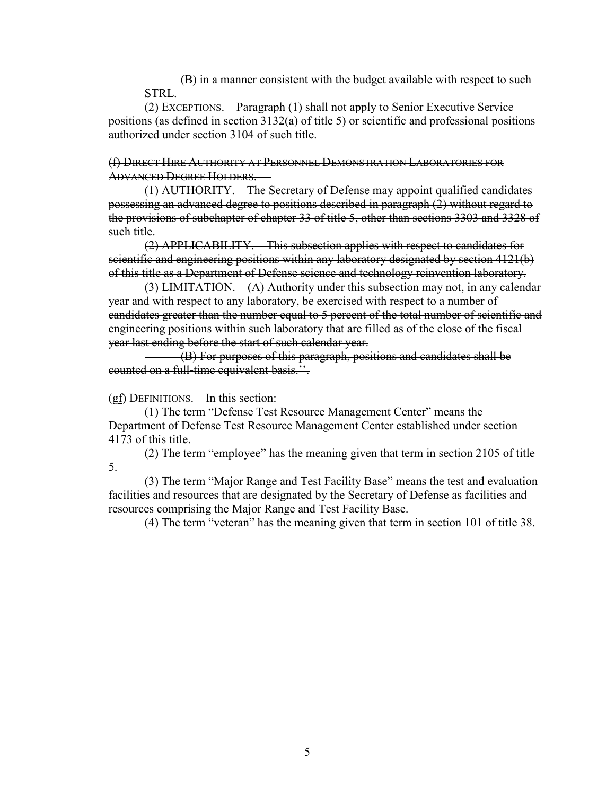(B) in a manner consistent with the budget available with respect to such STRL.

(2) EXCEPTIONS.—Paragraph (1) shall not apply to Senior Executive Service positions (as defined in section 3132(a) of title 5) or scientific and professional positions authorized under section 3104 of such title.

(f) DIRECT HIRE AUTHORITY AT PERSONNEL DEMONSTRATION LABORATORIES FOR ADVANCED DEGREE HOLDERS. —

(1) AUTHORITY.—The Secretary of Defense may appoint qualified candidates possessing an advanced degree to positions described in paragraph (2) without regard to the provisions of subchapter of chapter 33 of title 5, other than sections 3303 and 3328 of such title.

(2) APPLICABILITY.—This subsection applies with respect to candidates for scientific and engineering positions within any laboratory designated by section 4121(b) of this title as a Department of Defense science and technology reinvention laboratory.

(3) LIMITATION.—(A) Authority under this subsection may not, in any calendar year and with respect to any laboratory, be exercised with respect to a number of candidates greater than the number equal to 5 percent of the total number of scientific and engineering positions within such laboratory that are filled as of the close of the fiscal year last ending before the start of such calendar year.

(B) For purposes of this paragraph, positions and candidates shall be counted on a full-time equivalent basis.''.

(gf) DEFINITIONS.—In this section:

(1) The term "Defense Test Resource Management Center" means the Department of Defense Test Resource Management Center established under section 4173 of this title.

(2) The term "employee" has the meaning given that term in section 2105 of title 5.

(3) The term "Major Range and Test Facility Base" means the test and evaluation facilities and resources that are designated by the Secretary of Defense as facilities and resources comprising the Major Range and Test Facility Base.

(4) The term "veteran" has the meaning given that term in section 101 of title 38.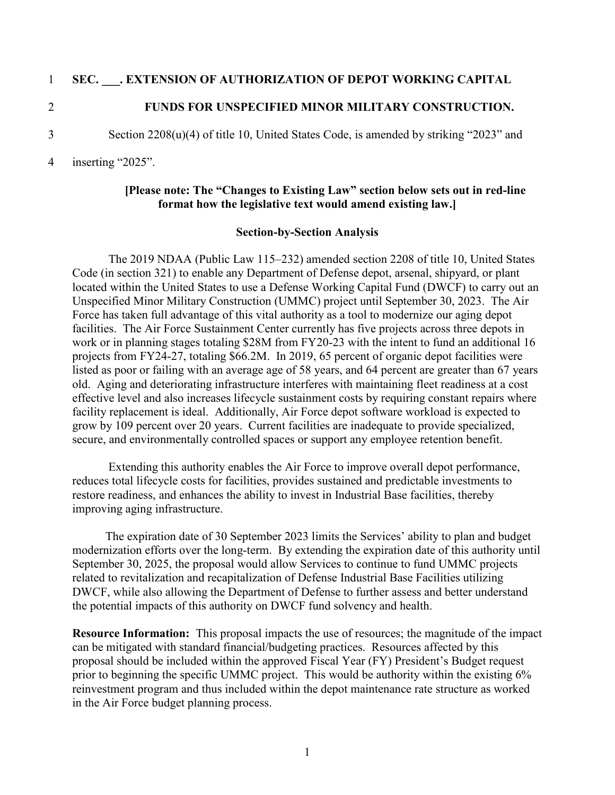#### 1 **SEC. \_\_\_. EXTENSION OF AUTHORIZATION OF DEPOT WORKING CAPITAL**

#### 2 **FUNDS FOR UNSPECIFIED MINOR MILITARY CONSTRUCTION.**

3 Section 2208(u)(4) of title 10, United States Code, is amended by striking "2023" and

#### 4 inserting "2025".

#### **[Please note: The "Changes to Existing Law" section below sets out in red-line format how the legislative text would amend existing law.]**

#### **Section-by-Section Analysis**

The 2019 NDAA (Public Law 115–232) amended section 2208 of title 10, United States Code (in section 321) to enable any Department of Defense depot, arsenal, shipyard, or plant located within the United States to use a Defense Working Capital Fund (DWCF) to carry out an Unspecified Minor Military Construction (UMMC) project until September 30, 2023. The Air Force has taken full advantage of this vital authority as a tool to modernize our aging depot facilities. The Air Force Sustainment Center currently has five projects across three depots in work or in planning stages totaling \$28M from FY20-23 with the intent to fund an additional 16 projects from FY24-27, totaling \$66.2M. In 2019, 65 percent of organic depot facilities were listed as poor or failing with an average age of 58 years, and 64 percent are greater than 67 years old. Aging and deteriorating infrastructure interferes with maintaining fleet readiness at a cost effective level and also increases lifecycle sustainment costs by requiring constant repairs where facility replacement is ideal. Additionally, Air Force depot software workload is expected to grow by 109 percent over 20 years. Current facilities are inadequate to provide specialized, secure, and environmentally controlled spaces or support any employee retention benefit.

Extending this authority enables the Air Force to improve overall depot performance, reduces total lifecycle costs for facilities, provides sustained and predictable investments to restore readiness, and enhances the ability to invest in Industrial Base facilities, thereby improving aging infrastructure.

 The expiration date of 30 September 2023 limits the Services' ability to plan and budget modernization efforts over the long-term. By extending the expiration date of this authority until September 30, 2025, the proposal would allow Services to continue to fund UMMC projects related to revitalization and recapitalization of Defense Industrial Base Facilities utilizing DWCF, while also allowing the Department of Defense to further assess and better understand the potential impacts of this authority on DWCF fund solvency and health.

**Resource Information:** This proposal impacts the use of resources; the magnitude of the impact can be mitigated with standard financial/budgeting practices. Resources affected by this proposal should be included within the approved Fiscal Year (FY) President's Budget request prior to beginning the specific UMMC project. This would be authority within the existing 6% reinvestment program and thus included within the depot maintenance rate structure as worked in the Air Force budget planning process.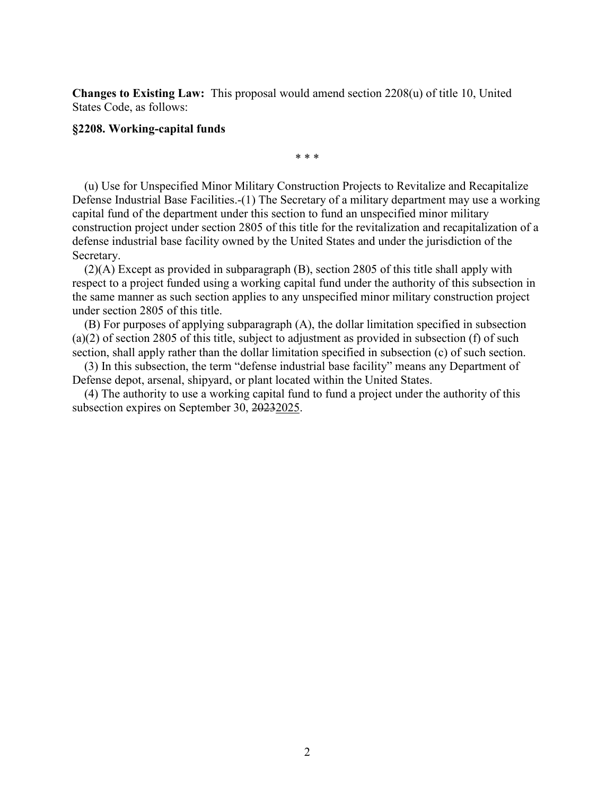**Changes to Existing Law:** This proposal would amend section 2208(u) of title 10, United States Code, as follows:

#### **§2208. Working-capital funds**

(u) Use for Unspecified Minor Military Construction Projects to Revitalize and Recapitalize Defense Industrial Base Facilities.-(1) The Secretary of a military department may use a working capital fund of the department under this section to fund an unspecified minor military construction project under section 2805 of this title for the revitalization and recapitalization of a defense industrial base facility owned by the United States and under the jurisdiction of the Secretary.

\* \* \*

(2)(A) Except as provided in subparagraph (B), section 2805 of this title shall apply with respect to a project funded using a working capital fund under the authority of this subsection in the same manner as such section applies to any unspecified minor military construction project under section 2805 of this title.

(B) For purposes of applying subparagraph (A), the dollar limitation specified in subsection (a)(2) of section 2805 of this title, subject to adjustment as provided in subsection (f) of such section, shall apply rather than the dollar limitation specified in subsection (c) of such section.

(3) In this subsection, the term "defense industrial base facility" means any Department of Defense depot, arsenal, shipyard, or plant located within the United States.

(4) The authority to use a working capital fund to fund a project under the authority of this subsection expires on September 30, 20232025.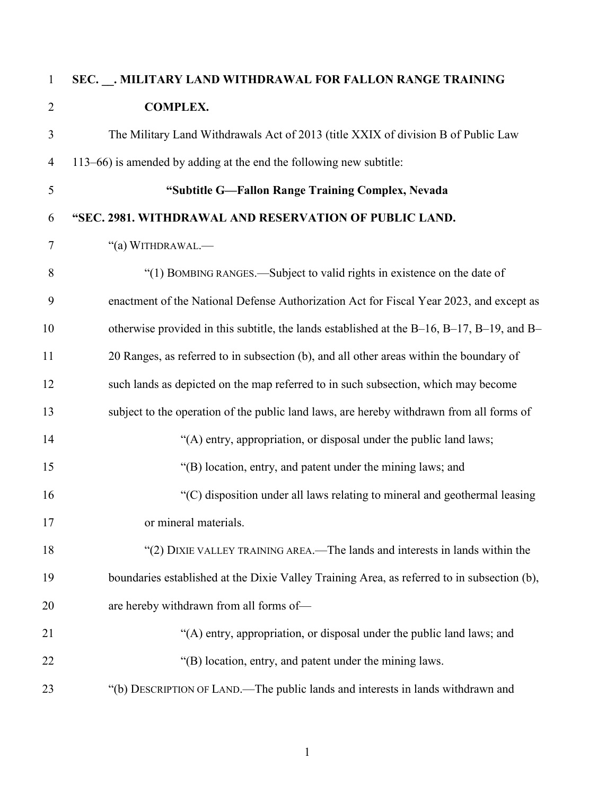## **SEC. \_\_. MILITARY LAND WITHDRAWAL FOR FALLON RANGE TRAINING COMPLEX.**

 The Military Land Withdrawals Act of 2013 (title XXIX of division B of Public Law 113–66) is amended by adding at the end the following new subtitle:

### **"Subtitle G—Fallon Range Training Complex, Nevada**

### **"SEC. 2981. WITHDRAWAL AND RESERVATION OF PUBLIC LAND.**

"(a) WITHDRAWAL.—

 "(1) BOMBING RANGES.—Subject to valid rights in existence on the date of enactment of the National Defense Authorization Act for Fiscal Year 2023, and except as otherwise provided in this subtitle, the lands established at the B–16, B–17, B–19, and B– 20 Ranges, as referred to in subsection (b), and all other areas within the boundary of such lands as depicted on the map referred to in such subsection, which may become subject to the operation of the public land laws, are hereby withdrawn from all forms of 14 "(A) entry, appropriation, or disposal under the public land laws; "(B) location, entry, and patent under the mining laws; and "(C) disposition under all laws relating to mineral and geothermal leasing or mineral materials. "(2) DIXIE VALLEY TRAINING AREA.—The lands and interests in lands within the boundaries established at the Dixie Valley Training Area, as referred to in subsection (b), are hereby withdrawn from all forms of— 21 "(A) entry, appropriation, or disposal under the public land laws; and "(B) location, entry, and patent under the mining laws. "(b) DESCRIPTION OF LAND.—The public lands and interests in lands withdrawn and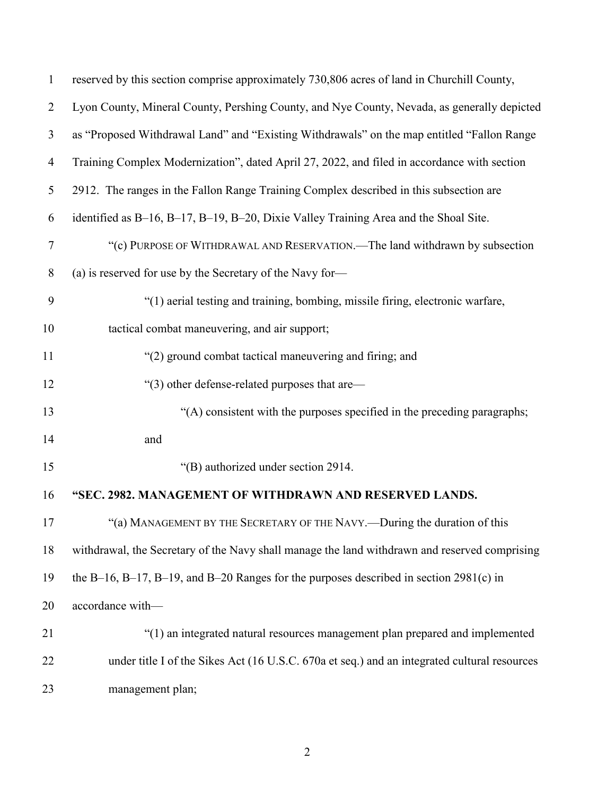| $\mathbf{1}$   | reserved by this section comprise approximately 730,806 acres of land in Churchill County,    |
|----------------|-----------------------------------------------------------------------------------------------|
| $\overline{2}$ | Lyon County, Mineral County, Pershing County, and Nye County, Nevada, as generally depicted   |
| 3              | as "Proposed Withdrawal Land" and "Existing Withdrawals" on the map entitled "Fallon Range"   |
| $\overline{4}$ | Training Complex Modernization", dated April 27, 2022, and filed in accordance with section   |
| 5              | 2912. The ranges in the Fallon Range Training Complex described in this subsection are        |
| 6              | identified as B-16, B-17, B-19, B-20, Dixie Valley Training Area and the Shoal Site.          |
| $\tau$         | "(c) PURPOSE OF WITHDRAWAL AND RESERVATION.—The land withdrawn by subsection                  |
| $8\phantom{.}$ | (a) is reserved for use by the Secretary of the Navy for-                                     |
| 9              | "(1) aerial testing and training, bombing, missile firing, electronic warfare,                |
| 10             | tactical combat maneuvering, and air support;                                                 |
| 11             | "(2) ground combat tactical maneuvering and firing; and                                       |
| 12             | "(3) other defense-related purposes that are—                                                 |
| 13             | "(A) consistent with the purposes specified in the preceding paragraphs;                      |
| 14             | and                                                                                           |
| 15             | "(B) authorized under section 2914.                                                           |
| 16             | "SEC. 2982. MANAGEMENT OF WITHDRAWN AND RESERVED LANDS.                                       |
| 17             | "(a) MANAGEMENT BY THE SECRETARY OF THE NAVY.—During the duration of this                     |
| 18             | withdrawal, the Secretary of the Navy shall manage the land withdrawn and reserved comprising |
| 19             | the B-16, B-17, B-19, and B-20 Ranges for the purposes described in section $2981(c)$ in      |
| 20             | accordance with-                                                                              |
| 21             | "(1) an integrated natural resources management plan prepared and implemented                 |
| 22             | under title I of the Sikes Act (16 U.S.C. 670a et seq.) and an integrated cultural resources  |
| 23             | management plan;                                                                              |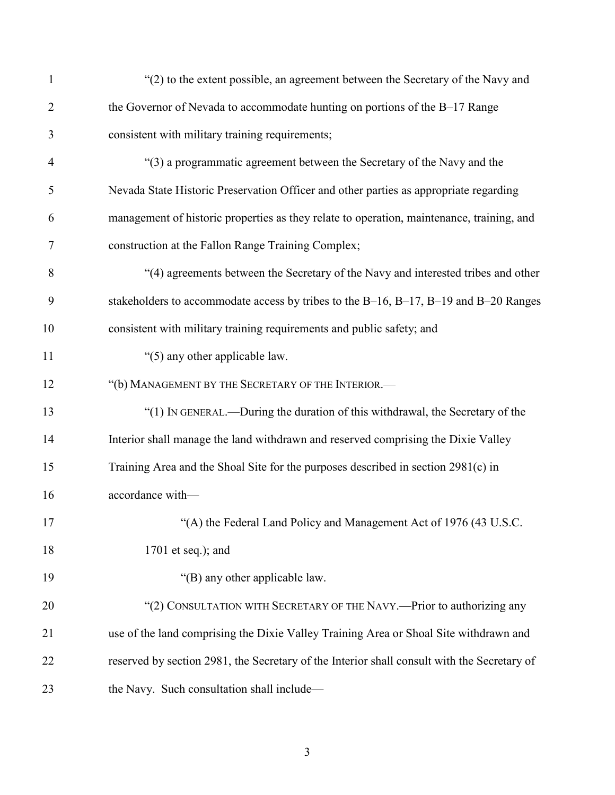| $\mathbf{1}$   | "(2) to the extent possible, an agreement between the Secretary of the Navy and             |
|----------------|---------------------------------------------------------------------------------------------|
| $\overline{2}$ | the Governor of Nevada to accommodate hunting on portions of the B-17 Range                 |
| 3              | consistent with military training requirements;                                             |
| $\overline{4}$ | "(3) a programmatic agreement between the Secretary of the Navy and the                     |
| 5              | Nevada State Historic Preservation Officer and other parties as appropriate regarding       |
| 6              | management of historic properties as they relate to operation, maintenance, training, and   |
| 7              | construction at the Fallon Range Training Complex;                                          |
| 8              | "(4) agreements between the Secretary of the Navy and interested tribes and other           |
| 9              | stakeholders to accommodate access by tribes to the B-16, B-17, B-19 and B-20 Ranges        |
| 10             | consistent with military training requirements and public safety; and                       |
| 11             | "(5) any other applicable law.                                                              |
| 12             | "(b) MANAGEMENT BY THE SECRETARY OF THE INTERIOR.-                                          |
| 13             | "(1) IN GENERAL.—During the duration of this withdrawal, the Secretary of the               |
| 14             | Interior shall manage the land withdrawn and reserved comprising the Dixie Valley           |
| 15             | Training Area and the Shoal Site for the purposes described in section 2981(c) in           |
| 16             | accordance with-                                                                            |
| 17             | "(A) the Federal Land Policy and Management Act of 1976 (43 U.S.C.                          |
| 18             | $1701$ et seq.); and                                                                        |
| 19             | "(B) any other applicable law.                                                              |
| 20             | "(2) CONSULTATION WITH SECRETARY OF THE NAVY.—Prior to authorizing any                      |
| 21             | use of the land comprising the Dixie Valley Training Area or Shoal Site withdrawn and       |
| 22             | reserved by section 2981, the Secretary of the Interior shall consult with the Secretary of |
| 23             | the Navy. Such consultation shall include-                                                  |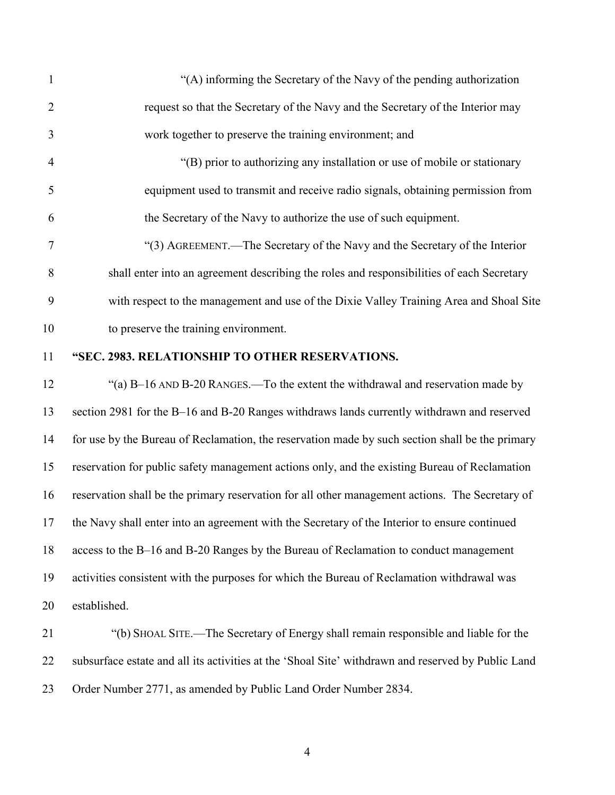| $\mathbf{1}$   | "(A) informing the Secretary of the Navy of the pending authorization                              |
|----------------|----------------------------------------------------------------------------------------------------|
| $\overline{2}$ | request so that the Secretary of the Navy and the Secretary of the Interior may                    |
| 3              | work together to preserve the training environment; and                                            |
| $\overline{4}$ | "(B) prior to authorizing any installation or use of mobile or stationary                          |
| 5              | equipment used to transmit and receive radio signals, obtaining permission from                    |
| 6              | the Secretary of the Navy to authorize the use of such equipment.                                  |
| 7              | "(3) AGREEMENT.—The Secretary of the Navy and the Secretary of the Interior                        |
| 8              | shall enter into an agreement describing the roles and responsibilities of each Secretary          |
| 9              | with respect to the management and use of the Dixie Valley Training Area and Shoal Site            |
| 10             | to preserve the training environment.                                                              |
| 11             | "SEC. 2983. RELATIONSHIP TO OTHER RESERVATIONS.                                                    |
| 12             | "(a) B-16 AND B-20 RANGES.—To the extent the withdrawal and reservation made by                    |
| 13             | section 2981 for the B-16 and B-20 Ranges withdraws lands currently withdrawn and reserved         |
| 14             | for use by the Bureau of Reclamation, the reservation made by such section shall be the primary    |
| 15             | reservation for public safety management actions only, and the existing Bureau of Reclamation      |
| 16             | reservation shall be the primary reservation for all other management actions. The Secretary of    |
|                | 17 the Navy shall enter into an agreement with the Secretary of the Interior to ensure continued   |
| 18             | access to the B-16 and B-20 Ranges by the Bureau of Reclamation to conduct management              |
| 19             | activities consistent with the purposes for which the Bureau of Reclamation withdrawal was         |
| 20             | established.                                                                                       |
| 21             | "(b) SHOAL SITE.—The Secretary of Energy shall remain responsible and liable for the               |
| 22             | subsurface estate and all its activities at the 'Shoal Site' withdrawn and reserved by Public Land |

Order Number 2771, as amended by Public Land Order Number 2834.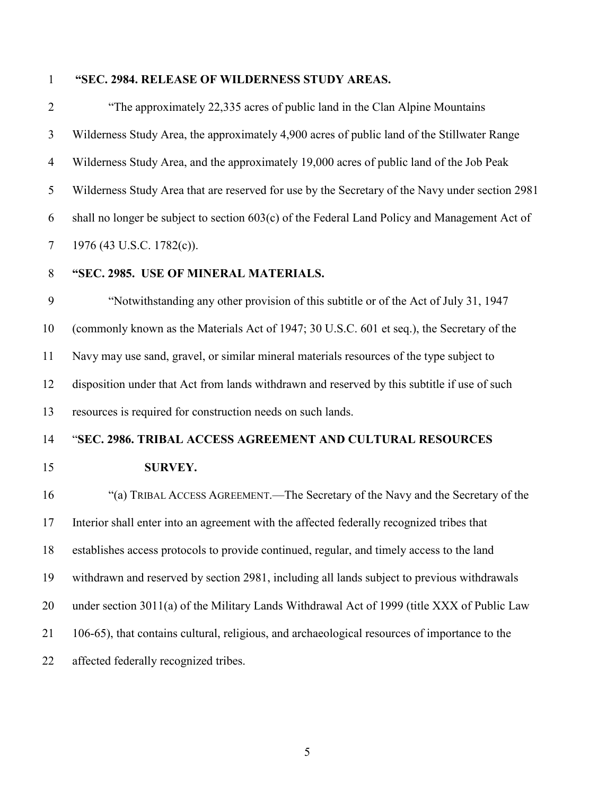#### **"SEC. 2984. RELEASE OF WILDERNESS STUDY AREAS.**

 "The approximately 22,335 acres of public land in the Clan Alpine Mountains Wilderness Study Area, the approximately 4,900 acres of public land of the Stillwater Range Wilderness Study Area, and the approximately 19,000 acres of public land of the Job Peak Wilderness Study Area that are reserved for use by the Secretary of the Navy under section 2981 shall no longer be subject to section 603(c) of the Federal Land Policy and Management Act of 7 1976 (43 U.S.C. 1782(c)).

**"SEC. 2985. USE OF MINERAL MATERIALS.** 

 "Notwithstanding any other provision of this subtitle or of the Act of July 31, 1947 (commonly known as the Materials Act of 1947; 30 U.S.C. 601 et seq.), the Secretary of the Navy may use sand, gravel, or similar mineral materials resources of the type subject to disposition under that Act from lands withdrawn and reserved by this subtitle if use of such resources is required for construction needs on such lands.

#### "**SEC. 2986. TRIBAL ACCESS AGREEMENT AND CULTURAL RESOURCES**

**SURVEY.**

# "(a) TRIBAL ACCESS AGREEMENT.—The Secretary of the Navy and the Secretary of the Interior shall enter into an agreement with the affected federally recognized tribes that establishes access protocols to provide continued, regular, and timely access to the land withdrawn and reserved by section 2981, including all lands subject to previous withdrawals 20 under section 3011(a) of the Military Lands Withdrawal Act of 1999 (title XXX of Public Law 106-65), that contains cultural, religious, and archaeological resources of importance to the affected federally recognized tribes.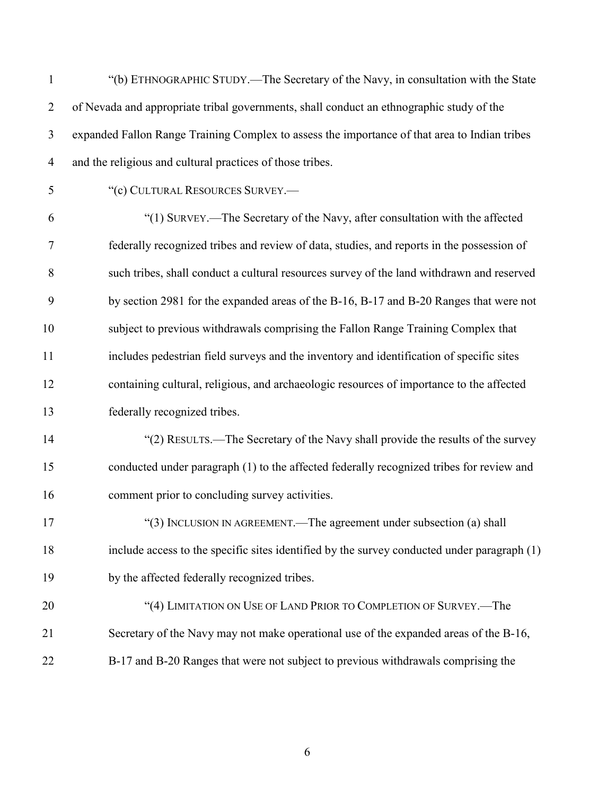| $\mathbf{1}$   | "(b) ETHNOGRAPHIC STUDY.—The Secretary of the Navy, in consultation with the State            |
|----------------|-----------------------------------------------------------------------------------------------|
| $\overline{2}$ | of Nevada and appropriate tribal governments, shall conduct an ethnographic study of the      |
| 3              | expanded Fallon Range Training Complex to assess the importance of that area to Indian tribes |
| $\overline{4}$ | and the religious and cultural practices of those tribes.                                     |
| 5              | "(c) CULTURAL RESOURCES SURVEY.-                                                              |
| 6              | "(1) SURVEY.—The Secretary of the Navy, after consultation with the affected                  |
| $\tau$         | federally recognized tribes and review of data, studies, and reports in the possession of     |
| 8              | such tribes, shall conduct a cultural resources survey of the land withdrawn and reserved     |
| 9              | by section 2981 for the expanded areas of the B-16, B-17 and B-20 Ranges that were not        |
| 10             | subject to previous withdrawals comprising the Fallon Range Training Complex that             |
| 11             | includes pedestrian field surveys and the inventory and identification of specific sites      |
| 12             | containing cultural, religious, and archaeologic resources of importance to the affected      |
| 13             | federally recognized tribes.                                                                  |
| 14             | "(2) RESULTS.—The Secretary of the Navy shall provide the results of the survey               |
| 15             | conducted under paragraph (1) to the affected federally recognized tribes for review and      |
| 16             | comment prior to concluding survey activities.                                                |
| 17             | "(3) INCLUSION IN AGREEMENT.—The agreement under subsection (a) shall                         |
| 18             | include access to the specific sites identified by the survey conducted under paragraph (1)   |
| 19             | by the affected federally recognized tribes.                                                  |
| 20             | "(4) LIMITATION ON USE OF LAND PRIOR TO COMPLETION OF SURVEY.—The                             |
| 21             | Secretary of the Navy may not make operational use of the expanded areas of the B-16,         |
| 22             | B-17 and B-20 Ranges that were not subject to previous withdrawals comprising the             |
|                |                                                                                               |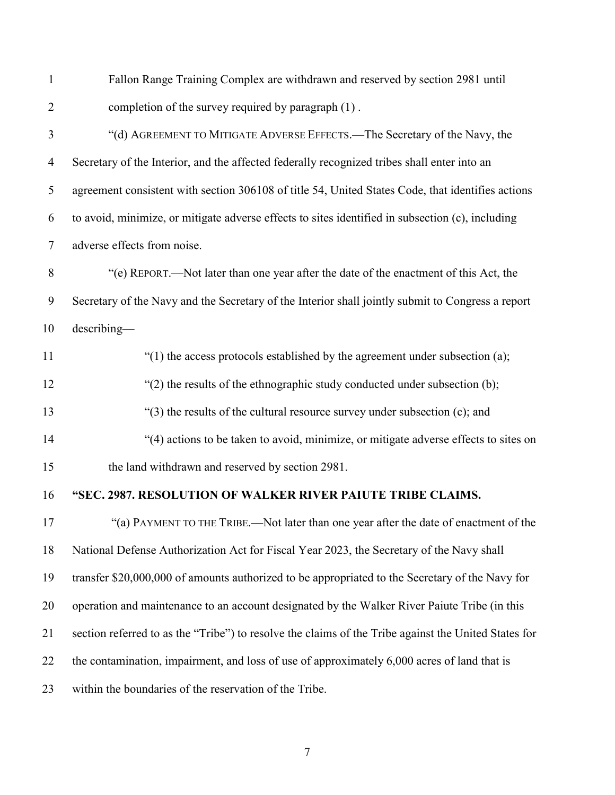| $\mathbf{1}$   | Fallon Range Training Complex are withdrawn and reserved by section 2981 until                       |
|----------------|------------------------------------------------------------------------------------------------------|
| $\overline{2}$ | completion of the survey required by paragraph (1).                                                  |
| 3              | "(d) AGREEMENT TO MITIGATE ADVERSE EFFECTS.—The Secretary of the Navy, the                           |
| $\overline{4}$ | Secretary of the Interior, and the affected federally recognized tribes shall enter into an          |
| 5              | agreement consistent with section 306108 of title 54, United States Code, that identifies actions    |
| 6              | to avoid, minimize, or mitigate adverse effects to sites identified in subsection (c), including     |
| 7              | adverse effects from noise.                                                                          |
| $8\,$          | "(e) REPORT.—Not later than one year after the date of the enactment of this Act, the                |
| 9              | Secretary of the Navy and the Secretary of the Interior shall jointly submit to Congress a report    |
| 10             | $describing -$                                                                                       |
| 11             | "(1) the access protocols established by the agreement under subsection (a);                         |
| 12             | "(2) the results of the ethnographic study conducted under subsection (b);                           |
| 13             | "(3) the results of the cultural resource survey under subsection (c); and                           |
| 14             | "(4) actions to be taken to avoid, minimize, or mitigate adverse effects to sites on                 |
| 15             | the land withdrawn and reserved by section 2981.                                                     |
| 16             | "SEC. 2987. RESOLUTION OF WALKER RIVER PAIUTE TRIBE CLAIMS.                                          |
| 17             | "(a) PAYMENT TO THE TRIBE.—Not later than one year after the date of enactment of the                |
| 18             | National Defense Authorization Act for Fiscal Year 2023, the Secretary of the Navy shall             |
| 19             | transfer \$20,000,000 of amounts authorized to be appropriated to the Secretary of the Navy for      |
| 20             | operation and maintenance to an account designated by the Walker River Paiute Tribe (in this         |
| 21             | section referred to as the "Tribe") to resolve the claims of the Tribe against the United States for |
| 22             | the contamination, impairment, and loss of use of approximately 6,000 acres of land that is          |
| 23             | within the boundaries of the reservation of the Tribe.                                               |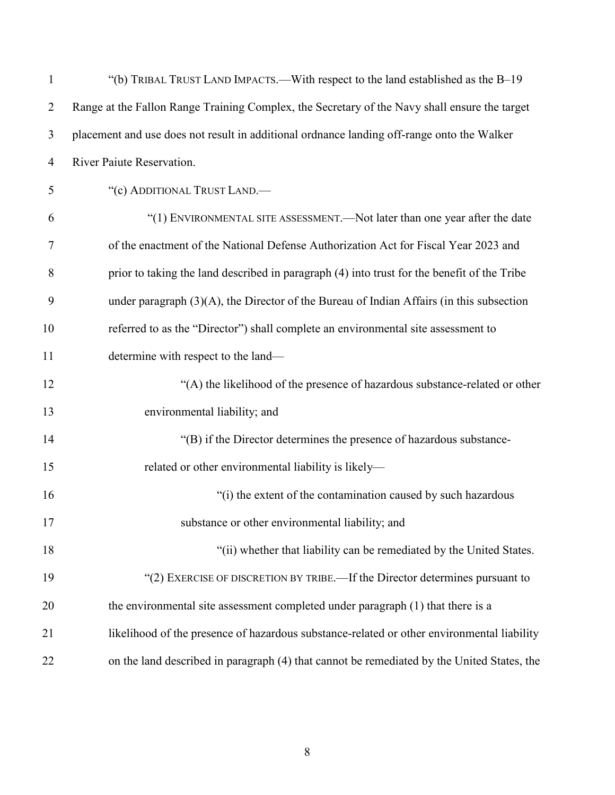| $\mathbf{1}$   | "(b) TRIBAL TRUST LAND IMPACTS.—With respect to the land established as the B-19              |
|----------------|-----------------------------------------------------------------------------------------------|
| $\overline{2}$ | Range at the Fallon Range Training Complex, the Secretary of the Navy shall ensure the target |
| 3              | placement and use does not result in additional ordnance landing off-range onto the Walker    |
| $\overline{4}$ | River Paiute Reservation.                                                                     |
| 5              | "(c) ADDITIONAL TRUST LAND.-                                                                  |
| 6              | "(1) ENVIRONMENTAL SITE ASSESSMENT. - Not later than one year after the date                  |
| 7              | of the enactment of the National Defense Authorization Act for Fiscal Year 2023 and           |
| 8              | prior to taking the land described in paragraph (4) into trust for the benefit of the Tribe   |
| 9              | under paragraph $(3)(A)$ , the Director of the Bureau of Indian Affairs (in this subsection   |
| 10             | referred to as the "Director") shall complete an environmental site assessment to             |
| 11             | determine with respect to the land—                                                           |
| 12             | "(A) the likelihood of the presence of hazardous substance-related or other                   |
| 13             | environmental liability; and                                                                  |
| 14             | "(B) if the Director determines the presence of hazardous substance-                          |
| 15             | related or other environmental liability is likely-                                           |
| 16             | "(i) the extent of the contamination caused by such hazardous                                 |
| 17             | substance or other environmental liability; and                                               |
| 18             | "(ii) whether that liability can be remediated by the United States.                          |
| 19             | "(2) EXERCISE OF DISCRETION BY TRIBE.—If the Director determines pursuant to                  |
| 20             | the environmental site assessment completed under paragraph (1) that there is a               |
| 21             | likelihood of the presence of hazardous substance-related or other environmental liability    |
| 22             | on the land described in paragraph (4) that cannot be remediated by the United States, the    |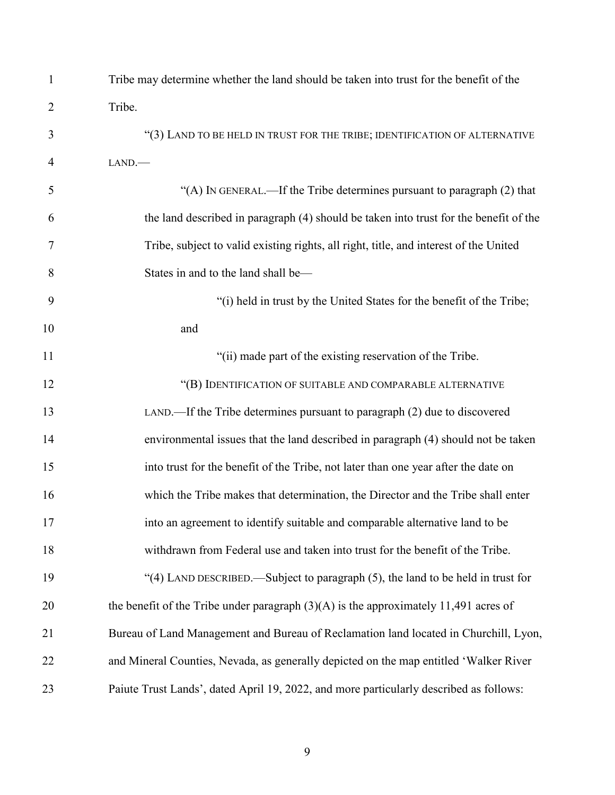| $\mathbf{1}$   | Tribe may determine whether the land should be taken into trust for the benefit of the |
|----------------|----------------------------------------------------------------------------------------|
| $\overline{2}$ | Tribe.                                                                                 |
| 3              | "(3) LAND TO BE HELD IN TRUST FOR THE TRIBE; IDENTIFICATION OF ALTERNATIVE             |
| 4              | LAND.                                                                                  |
| 5              | "(A) IN GENERAL.—If the Tribe determines pursuant to paragraph (2) that                |
| 6              | the land described in paragraph (4) should be taken into trust for the benefit of the  |
| 7              | Tribe, subject to valid existing rights, all right, title, and interest of the United  |
| 8              | States in and to the land shall be-                                                    |
| 9              | "(i) held in trust by the United States for the benefit of the Tribe;                  |
| 10             | and                                                                                    |
| 11             | "(ii) made part of the existing reservation of the Tribe.                              |
| 12             | "(B) IDENTIFICATION OF SUITABLE AND COMPARABLE ALTERNATIVE                             |
| 13             | LAND.—If the Tribe determines pursuant to paragraph (2) due to discovered              |
| 14             | environmental issues that the land described in paragraph (4) should not be taken      |
| 15             | into trust for the benefit of the Tribe, not later than one year after the date on     |
| 16             | which the Tribe makes that determination, the Director and the Tribe shall enter       |
| 17             | into an agreement to identify suitable and comparable alternative land to be           |
| 18             | withdrawn from Federal use and taken into trust for the benefit of the Tribe.          |
| 19             | "(4) LAND DESCRIBED.—Subject to paragraph (5), the land to be held in trust for        |
| 20             | the benefit of the Tribe under paragraph $(3)(A)$ is the approximately 11,491 acres of |
| 21             | Bureau of Land Management and Bureau of Reclamation land located in Churchill, Lyon,   |
| 22             | and Mineral Counties, Nevada, as generally depicted on the map entitled 'Walker River  |
| 23             | Paiute Trust Lands', dated April 19, 2022, and more particularly described as follows: |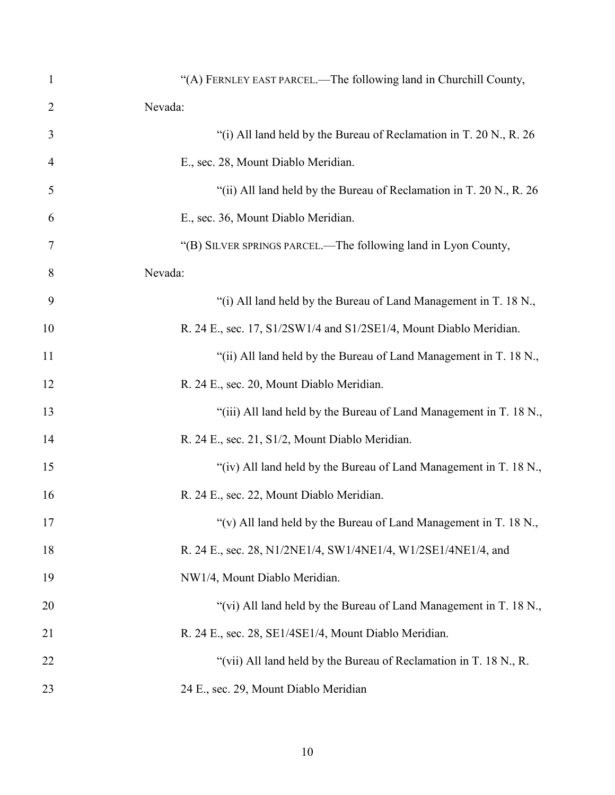| $\mathbf{1}$   | "(A) FERNLEY EAST PARCEL.—The following land in Churchill County,   |
|----------------|---------------------------------------------------------------------|
| $\overline{2}$ | Nevada:                                                             |
| 3              | "(i) All land held by the Bureau of Reclamation in T. 20 N., R. 26  |
| 4              | E., sec. 28, Mount Diablo Meridian.                                 |
| 5              | "(ii) All land held by the Bureau of Reclamation in T. 20 N., R. 26 |
| 6              | E., sec. 36, Mount Diablo Meridian.                                 |
| 7              | "(B) SILVER SPRINGS PARCEL.—The following land in Lyon County,      |
| 8              | Nevada:                                                             |
| 9              | "(i) All land held by the Bureau of Land Management in T. 18 N.,    |
| 10             | R. 24 E., sec. 17, S1/2SW1/4 and S1/2SE1/4, Mount Diablo Meridian.  |
| 11             | "(ii) All land held by the Bureau of Land Management in T. 18 N.,   |
| 12             | R. 24 E., sec. 20, Mount Diablo Meridian.                           |
| 13             | "(iii) All land held by the Bureau of Land Management in T. 18 N.,  |
| 14             | R. 24 E., sec. 21, S1/2, Mount Diablo Meridian.                     |
| 15             | "(iv) All land held by the Bureau of Land Management in T. 18 N.,   |
| 16             | R. 24 E., sec. 22, Mount Diablo Meridian.                           |
| 17             | "(v) All land held by the Bureau of Land Management in T. 18 N.,    |
| 18             | R. 24 E., sec. 28, N1/2NE1/4, SW1/4NE1/4, W1/2SE1/4NE1/4, and       |
| 19             | NW1/4, Mount Diablo Meridian.                                       |
| 20             | "(vi) All land held by the Bureau of Land Management in T. 18 N.,   |
| 21             | R. 24 E., sec. 28, SE1/4SE1/4, Mount Diablo Meridian.               |
| 22             | "(vii) All land held by the Bureau of Reclamation in T. 18 N., R.   |
| 23             | 24 E., sec. 29, Mount Diablo Meridian                               |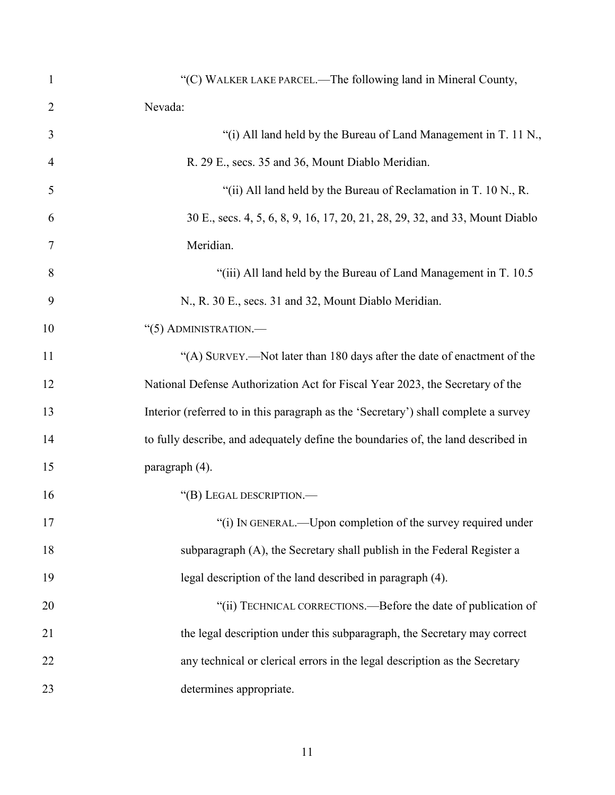| 1              | "(C) WALKER LAKE PARCEL.—The following land in Mineral County,                      |
|----------------|-------------------------------------------------------------------------------------|
| $\overline{2}$ | Nevada:                                                                             |
| 3              | "(i) All land held by the Bureau of Land Management in T. 11 N.,                    |
| 4              | R. 29 E., secs. 35 and 36, Mount Diablo Meridian.                                   |
| 5              | "(ii) All land held by the Bureau of Reclamation in T. 10 N., R.                    |
| 6              | 30 E., secs. 4, 5, 6, 8, 9, 16, 17, 20, 21, 28, 29, 32, and 33, Mount Diablo        |
| 7              | Meridian.                                                                           |
| 8              | "(iii) All land held by the Bureau of Land Management in T. 10.5                    |
| 9              | N., R. 30 E., secs. 31 and 32, Mount Diablo Meridian.                               |
| 10             | "(5) ADMINISTRATION.-                                                               |
| 11             | "(A) SURVEY.—Not later than 180 days after the date of enactment of the             |
| 12             | National Defense Authorization Act for Fiscal Year 2023, the Secretary of the       |
| 13             | Interior (referred to in this paragraph as the 'Secretary') shall complete a survey |
| 14             | to fully describe, and adequately define the boundaries of, the land described in   |
| 15             | paragraph (4).                                                                      |
| 16             | "(B) LEGAL DESCRIPTION.-                                                            |
| 17             | (i) IN GENERAL.—Upon completion of the survey required under                        |
| 18             | subparagraph (A), the Secretary shall publish in the Federal Register a             |
| 19             | legal description of the land described in paragraph (4).                           |
| 20             | "(ii) TECHNICAL CORRECTIONS.—Before the date of publication of                      |
| 21             | the legal description under this subparagraph, the Secretary may correct            |
| 22             | any technical or clerical errors in the legal description as the Secretary          |
| 23             | determines appropriate.                                                             |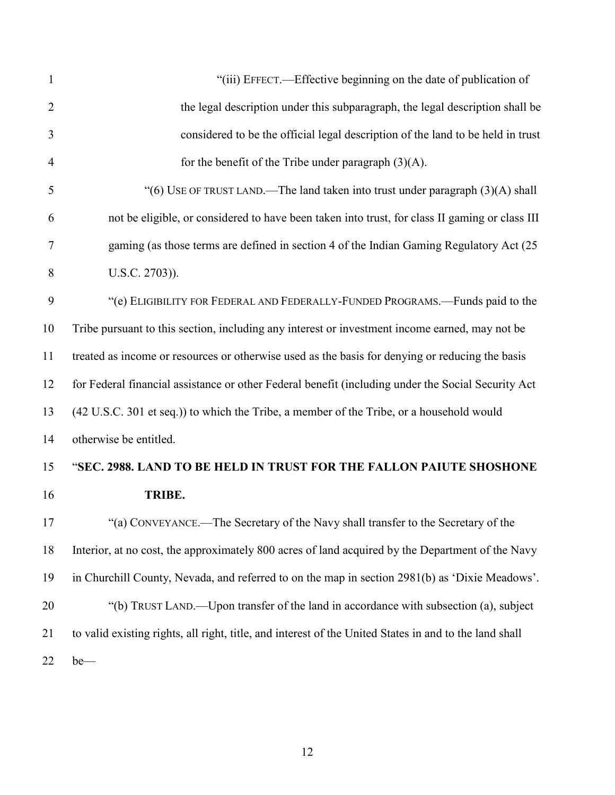| 1              | "(iii) EFFECT.—Effective beginning on the date of publication of                                       |
|----------------|--------------------------------------------------------------------------------------------------------|
| $\overline{2}$ | the legal description under this subparagraph, the legal description shall be                          |
| 3              | considered to be the official legal description of the land to be held in trust                        |
| $\overline{4}$ | for the benefit of the Tribe under paragraph $(3)(A)$ .                                                |
| 5              | "(6) USE OF TRUST LAND.—The land taken into trust under paragraph (3)(A) shall                         |
| 6              | not be eligible, or considered to have been taken into trust, for class II gaming or class III         |
| 7              | gaming (as those terms are defined in section 4 of the Indian Gaming Regulatory Act (25                |
| 8              | U.S.C. 2703)).                                                                                         |
| 9              | "(e) ELIGIBILITY FOR FEDERAL AND FEDERALLY-FUNDED PROGRAMS.—Funds paid to the                          |
| 10             | Tribe pursuant to this section, including any interest or investment income earned, may not be         |
| 11             | treated as income or resources or otherwise used as the basis for denying or reducing the basis        |
| 12             | for Federal financial assistance or other Federal benefit (including under the Social Security Act     |
| 13             | (42 U.S.C. 301 et seq.)) to which the Tribe, a member of the Tribe, or a household would               |
| 14             | otherwise be entitled.                                                                                 |
| 15             | "SEC. 2988. LAND TO BE HELD IN TRUST FOR THE FALLON PAIUTE SHOSHONE                                    |
| 16             | TRIBE.                                                                                                 |
| 17             | "(a) CONVEYANCE.—The Secretary of the Navy shall transfer to the Secretary of the                      |
| 18             | Interior, at no cost, the approximately 800 acres of land acquired by the Department of the Navy       |
| 19             | in Churchill County, Nevada, and referred to on the map in section 2981(b) as 'Dixie Meadows'.         |
| 20             | "(b) TRUST LAND.—Upon transfer of the land in accordance with subsection (a), subject                  |
| 21             | to valid existing rights, all right, title, and interest of the United States in and to the land shall |
| 22             | $be$ —                                                                                                 |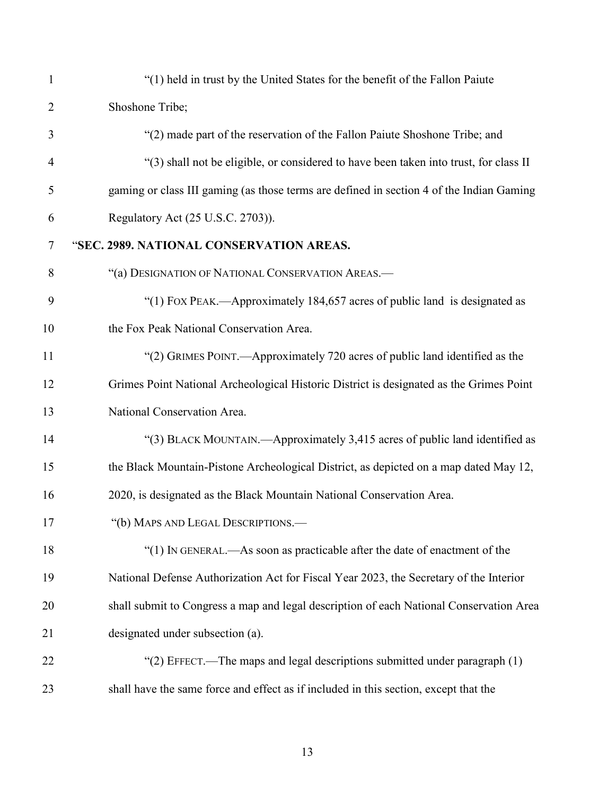| $\mathbf{1}$   | "(1) held in trust by the United States for the benefit of the Fallon Paiute             |
|----------------|------------------------------------------------------------------------------------------|
| $\overline{2}$ | Shoshone Tribe;                                                                          |
| 3              | "(2) made part of the reservation of the Fallon Paiute Shoshone Tribe; and               |
| $\overline{4}$ | "(3) shall not be eligible, or considered to have been taken into trust, for class II    |
| 5              | gaming or class III gaming (as those terms are defined in section 4 of the Indian Gaming |
| 6              | Regulatory Act (25 U.S.C. 2703)).                                                        |
| $\tau$         | "SEC. 2989. NATIONAL CONSERVATION AREAS.                                                 |
| 8              | "(a) DESIGNATION OF NATIONAL CONSERVATION AREAS.-                                        |
| 9              | "(1) FOX PEAK.—Approximately 184,657 acres of public land is designated as               |
| 10             | the Fox Peak National Conservation Area.                                                 |
| 11             | "(2) GRIMES POINT.—Approximately 720 acres of public land identified as the              |
| 12             | Grimes Point National Archeological Historic District is designated as the Grimes Point  |
| 13             | National Conservation Area.                                                              |
| 14             | "(3) BLACK MOUNTAIN.—Approximately 3,415 acres of public land identified as              |
| 15             | the Black Mountain-Pistone Archeological District, as depicted on a map dated May 12,    |
| 16             | 2020, is designated as the Black Mountain National Conservation Area.                    |
| 17             | "(b) MAPS AND LEGAL DESCRIPTIONS.-                                                       |
| 18             | "(1) IN GENERAL.—As soon as practicable after the date of enactment of the               |
| 19             | National Defense Authorization Act for Fiscal Year 2023, the Secretary of the Interior   |
| 20             | shall submit to Congress a map and legal description of each National Conservation Area  |
| 21             | designated under subsection (a).                                                         |
| 22             | "(2) EFFECT.—The maps and legal descriptions submitted under paragraph $(1)$             |
| 23             | shall have the same force and effect as if included in this section, except that the     |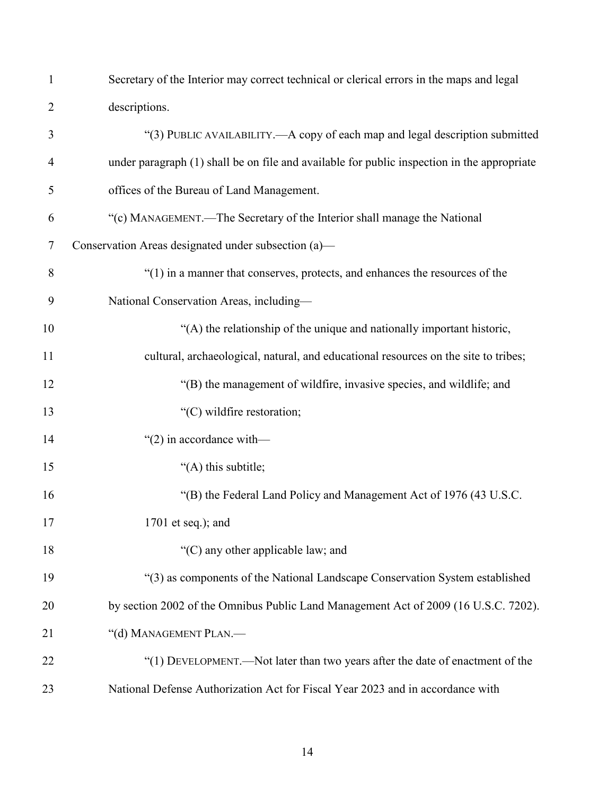| $\mathbf{1}$   | Secretary of the Interior may correct technical or clerical errors in the maps and legal    |
|----------------|---------------------------------------------------------------------------------------------|
| $\overline{2}$ | descriptions.                                                                               |
| 3              | "(3) PUBLIC AVAILABILITY.—A copy of each map and legal description submitted                |
| 4              | under paragraph (1) shall be on file and available for public inspection in the appropriate |
| 5              | offices of the Bureau of Land Management.                                                   |
| 6              | "(c) MANAGEMENT.—The Secretary of the Interior shall manage the National                    |
| $\tau$         | Conservation Areas designated under subsection (a)-                                         |
| 8              | "(1) in a manner that conserves, protects, and enhances the resources of the                |
| 9              | National Conservation Areas, including-                                                     |
| 10             | "(A) the relationship of the unique and nationally important historic,                      |
| 11             | cultural, archaeological, natural, and educational resources on the site to tribes;         |
| 12             | "(B) the management of wildfire, invasive species, and wildlife; and                        |
| 13             | "(C) wildfire restoration;                                                                  |
| 14             | "(2) in accordance with—                                                                    |
| 15             | "(A) this subtitle;                                                                         |
| 16             | "(B) the Federal Land Policy and Management Act of 1976 (43 U.S.C.                          |
| 17             | $1701$ et seq.); and                                                                        |
| 18             | "(C) any other applicable law; and                                                          |
| 19             | "(3) as components of the National Landscape Conservation System established                |
| 20             | by section 2002 of the Omnibus Public Land Management Act of 2009 (16 U.S.C. 7202).         |
| 21             | "(d) MANAGEMENT PLAN.-                                                                      |
| 22             | "(1) DEVELOPMENT.—Not later than two years after the date of enactment of the               |
| 23             | National Defense Authorization Act for Fiscal Year 2023 and in accordance with              |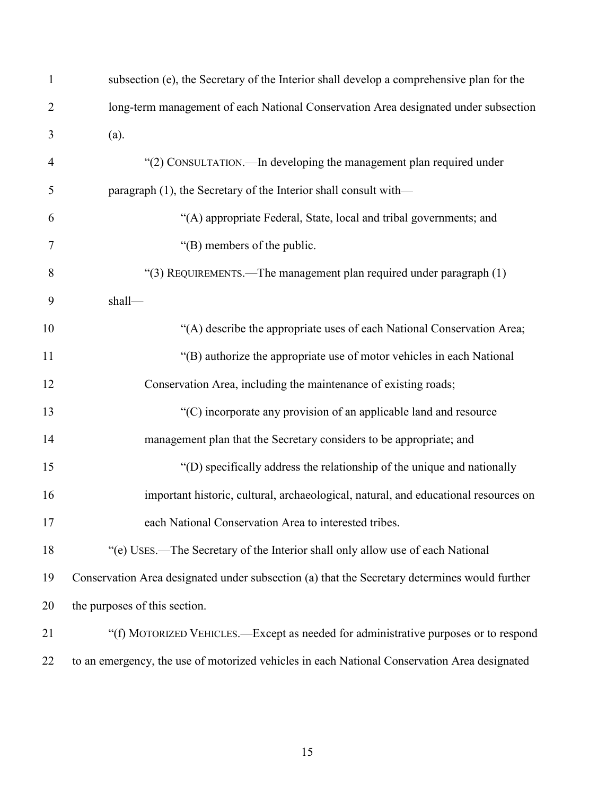| $\mathbf{1}$   | subsection (e), the Secretary of the Interior shall develop a comprehensive plan for the      |
|----------------|-----------------------------------------------------------------------------------------------|
| $\overline{2}$ | long-term management of each National Conservation Area designated under subsection           |
| 3              | (a).                                                                                          |
| $\overline{4}$ | "(2) CONSULTATION.—In developing the management plan required under                           |
| 5              | paragraph (1), the Secretary of the Interior shall consult with—                              |
| 6              | "(A) appropriate Federal, State, local and tribal governments; and                            |
| $\tau$         | "(B) members of the public.                                                                   |
| 8              | "(3) REQUIREMENTS.—The management plan required under paragraph (1)                           |
| 9              | shall-                                                                                        |
| 10             | "(A) describe the appropriate uses of each National Conservation Area;                        |
| 11             | "(B) authorize the appropriate use of motor vehicles in each National                         |
| 12             | Conservation Area, including the maintenance of existing roads;                               |
| 13             | "(C) incorporate any provision of an applicable land and resource                             |
| 14             | management plan that the Secretary considers to be appropriate; and                           |
| 15             | "(D) specifically address the relationship of the unique and nationally                       |
| 16             | important historic, cultural, archaeological, natural, and educational resources on           |
| 17             | each National Conservation Area to interested tribes.                                         |
| 18             | "(e) USES.—The Secretary of the Interior shall only allow use of each National                |
| 19             | Conservation Area designated under subsection (a) that the Secretary determines would further |
| 20             | the purposes of this section.                                                                 |
| 21             | "(f) MOTORIZED VEHICLES.—Except as needed for administrative purposes or to respond           |
| 22             | to an emergency, the use of motorized vehicles in each National Conservation Area designated  |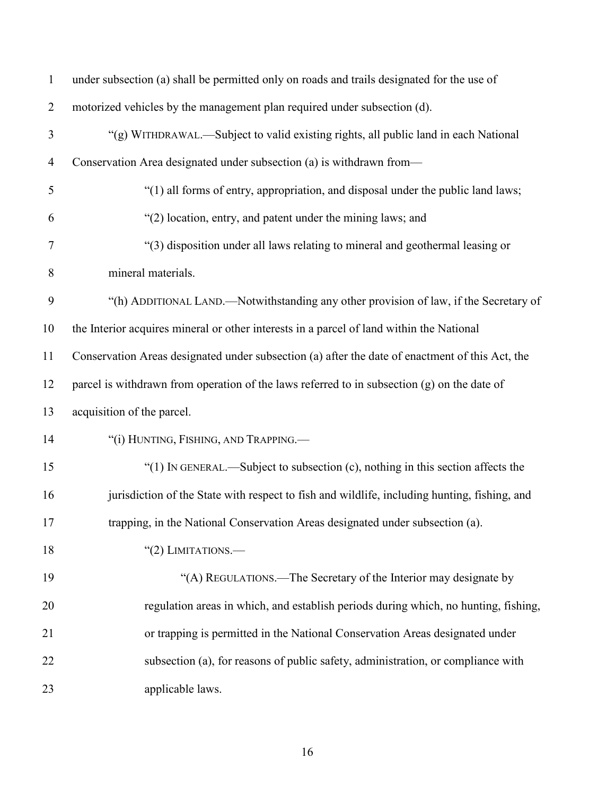| $\mathbf{1}$   | under subsection (a) shall be permitted only on roads and trails designated for the use of      |  |  |  |  |  |  |
|----------------|-------------------------------------------------------------------------------------------------|--|--|--|--|--|--|
| $\overline{2}$ | motorized vehicles by the management plan required under subsection (d).                        |  |  |  |  |  |  |
| 3              | "(g) WITHDRAWAL.—Subject to valid existing rights, all public land in each National             |  |  |  |  |  |  |
| $\overline{4}$ | Conservation Area designated under subsection (a) is withdrawn from—                            |  |  |  |  |  |  |
| 5              | "(1) all forms of entry, appropriation, and disposal under the public land laws;                |  |  |  |  |  |  |
| 6              | "(2) location, entry, and patent under the mining laws; and                                     |  |  |  |  |  |  |
| 7              | "(3) disposition under all laws relating to mineral and geothermal leasing or                   |  |  |  |  |  |  |
| 8              | mineral materials.                                                                              |  |  |  |  |  |  |
| 9              | "(h) ADDITIONAL LAND.—Notwithstanding any other provision of law, if the Secretary of           |  |  |  |  |  |  |
| 10             | the Interior acquires mineral or other interests in a parcel of land within the National        |  |  |  |  |  |  |
| 11             | Conservation Areas designated under subsection (a) after the date of enactment of this Act, the |  |  |  |  |  |  |
| 12             | parcel is withdrawn from operation of the laws referred to in subsection $(g)$ on the date of   |  |  |  |  |  |  |
| 13             | acquisition of the parcel.                                                                      |  |  |  |  |  |  |
| 14             | "(i) HUNTING, FISHING, AND TRAPPING.                                                            |  |  |  |  |  |  |
| 15             | "(1) IN GENERAL.—Subject to subsection $(c)$ , nothing in this section affects the              |  |  |  |  |  |  |
| 16             | jurisdiction of the State with respect to fish and wildlife, including hunting, fishing, and    |  |  |  |  |  |  |
| 17             | trapping, in the National Conservation Areas designated under subsection (a).                   |  |  |  |  |  |  |
| 18             | "(2) LIMITATIONS.—                                                                              |  |  |  |  |  |  |
| 19             | "(A) REGULATIONS.—The Secretary of the Interior may designate by                                |  |  |  |  |  |  |
| 20             | regulation areas in which, and establish periods during which, no hunting, fishing,             |  |  |  |  |  |  |
| 21             | or trapping is permitted in the National Conservation Areas designated under                    |  |  |  |  |  |  |
| 22             | subsection (a), for reasons of public safety, administration, or compliance with                |  |  |  |  |  |  |
| 23             | applicable laws.                                                                                |  |  |  |  |  |  |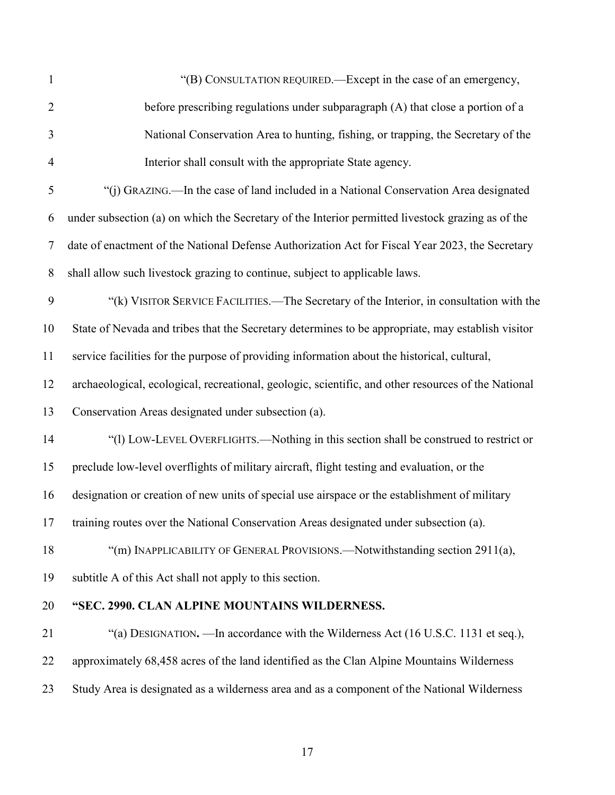| 1              | "(B) CONSULTATION REQUIRED.—Except in the case of an emergency,                                     |  |  |  |  |  |  |  |
|----------------|-----------------------------------------------------------------------------------------------------|--|--|--|--|--|--|--|
| $\overline{2}$ | before prescribing regulations under subparagraph (A) that close a portion of a                     |  |  |  |  |  |  |  |
| 3              | National Conservation Area to hunting, fishing, or trapping, the Secretary of the                   |  |  |  |  |  |  |  |
| $\overline{4}$ | Interior shall consult with the appropriate State agency.                                           |  |  |  |  |  |  |  |
| 5              | "(j) GRAZING.—In the case of land included in a National Conservation Area designated               |  |  |  |  |  |  |  |
| 6              | under subsection (a) on which the Secretary of the Interior permitted livestock grazing as of the   |  |  |  |  |  |  |  |
| $\tau$         | date of enactment of the National Defense Authorization Act for Fiscal Year 2023, the Secretary     |  |  |  |  |  |  |  |
| $8\phantom{.}$ | shall allow such livestock grazing to continue, subject to applicable laws.                         |  |  |  |  |  |  |  |
| 9              | "(k) VISITOR SERVICE FACILITIES.—The Secretary of the Interior, in consultation with the            |  |  |  |  |  |  |  |
| 10             | State of Nevada and tribes that the Secretary determines to be appropriate, may establish visitor   |  |  |  |  |  |  |  |
| 11             | service facilities for the purpose of providing information about the historical, cultural,         |  |  |  |  |  |  |  |
| 12             | archaeological, ecological, recreational, geologic, scientific, and other resources of the National |  |  |  |  |  |  |  |
| 13             | Conservation Areas designated under subsection (a).                                                 |  |  |  |  |  |  |  |
| 14             | "(1) LOW-LEVEL OVERFLIGHTS.—Nothing in this section shall be construed to restrict or               |  |  |  |  |  |  |  |
| 15             | preclude low-level overflights of military aircraft, flight testing and evaluation, or the          |  |  |  |  |  |  |  |
| 16             | designation or creation of new units of special use airspace or the establishment of military       |  |  |  |  |  |  |  |
| 17             | training routes over the National Conservation Areas designated under subsection (a).               |  |  |  |  |  |  |  |
| 18             | "(m) INAPPLICABILITY OF GENERAL PROVISIONS.—Notwithstanding section 2911(a),                        |  |  |  |  |  |  |  |
| 19             | subtitle A of this Act shall not apply to this section.                                             |  |  |  |  |  |  |  |
| 20             | "SEC. 2990. CLAN ALPINE MOUNTAINS WILDERNESS.                                                       |  |  |  |  |  |  |  |
| 21             | "(a) DESIGNATION. —In accordance with the Wilderness Act (16 U.S.C. 1131 et seq.),                  |  |  |  |  |  |  |  |
| 22             | approximately 68,458 acres of the land identified as the Clan Alpine Mountains Wilderness           |  |  |  |  |  |  |  |
| 23             | Study Area is designated as a wilderness area and as a component of the National Wilderness         |  |  |  |  |  |  |  |
|                |                                                                                                     |  |  |  |  |  |  |  |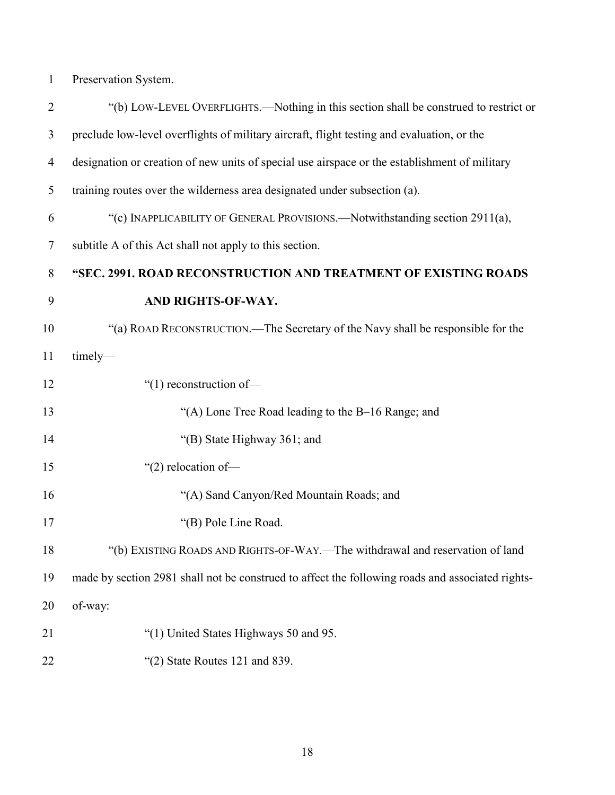Preservation System.

| $\overline{2}$ | "(b) LOW-LEVEL OVERFLIGHTS.—Nothing in this section shall be construed to restrict or            |  |  |  |  |  |  |  |
|----------------|--------------------------------------------------------------------------------------------------|--|--|--|--|--|--|--|
| 3              | preclude low-level overflights of military aircraft, flight testing and evaluation, or the       |  |  |  |  |  |  |  |
| $\overline{4}$ | designation or creation of new units of special use airspace or the establishment of military    |  |  |  |  |  |  |  |
| 5              | training routes over the wilderness area designated under subsection (a).                        |  |  |  |  |  |  |  |
| 6              | "(c) INAPPLICABILITY OF GENERAL PROVISIONS.—Notwithstanding section 2911(a),                     |  |  |  |  |  |  |  |
| $\tau$         | subtitle A of this Act shall not apply to this section.                                          |  |  |  |  |  |  |  |
| 8              | "SEC. 2991. ROAD RECONSTRUCTION AND TREATMENT OF EXISTING ROADS                                  |  |  |  |  |  |  |  |
| 9              | AND RIGHTS-OF-WAY.                                                                               |  |  |  |  |  |  |  |
| 10             | "(a) ROAD RECONSTRUCTION.—The Secretary of the Navy shall be responsible for the                 |  |  |  |  |  |  |  |
| 11             | timely-                                                                                          |  |  |  |  |  |  |  |
| 12             | "(1) reconstruction of-                                                                          |  |  |  |  |  |  |  |
| 13             | "(A) Lone Tree Road leading to the B-16 Range; and                                               |  |  |  |  |  |  |  |
| 14             | "(B) State Highway 361; and                                                                      |  |  |  |  |  |  |  |
| 15             | " $(2)$ relocation of-                                                                           |  |  |  |  |  |  |  |
| 16             | "(A) Sand Canyon/Red Mountain Roads; and                                                         |  |  |  |  |  |  |  |
| 17             | "(B) Pole Line Road.                                                                             |  |  |  |  |  |  |  |
| 18             | "(b) EXISTING ROADS AND RIGHTS-OF-WAY.—The withdrawal and reservation of land                    |  |  |  |  |  |  |  |
| 19             | made by section 2981 shall not be construed to affect the following roads and associated rights- |  |  |  |  |  |  |  |
| 20             | of-way:                                                                                          |  |  |  |  |  |  |  |
| 21             | "(1) United States Highways 50 and 95.                                                           |  |  |  |  |  |  |  |
| 22             | " $(2)$ State Routes 121 and 839.                                                                |  |  |  |  |  |  |  |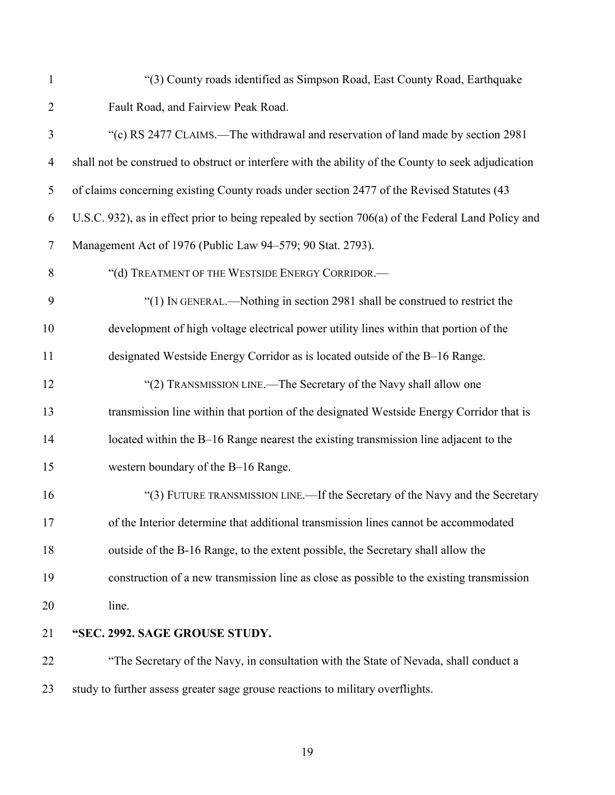"(3) County roads identified as Simpson Road, East County Road, Earthquake Fault Road, and Fairview Peak Road.

 "(c) RS 2477 CLAIMS.—The withdrawal and reservation of land made by section 2981 shall not be construed to obstruct or interfere with the ability of the County to seek adjudication of claims concerning existing County roads under section 2477 of the Revised Statutes (43 U.S.C. 932), as in effect prior to being repealed by section 706(a) of the Federal Land Policy and Management Act of 1976 (Public Law 94–579; 90 Stat. 2793). 8 "(d) TREATMENT OF THE WESTSIDE ENERGY CORRIDOR. "(1) IN GENERAL.—Nothing in section 2981 shall be construed to restrict the development of high voltage electrical power utility lines within that portion of the designated Westside Energy Corridor as is located outside of the B–16 Range. "(2) TRANSMISSION LINE.—The Secretary of the Navy shall allow one transmission line within that portion of the designated Westside Energy Corridor that is located within the B–16 Range nearest the existing transmission line adjacent to the western boundary of the B–16 Range. 16 "(3) FUTURE TRANSMISSION LINE.—If the Secretary of the Navy and the Secretary of the Interior determine that additional transmission lines cannot be accommodated outside of the B-16 Range, to the extent possible, the Secretary shall allow the construction of a new transmission line as close as possible to the existing transmission line. **"SEC. 2992. SAGE GROUSE STUDY.** "The Secretary of the Navy, in consultation with the State of Nevada, shall conduct a study to further assess greater sage grouse reactions to military overflights.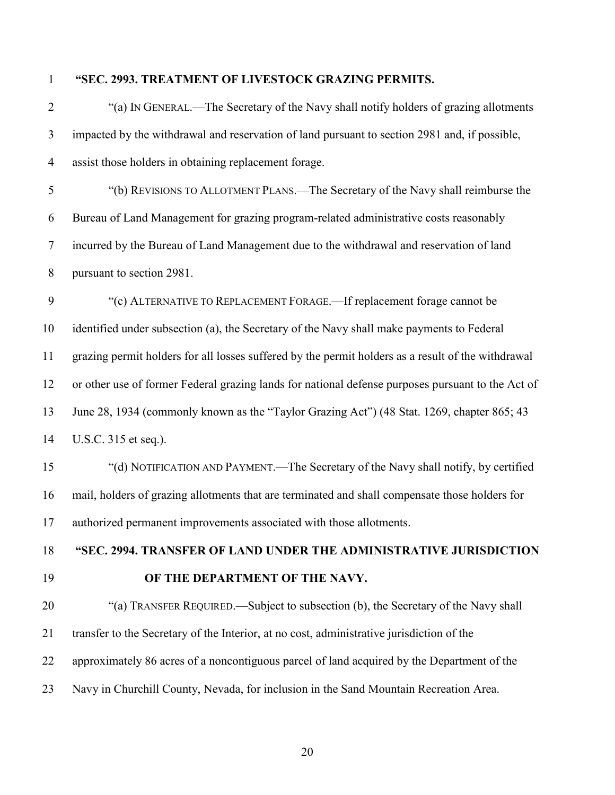# **"SEC. 2993. TREATMENT OF LIVESTOCK GRAZING PERMITS.**

| $\overline{2}$ | "(a) IN GENERAL.—The Secretary of the Navy shall notify holders of grazing allotments              |  |  |  |  |  |  |
|----------------|----------------------------------------------------------------------------------------------------|--|--|--|--|--|--|
| 3              | impacted by the withdrawal and reservation of land pursuant to section 2981 and, if possible,      |  |  |  |  |  |  |
| $\overline{4}$ | assist those holders in obtaining replacement forage.                                              |  |  |  |  |  |  |
| 5              | "(b) REVISIONS TO ALLOTMENT PLANS.—The Secretary of the Navy shall reimburse the                   |  |  |  |  |  |  |
| 6              | Bureau of Land Management for grazing program-related administrative costs reasonably              |  |  |  |  |  |  |
| $\tau$         | incurred by the Bureau of Land Management due to the withdrawal and reservation of land            |  |  |  |  |  |  |
| 8              | pursuant to section 2981.                                                                          |  |  |  |  |  |  |
| 9              | "(c) ALTERNATIVE TO REPLACEMENT FORAGE.—If replacement forage cannot be                            |  |  |  |  |  |  |
| 10             | identified under subsection (a), the Secretary of the Navy shall make payments to Federal          |  |  |  |  |  |  |
| 11             | grazing permit holders for all losses suffered by the permit holders as a result of the withdrawal |  |  |  |  |  |  |
| 12             | or other use of former Federal grazing lands for national defense purposes pursuant to the Act of  |  |  |  |  |  |  |
| 13             | June 28, 1934 (commonly known as the "Taylor Grazing Act") (48 Stat. 1269, chapter 865; 43         |  |  |  |  |  |  |
| 14             | U.S.C. 315 et seq.).                                                                               |  |  |  |  |  |  |
| 15             | "(d) NOTIFICATION AND PAYMENT.—The Secretary of the Navy shall notify, by certified                |  |  |  |  |  |  |
| 16             | mail, holders of grazing allotments that are terminated and shall compensate those holders for     |  |  |  |  |  |  |
| 17             | authorized permanent improvements associated with those allotments.                                |  |  |  |  |  |  |
| 18             | "SEC. 2994. TRANSFER OF LAND UNDER THE ADMINISTRATIVE JURISDICTION                                 |  |  |  |  |  |  |
| 19             | OF THE DEPARTMENT OF THE NAVY.                                                                     |  |  |  |  |  |  |
| 20             | "(a) TRANSFER REQUIRED.—Subject to subsection (b), the Secretary of the Navy shall                 |  |  |  |  |  |  |
| 21             | transfer to the Secretary of the Interior, at no cost, administrative jurisdiction of the          |  |  |  |  |  |  |
| 22             | approximately 86 acres of a noncontiguous parcel of land acquired by the Department of the         |  |  |  |  |  |  |
| 23             | Navy in Churchill County, Nevada, for inclusion in the Sand Mountain Recreation Area.              |  |  |  |  |  |  |
|                |                                                                                                    |  |  |  |  |  |  |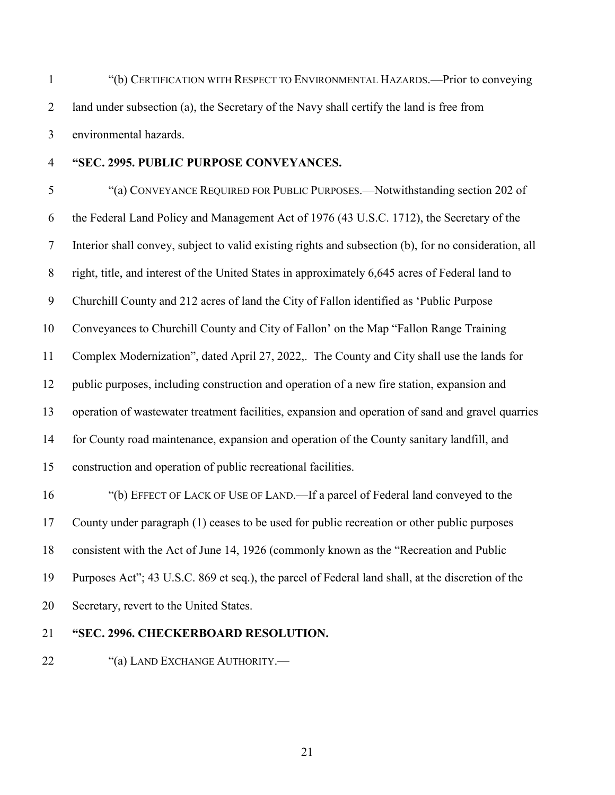- "(b) CERTIFICATION WITH RESPECT TO ENVIRONMENTAL HAZARDS.—Prior to conveying land under subsection (a), the Secretary of the Navy shall certify the land is free from environmental hazards.
- 

#### **"SEC. 2995. PUBLIC PURPOSE CONVEYANCES.**

 "(a) CONVEYANCE REQUIRED FOR PUBLIC PURPOSES.—Notwithstanding section 202 of the Federal Land Policy and Management Act of 1976 (43 U.S.C. 1712), the Secretary of the Interior shall convey, subject to valid existing rights and subsection (b), for no consideration, all right, title, and interest of the United States in approximately 6,645 acres of Federal land to Churchill County and 212 acres of land the City of Fallon identified as 'Public Purpose Conveyances to Churchill County and City of Fallon' on the Map "Fallon Range Training Complex Modernization", dated April 27, 2022,. The County and City shall use the lands for public purposes, including construction and operation of a new fire station, expansion and operation of wastewater treatment facilities, expansion and operation of sand and gravel quarries for County road maintenance, expansion and operation of the County sanitary landfill, and construction and operation of public recreational facilities.

 "(b) EFFECT OF LACK OF USE OF LAND.—If a parcel of Federal land conveyed to the County under paragraph (1) ceases to be used for public recreation or other public purposes consistent with the Act of June 14, 1926 (commonly known as the "Recreation and Public Purposes Act"; 43 U.S.C. 869 et seq.), the parcel of Federal land shall, at the discretion of the Secretary, revert to the United States.

#### **"SEC. 2996. CHECKERBOARD RESOLUTION.**

22 "(a) LAND EXCHANGE AUTHORITY.—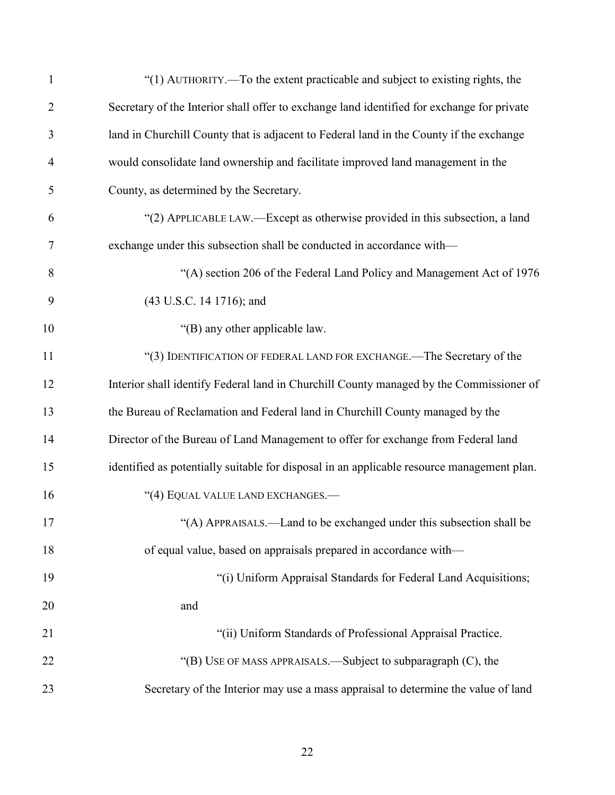| $\mathbf{1}$   | "(1) AUTHORITY.—To the extent practicable and subject to existing rights, the              |
|----------------|--------------------------------------------------------------------------------------------|
| $\overline{2}$ | Secretary of the Interior shall offer to exchange land identified for exchange for private |
| 3              | land in Churchill County that is adjacent to Federal land in the County if the exchange    |
| 4              | would consolidate land ownership and facilitate improved land management in the            |
| 5              | County, as determined by the Secretary.                                                    |
| 6              | "(2) APPLICABLE LAW.—Except as otherwise provided in this subsection, a land               |
| 7              | exchange under this subsection shall be conducted in accordance with—                      |
| 8              | "(A) section 206 of the Federal Land Policy and Management Act of 1976                     |
| 9              | (43 U.S.C. 14 1716); and                                                                   |
| 10             | "(B) any other applicable law.                                                             |
| 11             | "(3) IDENTIFICATION OF FEDERAL LAND FOR EXCHANGE.—The Secretary of the                     |
| 12             | Interior shall identify Federal land in Churchill County managed by the Commissioner of    |
| 13             | the Bureau of Reclamation and Federal land in Churchill County managed by the              |
| 14             | Director of the Bureau of Land Management to offer for exchange from Federal land          |
| 15             | identified as potentially suitable for disposal in an applicable resource management plan. |
| 16             | "(4) EQUAL VALUE LAND EXCHANGES.-                                                          |
| 17             | "(A) APPRAISALS.—Land to be exchanged under this subsection shall be                       |
| 18             | of equal value, based on appraisals prepared in accordance with-                           |
| 19             | "(i) Uniform Appraisal Standards for Federal Land Acquisitions;                            |
| 20             | and                                                                                        |
| 21             | "(ii) Uniform Standards of Professional Appraisal Practice.                                |
| 22             | "(B) USE OF MASS APPRAISALS.—Subject to subparagraph (C), the                              |
| 23             | Secretary of the Interior may use a mass appraisal to determine the value of land          |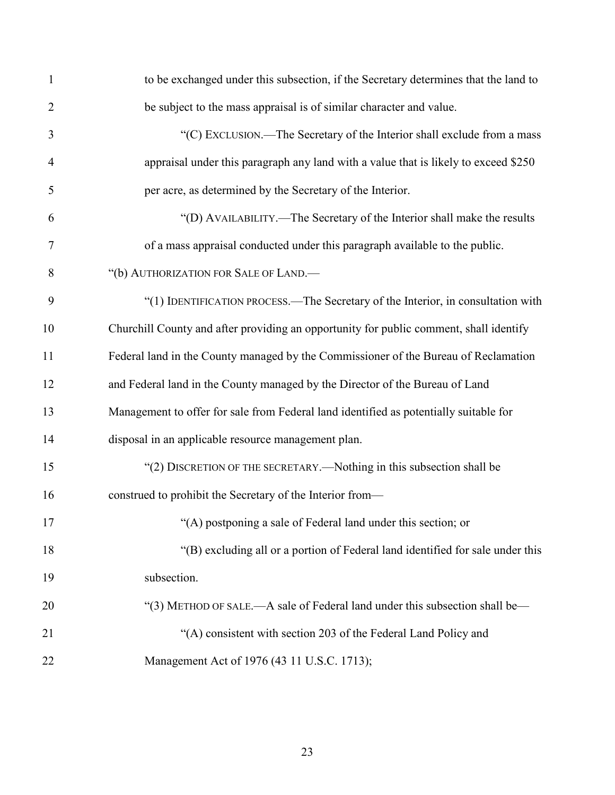| $\mathbf{1}$   | to be exchanged under this subsection, if the Secretary determines that the land to    |
|----------------|----------------------------------------------------------------------------------------|
| $\overline{2}$ | be subject to the mass appraisal is of similar character and value.                    |
| 3              | "(C) EXCLUSION.—The Secretary of the Interior shall exclude from a mass                |
| $\overline{4}$ | appraisal under this paragraph any land with a value that is likely to exceed \$250    |
| 5              | per acre, as determined by the Secretary of the Interior.                              |
| 6              | "(D) AVAILABILITY.—The Secretary of the Interior shall make the results                |
| 7              | of a mass appraisal conducted under this paragraph available to the public.            |
| 8              | "(b) AUTHORIZATION FOR SALE OF LAND.-                                                  |
| 9              | "(1) IDENTIFICATION PROCESS.—The Secretary of the Interior, in consultation with       |
| 10             | Churchill County and after providing an opportunity for public comment, shall identify |
| 11             | Federal land in the County managed by the Commissioner of the Bureau of Reclamation    |
| 12             | and Federal land in the County managed by the Director of the Bureau of Land           |
| 13             | Management to offer for sale from Federal land identified as potentially suitable for  |
| 14             | disposal in an applicable resource management plan.                                    |
| 15             | "(2) DISCRETION OF THE SECRETARY.—Nothing in this subsection shall be                  |
| 16             | construed to prohibit the Secretary of the Interior from-                              |
| 17             | "(A) postponing a sale of Federal land under this section; or                          |
| 18             | "(B) excluding all or a portion of Federal land identified for sale under this         |
| 19             | subsection.                                                                            |
| 20             | "(3) METHOD OF SALE.—A sale of Federal land under this subsection shall be—            |
| 21             | "(A) consistent with section 203 of the Federal Land Policy and                        |
| 22             | Management Act of 1976 (43 11 U.S.C. 1713);                                            |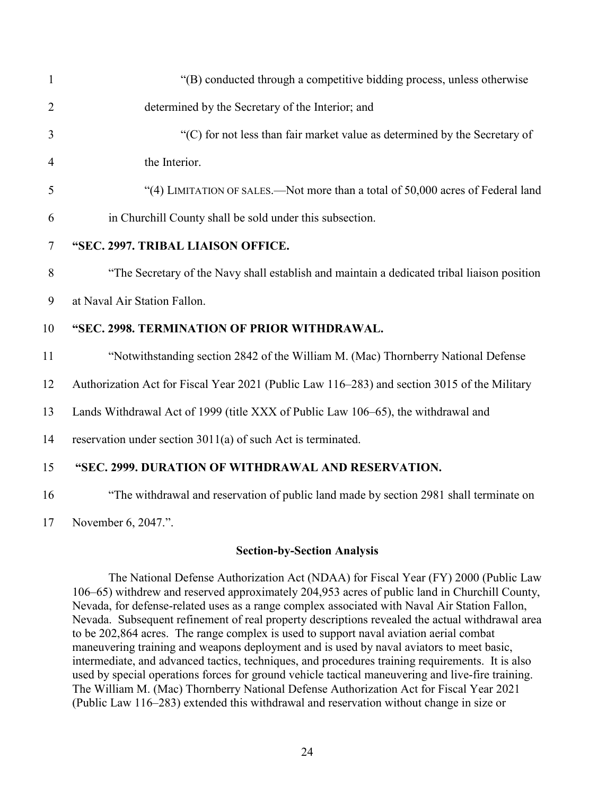| $\mathbf{1}$   | "(B) conducted through a competitive bidding process, unless otherwise                       |  |  |  |  |  |  |
|----------------|----------------------------------------------------------------------------------------------|--|--|--|--|--|--|
| $\overline{2}$ | determined by the Secretary of the Interior; and                                             |  |  |  |  |  |  |
| 3              | "(C) for not less than fair market value as determined by the Secretary of                   |  |  |  |  |  |  |
| $\overline{4}$ | the Interior.                                                                                |  |  |  |  |  |  |
| 5              | "(4) LIMITATION OF SALES.—Not more than a total of 50,000 acres of Federal land              |  |  |  |  |  |  |
| 6              | in Churchill County shall be sold under this subsection.                                     |  |  |  |  |  |  |
| $\tau$         | "SEC. 2997. TRIBAL LIAISON OFFICE.                                                           |  |  |  |  |  |  |
| 8              | "The Secretary of the Navy shall establish and maintain a dedicated tribal liaison position  |  |  |  |  |  |  |
| 9              | at Naval Air Station Fallon.                                                                 |  |  |  |  |  |  |
| 10             | "SEC. 2998. TERMINATION OF PRIOR WITHDRAWAL.                                                 |  |  |  |  |  |  |
| 11             | "Notwithstanding section 2842 of the William M. (Mac) Thornberry National Defense            |  |  |  |  |  |  |
| 12             | Authorization Act for Fiscal Year 2021 (Public Law 116–283) and section 3015 of the Military |  |  |  |  |  |  |
| 13             | Lands Withdrawal Act of 1999 (title XXX of Public Law 106–65), the withdrawal and            |  |  |  |  |  |  |
| 14             | reservation under section 3011(a) of such Act is terminated.                                 |  |  |  |  |  |  |
| 15             | "SEC. 2999. DURATION OF WITHDRAWAL AND RESERVATION.                                          |  |  |  |  |  |  |
| 16             | "The withdrawal and reservation of public land made by section 2981 shall terminate on       |  |  |  |  |  |  |
|                |                                                                                              |  |  |  |  |  |  |

17 November 6, 2047.".

#### **Section-by-Section Analysis**

The National Defense Authorization Act (NDAA) for Fiscal Year (FY) 2000 (Public Law 106–65) withdrew and reserved approximately 204,953 acres of public land in Churchill County, Nevada, for defense-related uses as a range complex associated with Naval Air Station Fallon, Nevada. Subsequent refinement of real property descriptions revealed the actual withdrawal area to be 202,864 acres. The range complex is used to support naval aviation aerial combat maneuvering training and weapons deployment and is used by naval aviators to meet basic, intermediate, and advanced tactics, techniques, and procedures training requirements. It is also used by special operations forces for ground vehicle tactical maneuvering and live-fire training. The William M. (Mac) Thornberry National Defense Authorization Act for Fiscal Year 2021 (Public Law 116–283) extended this withdrawal and reservation without change in size or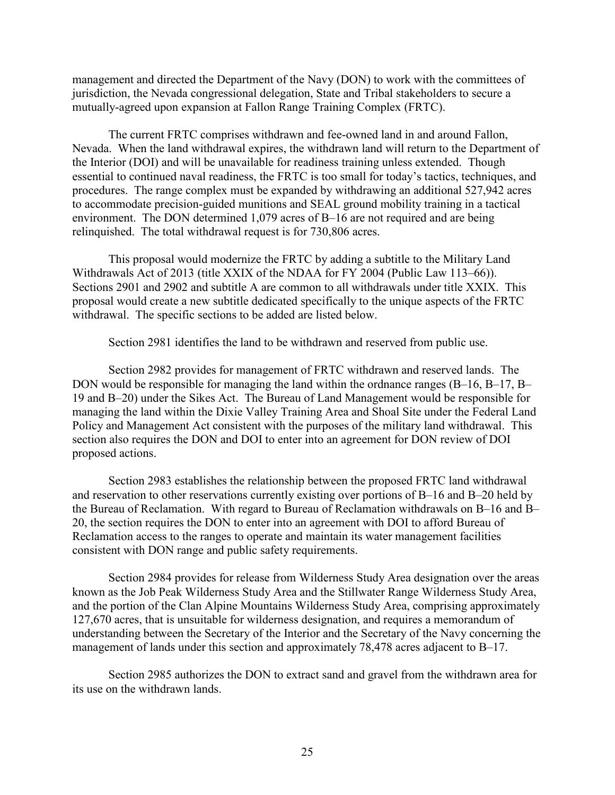management and directed the Department of the Navy (DON) to work with the committees of jurisdiction, the Nevada congressional delegation, State and Tribal stakeholders to secure a mutually-agreed upon expansion at Fallon Range Training Complex (FRTC).

The current FRTC comprises withdrawn and fee-owned land in and around Fallon, Nevada. When the land withdrawal expires, the withdrawn land will return to the Department of the Interior (DOI) and will be unavailable for readiness training unless extended. Though essential to continued naval readiness, the FRTC is too small for today's tactics, techniques, and procedures. The range complex must be expanded by withdrawing an additional 527,942 acres to accommodate precision-guided munitions and SEAL ground mobility training in a tactical environment. The DON determined 1,079 acres of B–16 are not required and are being relinquished. The total withdrawal request is for 730,806 acres.

This proposal would modernize the FRTC by adding a subtitle to the Military Land Withdrawals Act of 2013 (title XXIX of the NDAA for FY 2004 (Public Law 113–66)). Sections 2901 and 2902 and subtitle A are common to all withdrawals under title XXIX. This proposal would create a new subtitle dedicated specifically to the unique aspects of the FRTC withdrawal. The specific sections to be added are listed below.

Section 2981 identifies the land to be withdrawn and reserved from public use.

Section 2982 provides for management of FRTC withdrawn and reserved lands. The DON would be responsible for managing the land within the ordnance ranges (B-16, B-17, B-19 and B–20) under the Sikes Act. The Bureau of Land Management would be responsible for managing the land within the Dixie Valley Training Area and Shoal Site under the Federal Land Policy and Management Act consistent with the purposes of the military land withdrawal. This section also requires the DON and DOI to enter into an agreement for DON review of DOI proposed actions.

Section 2983 establishes the relationship between the proposed FRTC land withdrawal and reservation to other reservations currently existing over portions of B–16 and B–20 held by the Bureau of Reclamation. With regard to Bureau of Reclamation withdrawals on B–16 and B– 20, the section requires the DON to enter into an agreement with DOI to afford Bureau of Reclamation access to the ranges to operate and maintain its water management facilities consistent with DON range and public safety requirements.

Section 2984 provides for release from Wilderness Study Area designation over the areas known as the Job Peak Wilderness Study Area and the Stillwater Range Wilderness Study Area, and the portion of the Clan Alpine Mountains Wilderness Study Area, comprising approximately 127,670 acres, that is unsuitable for wilderness designation, and requires a memorandum of understanding between the Secretary of the Interior and the Secretary of the Navy concerning the management of lands under this section and approximately 78,478 acres adjacent to B–17.

Section 2985 authorizes the DON to extract sand and gravel from the withdrawn area for its use on the withdrawn lands.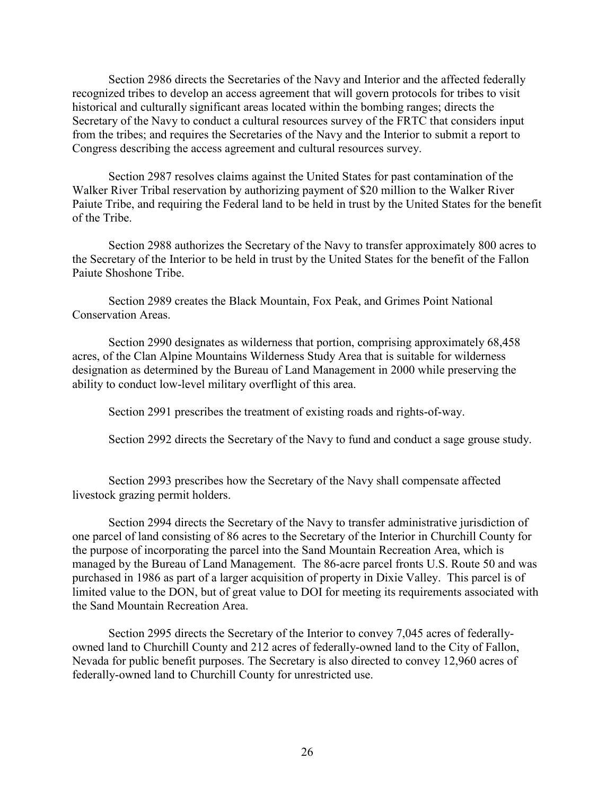Section 2986 directs the Secretaries of the Navy and Interior and the affected federally recognized tribes to develop an access agreement that will govern protocols for tribes to visit historical and culturally significant areas located within the bombing ranges; directs the Secretary of the Navy to conduct a cultural resources survey of the FRTC that considers input from the tribes; and requires the Secretaries of the Navy and the Interior to submit a report to Congress describing the access agreement and cultural resources survey.

Section 2987 resolves claims against the United States for past contamination of the Walker River Tribal reservation by authorizing payment of \$20 million to the Walker River Paiute Tribe, and requiring the Federal land to be held in trust by the United States for the benefit of the Tribe.

Section 2988 authorizes the Secretary of the Navy to transfer approximately 800 acres to the Secretary of the Interior to be held in trust by the United States for the benefit of the Fallon Paiute Shoshone Tribe.

Section 2989 creates the Black Mountain, Fox Peak, and Grimes Point National Conservation Areas.

Section 2990 designates as wilderness that portion, comprising approximately 68,458 acres, of the Clan Alpine Mountains Wilderness Study Area that is suitable for wilderness designation as determined by the Bureau of Land Management in 2000 while preserving the ability to conduct low-level military overflight of this area.

Section 2991 prescribes the treatment of existing roads and rights-of-way.

Section 2992 directs the Secretary of the Navy to fund and conduct a sage grouse study.

Section 2993 prescribes how the Secretary of the Navy shall compensate affected livestock grazing permit holders.

Section 2994 directs the Secretary of the Navy to transfer administrative jurisdiction of one parcel of land consisting of 86 acres to the Secretary of the Interior in Churchill County for the purpose of incorporating the parcel into the Sand Mountain Recreation Area, which is managed by the Bureau of Land Management. The 86-acre parcel fronts U.S. Route 50 and was purchased in 1986 as part of a larger acquisition of property in Dixie Valley. This parcel is of limited value to the DON, but of great value to DOI for meeting its requirements associated with the Sand Mountain Recreation Area.

Section 2995 directs the Secretary of the Interior to convey 7,045 acres of federallyowned land to Churchill County and 212 acres of federally-owned land to the City of Fallon, Nevada for public benefit purposes. The Secretary is also directed to convey 12,960 acres of federally-owned land to Churchill County for unrestricted use.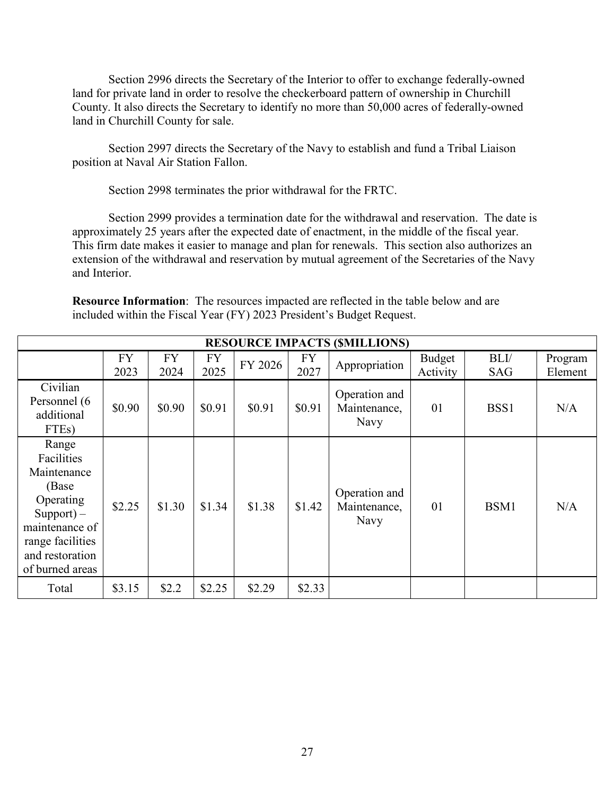Section 2996 directs the Secretary of the Interior to offer to exchange federally-owned land for private land in order to resolve the checkerboard pattern of ownership in Churchill County. It also directs the Secretary to identify no more than 50,000 acres of federally-owned land in Churchill County for sale.

Section 2997 directs the Secretary of the Navy to establish and fund a Tribal Liaison position at Naval Air Station Fallon.

Section 2998 terminates the prior withdrawal for the FRTC.

Section 2999 provides a termination date for the withdrawal and reservation. The date is approximately 25 years after the expected date of enactment, in the middle of the fiscal year. This firm date makes it easier to manage and plan for renewals. This section also authorizes an extension of the withdrawal and reservation by mutual agreement of the Secretaries of the Navy and Interior.

| <b>Resource Information:</b> The resources impacted are reflected in the table below and are |  |  |  |
|----------------------------------------------------------------------------------------------|--|--|--|
| included within the Fiscal Year (FY) 2023 President's Budget Request.                        |  |  |  |

| <b>RESOURCE IMPACTS (SMILLIONS)</b>                                                                                                                   |                   |                   |                   |         |                   |                                       |                    |                    |                    |
|-------------------------------------------------------------------------------------------------------------------------------------------------------|-------------------|-------------------|-------------------|---------|-------------------|---------------------------------------|--------------------|--------------------|--------------------|
|                                                                                                                                                       | <b>FY</b><br>2023 | <b>FY</b><br>2024 | <b>FY</b><br>2025 | FY 2026 | <b>FY</b><br>2027 | Appropriation                         | Budget<br>Activity | BLI/<br><b>SAG</b> | Program<br>Element |
| Civilian<br>Personnel (6<br>additional<br>FTE <sub>s</sub> )                                                                                          | \$0.90            | \$0.90            | \$0.91            | \$0.91  | \$0.91            | Operation and<br>Maintenance,<br>Navy | 01                 | BSS1               | N/A                |
| Range<br>Facilities<br>Maintenance<br>(Base)<br>Operating<br>$Support) -$<br>maintenance of<br>range facilities<br>and restoration<br>of burned areas | \$2.25            | \$1.30            | \$1.34            | \$1.38  | \$1.42            | Operation and<br>Maintenance,<br>Navy | 01                 | BSM1               | N/A                |
| Total                                                                                                                                                 | \$3.15            | \$2.2             | \$2.25            | \$2.29  | \$2.33            |                                       |                    |                    |                    |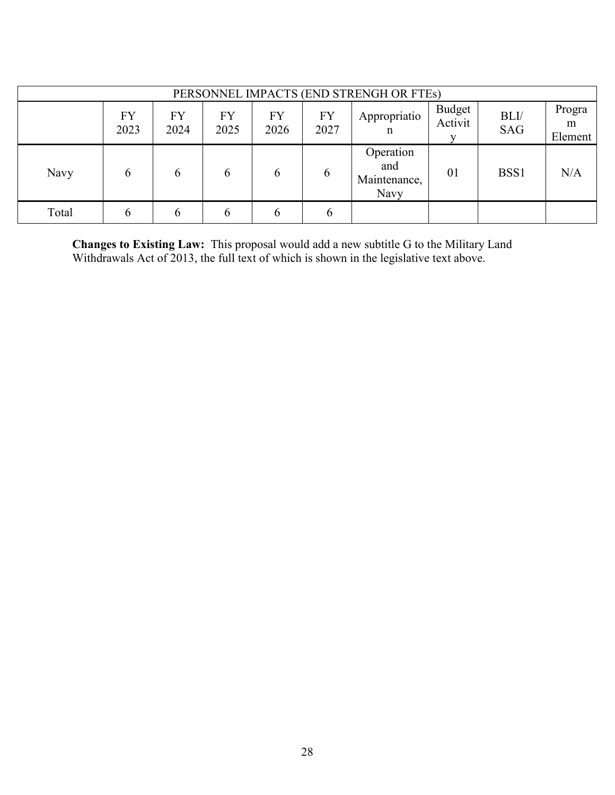|       |                   |            |                   |            |                   | PERSONNEL IMPACTS (END STRENGH OR FTEs)  |                   |                    |                        |
|-------|-------------------|------------|-------------------|------------|-------------------|------------------------------------------|-------------------|--------------------|------------------------|
|       | <b>FY</b><br>2023 | FY<br>2024 | <b>FY</b><br>2025 | FY<br>2026 | <b>FY</b><br>2027 | Appropriatio<br>n                        | Budget<br>Activit | BLI/<br><b>SAG</b> | Progra<br>m<br>Element |
| Navy  | 6                 | 6          | 6                 | 6          | 6                 | Operation<br>and<br>Maintenance,<br>Navy | 01                | BSS1               | N/A                    |
| Total | $\mathfrak b$     | b          | h                 | 6          | 6                 |                                          |                   |                    |                        |

**Changes to Existing Law:** This proposal would add a new subtitle G to the Military Land Withdrawals Act of 2013, the full text of which is shown in the legislative text above.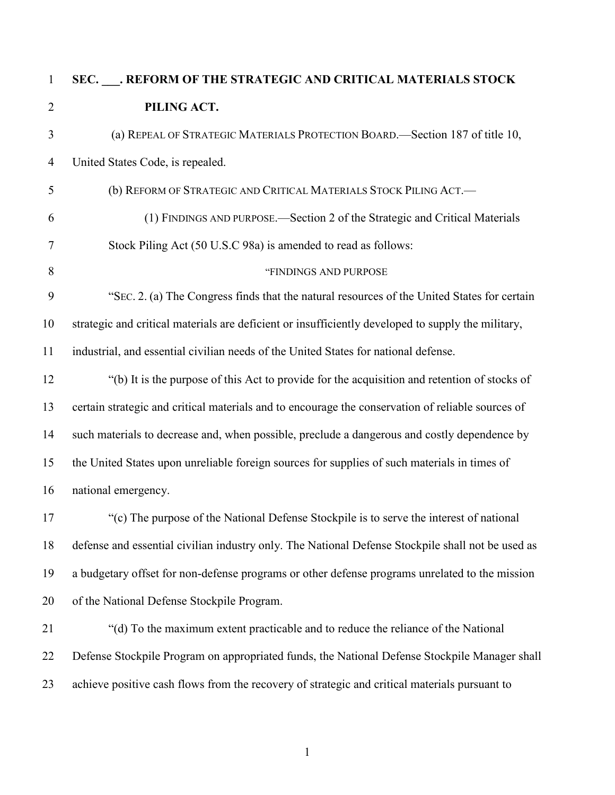# **SEC. \_\_\_. REFORM OF THE STRATEGIC AND CRITICAL MATERIALS STOCK PILING ACT.** (a) REPEAL OF STRATEGIC MATERIALS PROTECTION BOARD.—Section 187 of title 10, United States Code, is repealed. (b) REFORM OF STRATEGIC AND CRITICAL MATERIALS STOCK PILING ACT.— (1) FINDINGS AND PURPOSE.—Section 2 of the Strategic and Critical Materials Stock Piling Act (50 U.S.C 98a) is amended to read as follows: 8 "FINDINGS AND PURPOSE" "SEC. 2. (a) The Congress finds that the natural resources of the United States for certain strategic and critical materials are deficient or insufficiently developed to supply the military, industrial, and essential civilian needs of the United States for national defense. "(b) It is the purpose of this Act to provide for the acquisition and retention of stocks of certain strategic and critical materials and to encourage the conservation of reliable sources of such materials to decrease and, when possible, preclude a dangerous and costly dependence by the United States upon unreliable foreign sources for supplies of such materials in times of national emergency. "(c) The purpose of the National Defense Stockpile is to serve the interest of national defense and essential civilian industry only. The National Defense Stockpile shall not be used as a budgetary offset for non-defense programs or other defense programs unrelated to the mission of the National Defense Stockpile Program. "(d) To the maximum extent practicable and to reduce the reliance of the National Defense Stockpile Program on appropriated funds, the National Defense Stockpile Manager shall achieve positive cash flows from the recovery of strategic and critical materials pursuant to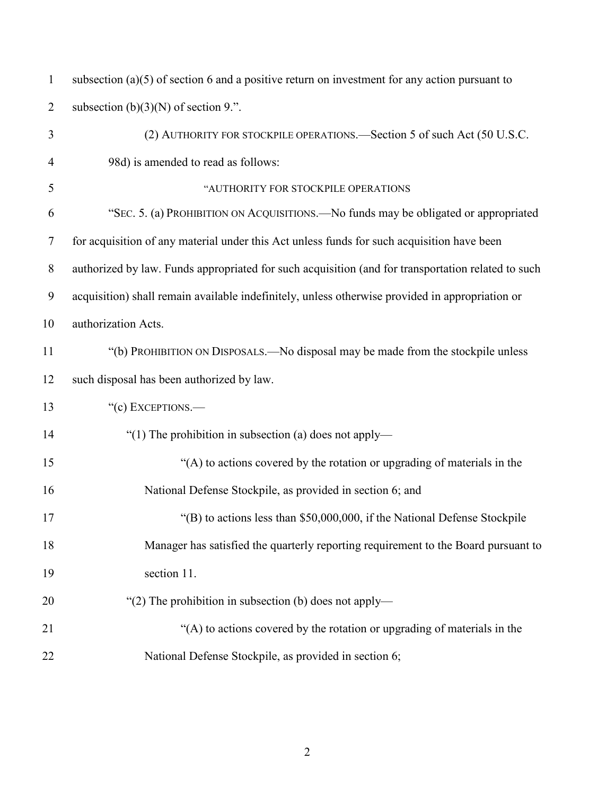| $\mathbf{1}$   | subsection $(a)(5)$ of section 6 and a positive return on investment for any action pursuant to    |
|----------------|----------------------------------------------------------------------------------------------------|
| $\overline{2}$ | subsection $(b)(3)(N)$ of section 9.".                                                             |
| 3              | (2) AUTHORITY FOR STOCKPILE OPERATIONS.—Section 5 of such Act (50 U.S.C.                           |
| 4              | 98d) is amended to read as follows:                                                                |
| 5              | "AUTHORITY FOR STOCKPILE OPERATIONS                                                                |
| 6              | "SEC. 5. (a) PROHIBITION ON ACQUISITIONS.—No funds may be obligated or appropriated                |
| $\overline{7}$ | for acquisition of any material under this Act unless funds for such acquisition have been         |
| $8\phantom{.}$ | authorized by law. Funds appropriated for such acquisition (and for transportation related to such |
| 9              | acquisition) shall remain available indefinitely, unless otherwise provided in appropriation or    |
| 10             | authorization Acts.                                                                                |
| 11             | "(b) PROHIBITION ON DISPOSALS.—No disposal may be made from the stockpile unless                   |
| 12             | such disposal has been authorized by law.                                                          |
| 13             | "(c) EXCEPTIONS.-                                                                                  |
| 14             | "(1) The prohibition in subsection (a) does not apply—                                             |
| 15             | "(A) to actions covered by the rotation or upgrading of materials in the                           |
| 16             | National Defense Stockpile, as provided in section 6; and                                          |
| 17             | " $(B)$ to actions less than \$50,000,000, if the National Defense Stockpile                       |
| 18             | Manager has satisfied the quarterly reporting requirement to the Board pursuant to                 |
| 19             | section 11.                                                                                        |
| 20             | "(2) The prohibition in subsection (b) does not apply—                                             |
| 21             | "(A) to actions covered by the rotation or upgrading of materials in the                           |
| 22             | National Defense Stockpile, as provided in section 6;                                              |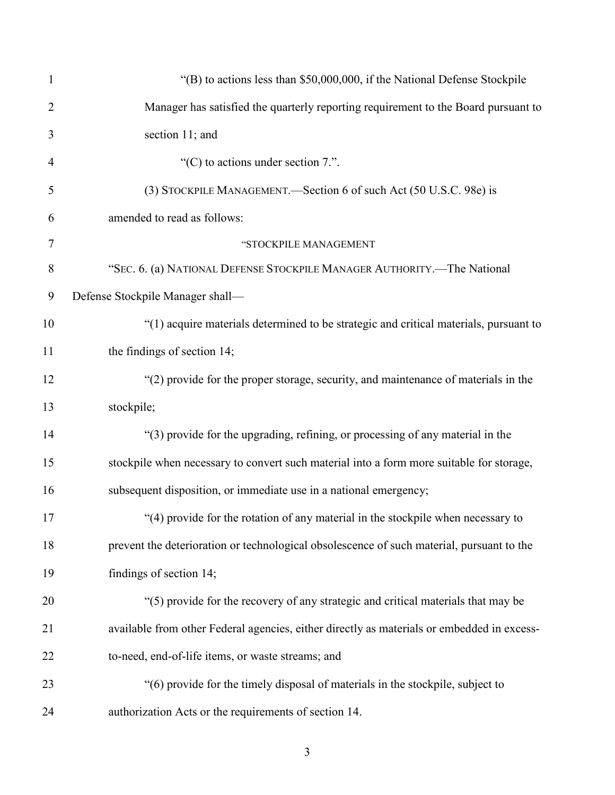| 1              | " $(B)$ to actions less than \$50,000,000, if the National Defense Stockpile               |
|----------------|--------------------------------------------------------------------------------------------|
| $\overline{2}$ | Manager has satisfied the quarterly reporting requirement to the Board pursuant to         |
| 3              | section 11; and                                                                            |
| $\overline{4}$ | "(C) to actions under section $7$ .".                                                      |
| 5              | (3) STOCKPILE MANAGEMENT.—Section 6 of such Act (50 U.S.C. 98e) is                         |
| 6              | amended to read as follows:                                                                |
| $\tau$         | "STOCKPILE MANAGEMENT                                                                      |
| 8              | "SEC. 6. (a) NATIONAL DEFENSE STOCKPILE MANAGER AUTHORITY.—The National                    |
| 9              | Defense Stockpile Manager shall-                                                           |
| 10             | "(1) acquire materials determined to be strategic and critical materials, pursuant to      |
| 11             | the findings of section 14;                                                                |
| 12             | "(2) provide for the proper storage, security, and maintenance of materials in the         |
| 13             | stockpile;                                                                                 |
| 14             | "(3) provide for the upgrading, refining, or processing of any material in the             |
| 15             | stockpile when necessary to convert such material into a form more suitable for storage,   |
| 16             | subsequent disposition, or immediate use in a national emergency;                          |
| 17             | "(4) provide for the rotation of any material in the stockpile when necessary to           |
| 18             | prevent the deterioration or technological obsolescence of such material, pursuant to the  |
| 19             | findings of section 14;                                                                    |
| 20             | "(5) provide for the recovery of any strategic and critical materials that may be          |
| 21             | available from other Federal agencies, either directly as materials or embedded in excess- |
| 22             | to-need, end-of-life items, or waste streams; and                                          |
| 23             | "(6) provide for the timely disposal of materials in the stockpile, subject to             |
| 24             | authorization Acts or the requirements of section 14.                                      |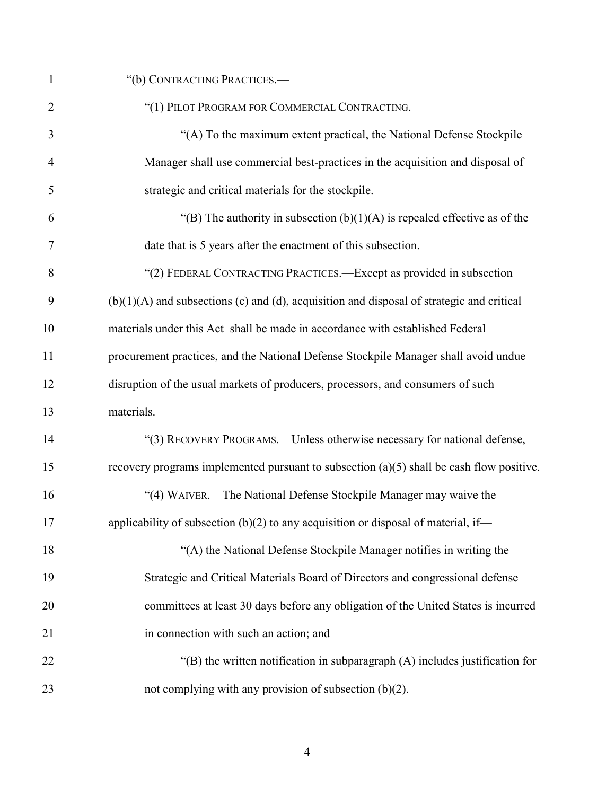| $\mathbf{1}$   | "(b) CONTRACTING PRACTICES.-                                                                |
|----------------|---------------------------------------------------------------------------------------------|
| $\overline{2}$ | "(1) PILOT PROGRAM FOR COMMERCIAL CONTRACTING.                                              |
| 3              | "(A) To the maximum extent practical, the National Defense Stockpile                        |
| $\overline{4}$ | Manager shall use commercial best-practices in the acquisition and disposal of              |
| 5              | strategic and critical materials for the stockpile.                                         |
| 6              | "(B) The authority in subsection $(b)(1)(A)$ is repealed effective as of the                |
| 7              | date that is 5 years after the enactment of this subsection.                                |
| 8              | "(2) FEDERAL CONTRACTING PRACTICES.—Except as provided in subsection                        |
| 9              | $(b)(1)(A)$ and subsections (c) and (d), acquisition and disposal of strategic and critical |
| 10             | materials under this Act shall be made in accordance with established Federal               |
| 11             | procurement practices, and the National Defense Stockpile Manager shall avoid undue         |
| 12             | disruption of the usual markets of producers, processors, and consumers of such             |
| 13             | materials.                                                                                  |
| 14             | "(3) RECOVERY PROGRAMS.—Unless otherwise necessary for national defense,                    |
| 15             | recovery programs implemented pursuant to subsection $(a)(5)$ shall be cash flow positive.  |
| 16             | "(4) WAIVER.—The National Defense Stockpile Manager may waive the                           |
| 17             | applicability of subsection $(b)(2)$ to any acquisition or disposal of material, if-        |
| 18             | "(A) the National Defense Stockpile Manager notifies in writing the                         |
| 19             | Strategic and Critical Materials Board of Directors and congressional defense               |
| 20             | committees at least 30 days before any obligation of the United States is incurred          |
| 21             | in connection with such an action; and                                                      |
| 22             | " $(B)$ the written notification in subparagraph $(A)$ includes justification for           |
| 23             | not complying with any provision of subsection $(b)(2)$ .                                   |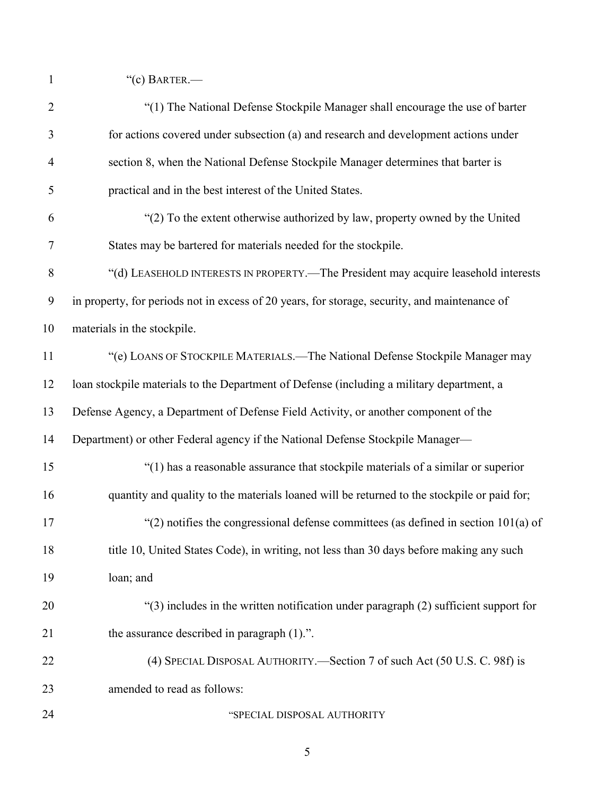1 "(c) BARTER.—

| $\overline{2}$ | "(1) The National Defense Stockpile Manager shall encourage the use of barter                 |
|----------------|-----------------------------------------------------------------------------------------------|
| 3              | for actions covered under subsection (a) and research and development actions under           |
| $\overline{4}$ | section 8, when the National Defense Stockpile Manager determines that barter is              |
| 5              | practical and in the best interest of the United States.                                      |
| 6              | "(2) To the extent otherwise authorized by law, property owned by the United                  |
| $\tau$         | States may be bartered for materials needed for the stockpile.                                |
| $8\,$          | "(d) LEASEHOLD INTERESTS IN PROPERTY.—The President may acquire leasehold interests           |
| 9              | in property, for periods not in excess of 20 years, for storage, security, and maintenance of |
| 10             | materials in the stockpile.                                                                   |
| 11             | "(e) LOANS OF STOCKPILE MATERIALS.—The National Defense Stockpile Manager may                 |
| 12             | loan stockpile materials to the Department of Defense (including a military department, a     |
| 13             | Defense Agency, a Department of Defense Field Activity, or another component of the           |
| 14             | Department) or other Federal agency if the National Defense Stockpile Manager-                |
| 15             | "(1) has a reasonable assurance that stockpile materials of a similar or superior             |
| 16             | quantity and quality to the materials loaned will be returned to the stockpile or paid for;   |
| 17             | "(2) notifies the congressional defense committees (as defined in section $101(a)$ of         |
| 18             | title 10, United States Code), in writing, not less than 30 days before making any such       |
| 19             | loan; and                                                                                     |
| 20             | " $(3)$ includes in the written notification under paragraph $(2)$ sufficient support for     |
| 21             | the assurance described in paragraph (1).".                                                   |
| 22             | (4) SPECIAL DISPOSAL AUTHORITY.—Section 7 of such Act (50 U.S. C. 98f) is                     |
| 23             | amended to read as follows:                                                                   |
| 24             | "SPECIAL DISPOSAL AUTHORITY                                                                   |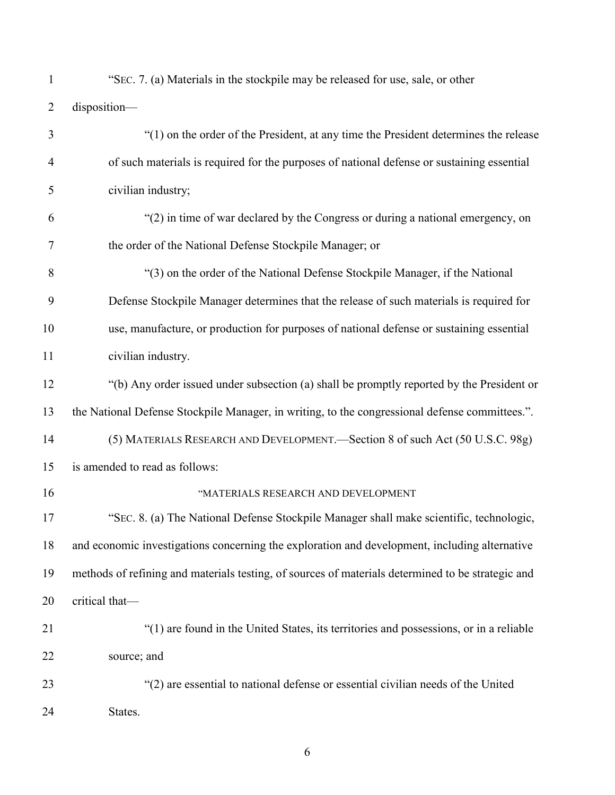| $\mathbf{1}$   | "SEC. 7. (a) Materials in the stockpile may be released for use, sale, or other                   |
|----------------|---------------------------------------------------------------------------------------------------|
| $\overline{2}$ | disposition-                                                                                      |
| 3              | "(1) on the order of the President, at any time the President determines the release              |
| 4              | of such materials is required for the purposes of national defense or sustaining essential        |
| 5              | civilian industry;                                                                                |
| 6              | "(2) in time of war declared by the Congress or during a national emergency, on                   |
| 7              | the order of the National Defense Stockpile Manager; or                                           |
| 8              | "(3) on the order of the National Defense Stockpile Manager, if the National                      |
| 9              | Defense Stockpile Manager determines that the release of such materials is required for           |
| 10             | use, manufacture, or production for purposes of national defense or sustaining essential          |
| 11             | civilian industry.                                                                                |
| 12             | "(b) Any order issued under subsection (a) shall be promptly reported by the President or         |
| 13             | the National Defense Stockpile Manager, in writing, to the congressional defense committees.".    |
| 14             | (5) MATERIALS RESEARCH AND DEVELOPMENT.—Section 8 of such Act (50 U.S.C. 98g)                     |
| 15             | is amended to read as follows:                                                                    |
| 16             | "MATERIALS RESEARCH AND DEVELOPMENT                                                               |
| 17             | "SEC. 8. (a) The National Defense Stockpile Manager shall make scientific, technologic,           |
| 18             | and economic investigations concerning the exploration and development, including alternative     |
| 19             | methods of refining and materials testing, of sources of materials determined to be strategic and |
| 20             | critical that-                                                                                    |
| 21             | "(1) are found in the United States, its territories and possessions, or in a reliable            |
| 22             | source; and                                                                                       |
| 23             | "(2) are essential to national defense or essential civilian needs of the United                  |
| 24             | States.                                                                                           |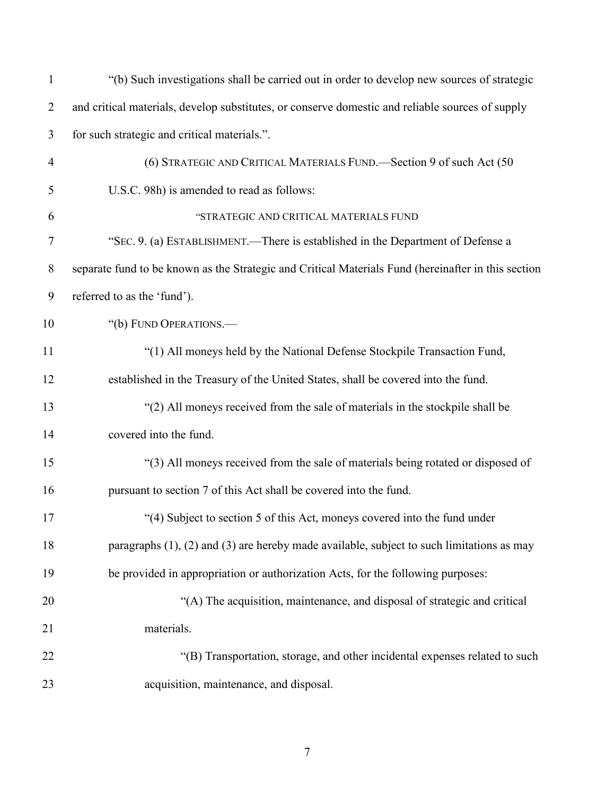| $\mathbf{1}$   | "(b) Such investigations shall be carried out in order to develop new sources of strategic          |
|----------------|-----------------------------------------------------------------------------------------------------|
| $\overline{2}$ | and critical materials, develop substitutes, or conserve domestic and reliable sources of supply    |
| 3              | for such strategic and critical materials.".                                                        |
| $\overline{4}$ | (6) STRATEGIC AND CRITICAL MATERIALS FUND. Section 9 of such Act (50                                |
| 5              | U.S.C. 98h) is amended to read as follows:                                                          |
| 6              | "STRATEGIC AND CRITICAL MATERIALS FUND                                                              |
| 7              | "SEC. 9. (a) ESTABLISHMENT.—There is established in the Department of Defense a                     |
| $8\phantom{.}$ | separate fund to be known as the Strategic and Critical Materials Fund (hereinafter in this section |
| 9              | referred to as the 'fund').                                                                         |
| 10             | "(b) FUND OPERATIONS.-                                                                              |
| 11             | "(1) All moneys held by the National Defense Stockpile Transaction Fund,                            |
| 12             | established in the Treasury of the United States, shall be covered into the fund.                   |
| 13             | "(2) All moneys received from the sale of materials in the stockpile shall be                       |
| 14             | covered into the fund.                                                                              |
| 15             | "(3) All moneys received from the sale of materials being rotated or disposed of                    |
| 16             | pursuant to section 7 of this Act shall be covered into the fund.                                   |
| 17             | "(4) Subject to section 5 of this Act, moneys covered into the fund under                           |
| 18             | paragraphs $(1)$ , $(2)$ and $(3)$ are hereby made available, subject to such limitations as may    |
| 19             | be provided in appropriation or authorization Acts, for the following purposes:                     |
| 20             | "(A) The acquisition, maintenance, and disposal of strategic and critical                           |
| 21             | materials.                                                                                          |
| 22             | "(B) Transportation, storage, and other incidental expenses related to such                         |
| 23             | acquisition, maintenance, and disposal.                                                             |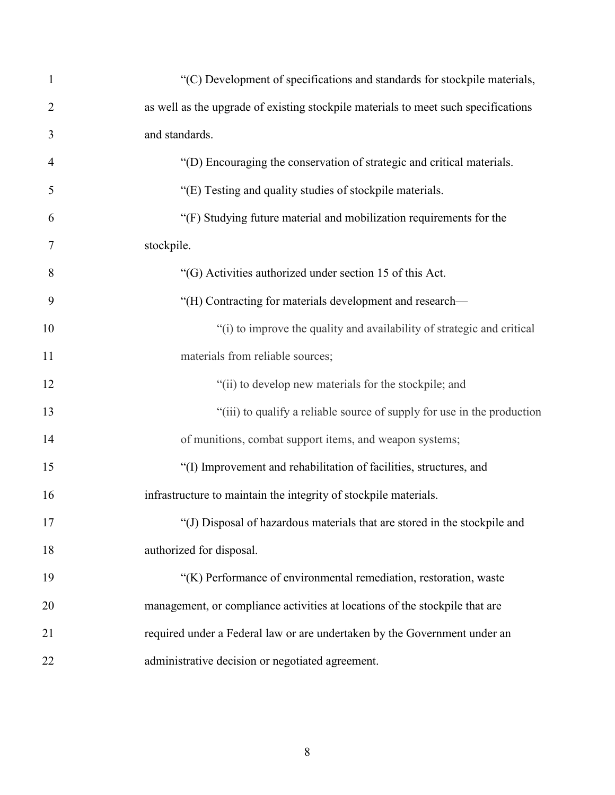| $\mathbf{1}$   | "(C) Development of specifications and standards for stockpile materials,          |
|----------------|------------------------------------------------------------------------------------|
| $\overline{2}$ | as well as the upgrade of existing stockpile materials to meet such specifications |
| 3              | and standards.                                                                     |
| $\overline{4}$ | "(D) Encouraging the conservation of strategic and critical materials.             |
| 5              | "(E) Testing and quality studies of stockpile materials.                           |
| 6              | "(F) Studying future material and mobilization requirements for the                |
| 7              | stockpile.                                                                         |
| 8              | "(G) Activities authorized under section 15 of this Act.                           |
| 9              | "(H) Contracting for materials development and research-                           |
| 10             | "(i) to improve the quality and availability of strategic and critical             |
| 11             | materials from reliable sources;                                                   |
| 12             | "(ii) to develop new materials for the stockpile; and                              |
| 13             | "(iii) to qualify a reliable source of supply for use in the production            |
| 14             | of munitions, combat support items, and weapon systems;                            |
| 15             | "(I) Improvement and rehabilitation of facilities, structures, and                 |
| 16             | infrastructure to maintain the integrity of stockpile materials.                   |
| 17             | "(J) Disposal of hazardous materials that are stored in the stockpile and          |
| 18             | authorized for disposal.                                                           |
| 19             | "(K) Performance of environmental remediation, restoration, waste                  |
| 20             | management, or compliance activities at locations of the stockpile that are        |
| 21             | required under a Federal law or are undertaken by the Government under an          |
| 22             | administrative decision or negotiated agreement.                                   |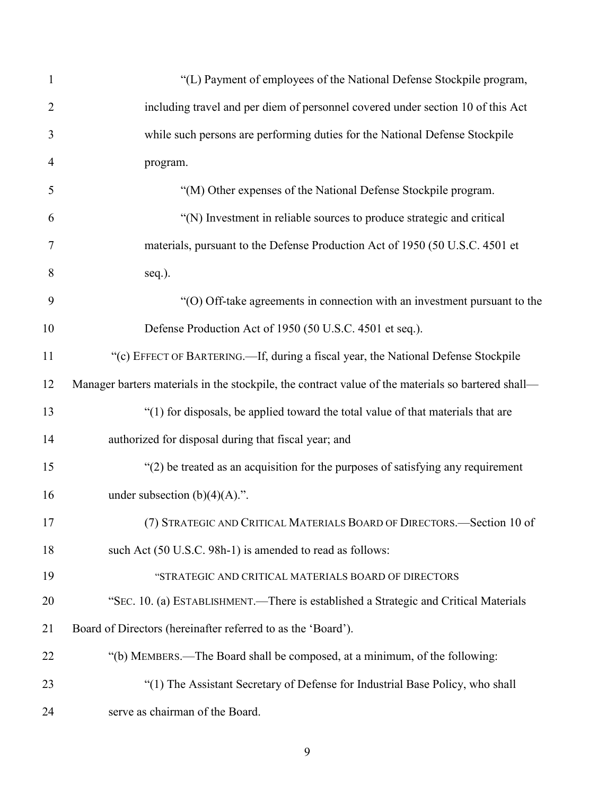| $\mathbf{1}$   | "(L) Payment of employees of the National Defense Stockpile program,                               |
|----------------|----------------------------------------------------------------------------------------------------|
| $\overline{2}$ | including travel and per diem of personnel covered under section 10 of this Act                    |
| 3              | while such persons are performing duties for the National Defense Stockpile                        |
| 4              | program.                                                                                           |
| 5              | "(M) Other expenses of the National Defense Stockpile program.                                     |
| 6              | "(N) Investment in reliable sources to produce strategic and critical                              |
| 7              | materials, pursuant to the Defense Production Act of 1950 (50 U.S.C. 4501 et                       |
| 8              | seq.).                                                                                             |
| 9              | "(O) Off-take agreements in connection with an investment pursuant to the                          |
| 10             | Defense Production Act of 1950 (50 U.S.C. 4501 et seq.).                                           |
| 11             | "(c) EFFECT OF BARTERING.—If, during a fiscal year, the National Defense Stockpile                 |
| 12             | Manager barters materials in the stockpile, the contract value of the materials so bartered shall- |
| 13             | "(1) for disposals, be applied toward the total value of that materials that are                   |
| 14             | authorized for disposal during that fiscal year; and                                               |
| 15             | "(2) be treated as an acquisition for the purposes of satisfying any requirement                   |
| 16             | under subsection $(b)(4)(A)$ .".                                                                   |
| 17             | (7) STRATEGIC AND CRITICAL MATERIALS BOARD OF DIRECTORS.-Section 10 of                             |
| 18             | such Act (50 U.S.C. 98h-1) is amended to read as follows:                                          |
| 19             | "STRATEGIC AND CRITICAL MATERIALS BOARD OF DIRECTORS                                               |
| 20             | "SEC. 10. (a) ESTABLISHMENT.—There is established a Strategic and Critical Materials               |
| 21             | Board of Directors (hereinafter referred to as the 'Board').                                       |
| 22             | "(b) MEMBERS.—The Board shall be composed, at a minimum, of the following:                         |
| 23             | "(1) The Assistant Secretary of Defense for Industrial Base Policy, who shall                      |
| 24             | serve as chairman of the Board.                                                                    |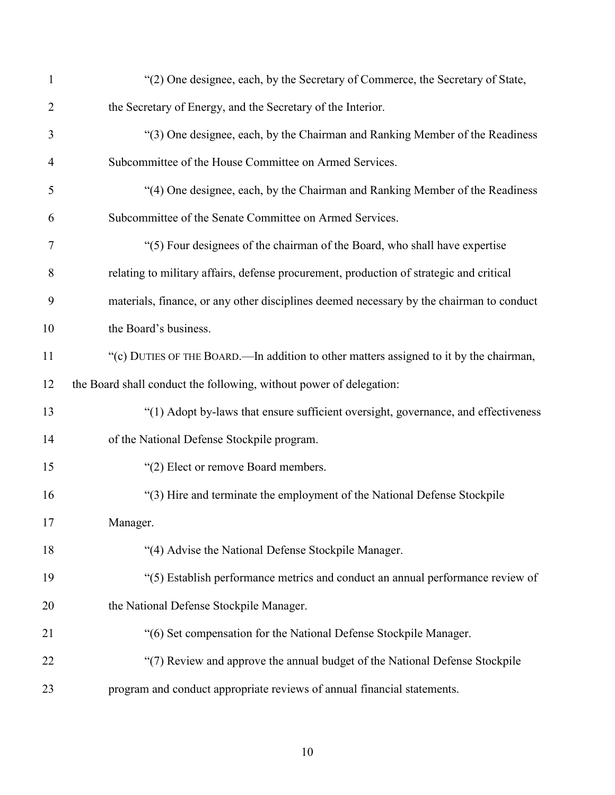| $\mathbf{1}$   | "(2) One designee, each, by the Secretary of Commerce, the Secretary of State,           |
|----------------|------------------------------------------------------------------------------------------|
| $\overline{2}$ | the Secretary of Energy, and the Secretary of the Interior.                              |
| 3              | "(3) One designee, each, by the Chairman and Ranking Member of the Readiness             |
| $\overline{4}$ | Subcommittee of the House Committee on Armed Services.                                   |
| 5              | "(4) One designee, each, by the Chairman and Ranking Member of the Readiness             |
| 6              | Subcommittee of the Senate Committee on Armed Services.                                  |
| 7              | "(5) Four designees of the chairman of the Board, who shall have expertise               |
| 8              | relating to military affairs, defense procurement, production of strategic and critical  |
| 9              | materials, finance, or any other disciplines deemed necessary by the chairman to conduct |
| 10             | the Board's business.                                                                    |
| 11             | "(c) DUTIES OF THE BOARD.—In addition to other matters assigned to it by the chairman,   |
| 12             | the Board shall conduct the following, without power of delegation:                      |
| 13             | "(1) Adopt by-laws that ensure sufficient oversight, governance, and effectiveness       |
| 14             | of the National Defense Stockpile program.                                               |
| 15             | "(2) Elect or remove Board members.                                                      |
| 16             | "(3) Hire and terminate the employment of the National Defense Stockpile                 |
| 17             | Manager.                                                                                 |
| 18             | "(4) Advise the National Defense Stockpile Manager.                                      |
| 19             | "(5) Establish performance metrics and conduct an annual performance review of           |
| 20             | the National Defense Stockpile Manager.                                                  |
| 21             | "(6) Set compensation for the National Defense Stockpile Manager.                        |
| 22             | "(7) Review and approve the annual budget of the National Defense Stockpile              |
| 23             | program and conduct appropriate reviews of annual financial statements.                  |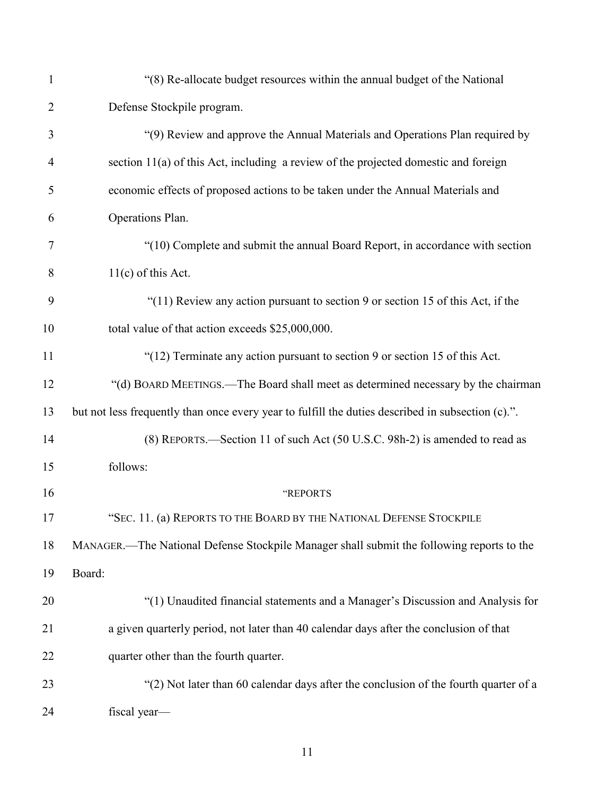| $\mathbf{1}$   | "(8) Re-allocate budget resources within the annual budget of the National                        |
|----------------|---------------------------------------------------------------------------------------------------|
| $\overline{2}$ | Defense Stockpile program.                                                                        |
| 3              | "(9) Review and approve the Annual Materials and Operations Plan required by                      |
| $\overline{4}$ | section 11(a) of this Act, including a review of the projected domestic and foreign               |
| 5              | economic effects of proposed actions to be taken under the Annual Materials and                   |
| 6              | Operations Plan.                                                                                  |
| 7              | "(10) Complete and submit the annual Board Report, in accordance with section                     |
| 8              | $11(c)$ of this Act.                                                                              |
| 9              | "(11) Review any action pursuant to section 9 or section 15 of this Act, if the                   |
| 10             | total value of that action exceeds \$25,000,000.                                                  |
| 11             | "(12) Terminate any action pursuant to section 9 or section 15 of this Act.                       |
| 12             | "(d) BOARD MEETINGS.—The Board shall meet as determined necessary by the chairman                 |
| 13             | but not less frequently than once every year to fulfill the duties described in subsection (c).". |
| 14             | (8) REPORTS.—Section 11 of such Act (50 U.S.C. 98h-2) is amended to read as                       |
| 15             | follows:                                                                                          |
| 16             | "REPORTS                                                                                          |
| 17             | "SEC. 11. (a) REPORTS TO THE BOARD BY THE NATIONAL DEFENSE STOCKPILE                              |
| 18             | MANAGER.—The National Defense Stockpile Manager shall submit the following reports to the         |
| 19             | Board:                                                                                            |
| 20             | "(1) Unaudited financial statements and a Manager's Discussion and Analysis for                   |
| 21             | a given quarterly period, not later than 40 calendar days after the conclusion of that            |
| 22             | quarter other than the fourth quarter.                                                            |
| 23             | "(2) Not later than 60 calendar days after the conclusion of the fourth quarter of a              |
| 24             | fiscal year-                                                                                      |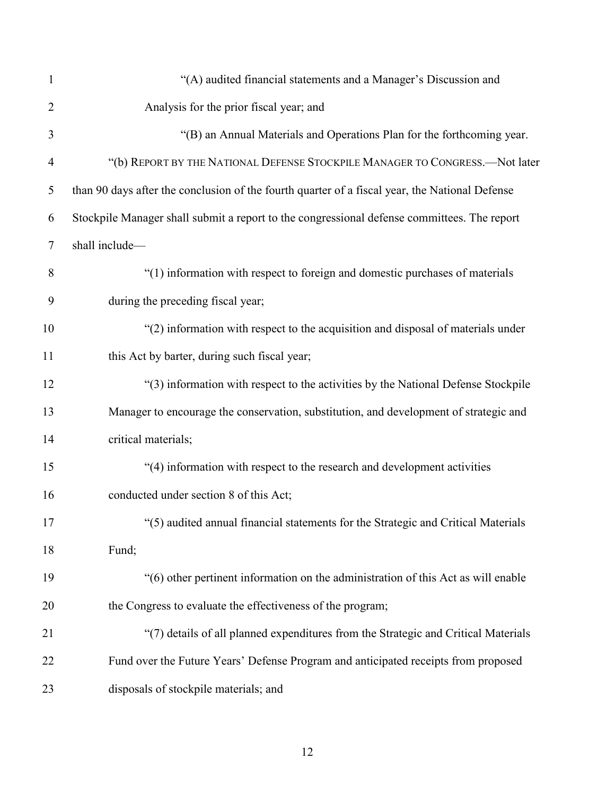| $\mathbf{1}$   | "(A) audited financial statements and a Manager's Discussion and                               |
|----------------|------------------------------------------------------------------------------------------------|
| $\overline{2}$ | Analysis for the prior fiscal year; and                                                        |
| 3              | "(B) an Annual Materials and Operations Plan for the forthcoming year.                         |
| $\overline{4}$ | "(b) REPORT BY THE NATIONAL DEFENSE STOCKPILE MANAGER TO CONGRESS.—Not later                   |
| 5              | than 90 days after the conclusion of the fourth quarter of a fiscal year, the National Defense |
| 6              | Stockpile Manager shall submit a report to the congressional defense committees. The report    |
| $\tau$         | shall include-                                                                                 |
| 8              | "(1) information with respect to foreign and domestic purchases of materials                   |
| 9              | during the preceding fiscal year;                                                              |
| 10             | "(2) information with respect to the acquisition and disposal of materials under               |
| 11             | this Act by barter, during such fiscal year;                                                   |
| 12             | "(3) information with respect to the activities by the National Defense Stockpile              |
| 13             | Manager to encourage the conservation, substitution, and development of strategic and          |
| 14             | critical materials;                                                                            |
| 15             | "(4) information with respect to the research and development activities                       |
| 16             | conducted under section 8 of this Act;                                                         |
| 17             | "(5) audited annual financial statements for the Strategic and Critical Materials              |
| 18             | Fund;                                                                                          |
| 19             | "(6) other pertinent information on the administration of this Act as will enable              |
| 20             | the Congress to evaluate the effectiveness of the program;                                     |
| 21             | "(7) details of all planned expenditures from the Strategic and Critical Materials             |
| 22             | Fund over the Future Years' Defense Program and anticipated receipts from proposed             |
| 23             | disposals of stockpile materials; and                                                          |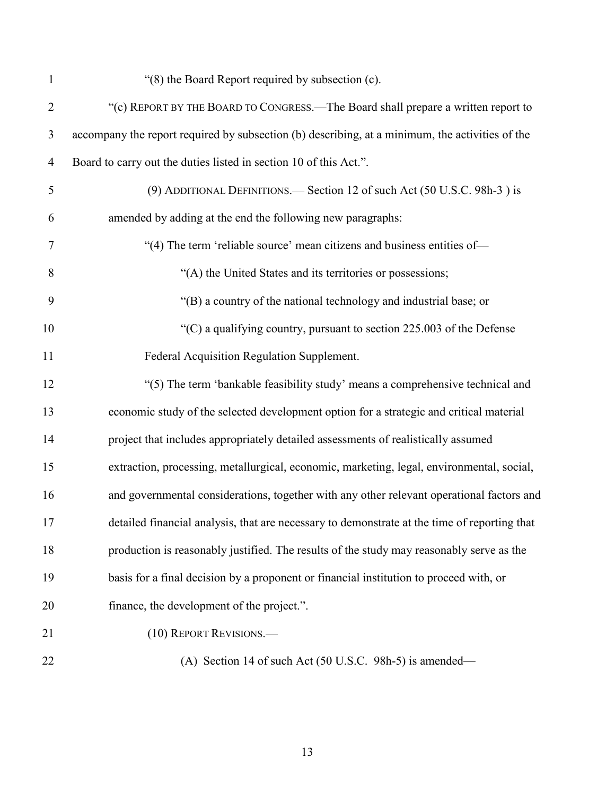| $\mathbf{1}$   | "(8) the Board Report required by subsection (c).                                               |
|----------------|-------------------------------------------------------------------------------------------------|
| $\overline{2}$ | "(c) REPORT BY THE BOARD TO CONGRESS.—The Board shall prepare a written report to               |
| 3              | accompany the report required by subsection (b) describing, at a minimum, the activities of the |
| $\overline{4}$ | Board to carry out the duties listed in section 10 of this Act.".                               |
| $\mathfrak s$  | (9) ADDITIONAL DEFINITIONS.— Section 12 of such Act (50 U.S.C. 98h-3) is                        |
| 6              | amended by adding at the end the following new paragraphs:                                      |
| 7              | "(4) The term 'reliable source' mean citizens and business entities of—                         |
| 8              | "(A) the United States and its territories or possessions;                                      |
| 9              | "(B) a country of the national technology and industrial base; or                               |
| 10             | " $(C)$ a qualifying country, pursuant to section 225.003 of the Defense                        |
| 11             | Federal Acquisition Regulation Supplement.                                                      |
| 12             | "(5) The term 'bankable feasibility study' means a comprehensive technical and                  |
| 13             | economic study of the selected development option for a strategic and critical material         |
| 14             | project that includes appropriately detailed assessments of realistically assumed               |
| 15             | extraction, processing, metallurgical, economic, marketing, legal, environmental, social,       |
| 16             | and governmental considerations, together with any other relevant operational factors and       |
| 17             | detailed financial analysis, that are necessary to demonstrate at the time of reporting that    |
| 18             | production is reasonably justified. The results of the study may reasonably serve as the        |
| 19             | basis for a final decision by a proponent or financial institution to proceed with, or          |
| 20             | finance, the development of the project.".                                                      |
| 21             | (10) REPORT REVISIONS.-                                                                         |
| 22             | (A) Section 14 of such Act $(50 \text{ U.S.C. } 98h-5)$ is amended—                             |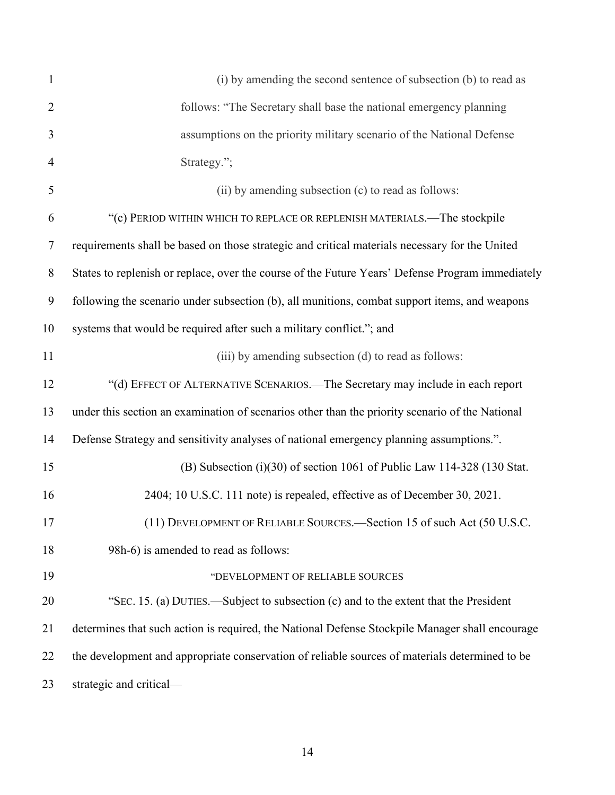| 1              | (i) by amending the second sentence of subsection (b) to read as                                 |
|----------------|--------------------------------------------------------------------------------------------------|
| $\overline{2}$ | follows: "The Secretary shall base the national emergency planning                               |
| 3              | assumptions on the priority military scenario of the National Defense                            |
| $\overline{4}$ | Strategy.";                                                                                      |
| 5              | (ii) by amending subsection (c) to read as follows:                                              |
| 6              | "(c) PERIOD WITHIN WHICH TO REPLACE OR REPLENISH MATERIALS.—The stockpile                        |
| $\overline{7}$ | requirements shall be based on those strategic and critical materials necessary for the United   |
| 8              | States to replenish or replace, over the course of the Future Years' Defense Program immediately |
| 9              | following the scenario under subsection (b), all munitions, combat support items, and weapons    |
| 10             | systems that would be required after such a military conflict."; and                             |
| 11             | (iii) by amending subsection (d) to read as follows:                                             |
| 12             | "(d) EFFECT OF ALTERNATIVE SCENARIOS.—The Secretary may include in each report                   |
| 13             | under this section an examination of scenarios other than the priority scenario of the National  |
| 14             | Defense Strategy and sensitivity analyses of national emergency planning assumptions.".          |
| 15             | (B) Subsection $(i)(30)$ of section 1061 of Public Law 114-328 (130 Stat.                        |
| 16             | 2404; 10 U.S.C. 111 note) is repealed, effective as of December 30, 2021.                        |
| 17             | (11) DEVELOPMENT OF RELIABLE SOURCES.-Section 15 of such Act (50 U.S.C.                          |
| 18             | 98h-6) is amended to read as follows:                                                            |
| 19             | "DEVELOPMENT OF RELIABLE SOURCES                                                                 |
| 20             | "SEC. 15. (a) DUTIES.—Subject to subsection (c) and to the extent that the President             |
| 21             | determines that such action is required, the National Defense Stockpile Manager shall encourage  |
| 22             | the development and appropriate conservation of reliable sources of materials determined to be   |
| 23             | strategic and critical-                                                                          |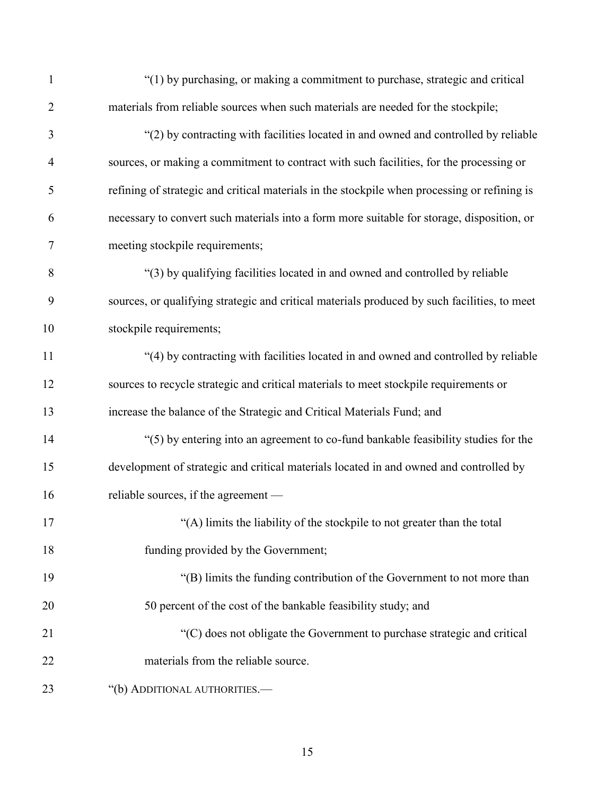| $\mathbf{1}$   | "(1) by purchasing, or making a commitment to purchase, strategic and critical               |
|----------------|----------------------------------------------------------------------------------------------|
| $\overline{2}$ | materials from reliable sources when such materials are needed for the stockpile;            |
| 3              | "(2) by contracting with facilities located in and owned and controlled by reliable          |
| $\overline{4}$ | sources, or making a commitment to contract with such facilities, for the processing or      |
| 5              | refining of strategic and critical materials in the stockpile when processing or refining is |
| 6              | necessary to convert such materials into a form more suitable for storage, disposition, or   |
| 7              | meeting stockpile requirements;                                                              |
| 8              | "(3) by qualifying facilities located in and owned and controlled by reliable                |
| 9              | sources, or qualifying strategic and critical materials produced by such facilities, to meet |
| 10             | stockpile requirements;                                                                      |
| 11             | "(4) by contracting with facilities located in and owned and controlled by reliable          |
| 12             | sources to recycle strategic and critical materials to meet stockpile requirements or        |
| 13             | increase the balance of the Strategic and Critical Materials Fund; and                       |
| 14             | "(5) by entering into an agreement to co-fund bankable feasibility studies for the           |
| 15             | development of strategic and critical materials located in and owned and controlled by       |
| 16             | reliable sources, if the agreement —                                                         |
| 17             | "(A) limits the liability of the stockpile to not greater than the total                     |
| 18             | funding provided by the Government;                                                          |
| 19             | "(B) limits the funding contribution of the Government to not more than                      |
| 20             | 50 percent of the cost of the bankable feasibility study; and                                |
| 21             | "(C) does not obligate the Government to purchase strategic and critical                     |
| 22             | materials from the reliable source.                                                          |
| 23             | "(b) ADDITIONAL AUTHORITIES.-                                                                |
|                |                                                                                              |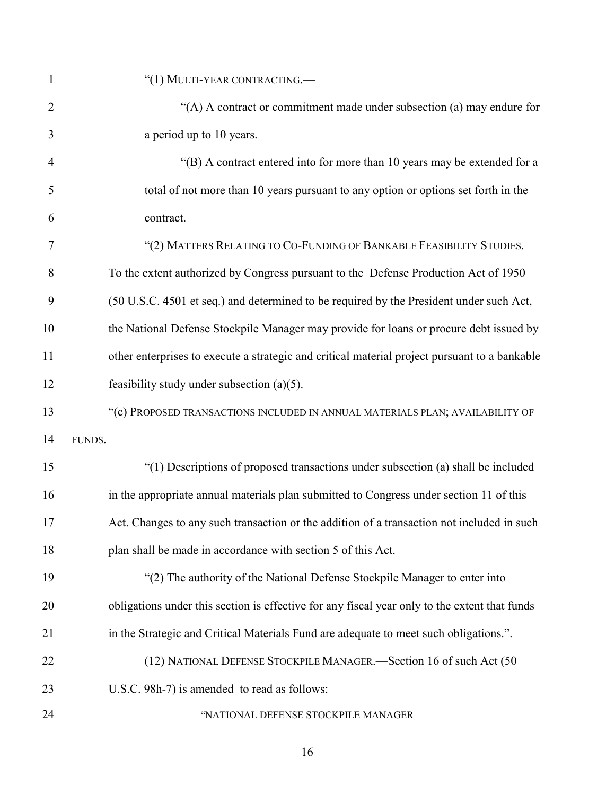| $\mathbf{1}$   | "(1) MULTI-YEAR CONTRACTING.—                                                                 |
|----------------|-----------------------------------------------------------------------------------------------|
| $\overline{2}$ | "(A) A contract or commitment made under subsection (a) may endure for                        |
| 3              | a period up to 10 years.                                                                      |
| $\overline{4}$ | "(B) A contract entered into for more than 10 years may be extended for a                     |
| 5              | total of not more than 10 years pursuant to any option or options set forth in the            |
| 6              | contract.                                                                                     |
| 7              | "(2) MATTERS RELATING TO CO-FUNDING OF BANKABLE FEASIBILITY STUDIES.-                         |
| 8              | To the extent authorized by Congress pursuant to the Defense Production Act of 1950           |
| 9              | (50 U.S.C. 4501 et seq.) and determined to be required by the President under such Act,       |
| 10             | the National Defense Stockpile Manager may provide for loans or procure debt issued by        |
| 11             | other enterprises to execute a strategic and critical material project pursuant to a bankable |
| 12             | feasibility study under subsection $(a)(5)$ .                                                 |
| 13             | "(c) PROPOSED TRANSACTIONS INCLUDED IN ANNUAL MATERIALS PLAN; AVAILABILITY OF                 |
| 14             | FUNDS.                                                                                        |
| 15             | "(1) Descriptions of proposed transactions under subsection (a) shall be included             |
| 16             | in the appropriate annual materials plan submitted to Congress under section 11 of this       |
| 17             | Act. Changes to any such transaction or the addition of a transaction not included in such    |
| 18             | plan shall be made in accordance with section 5 of this Act.                                  |
| 19             | "(2) The authority of the National Defense Stockpile Manager to enter into                    |
| 20             | obligations under this section is effective for any fiscal year only to the extent that funds |
| 21             | in the Strategic and Critical Materials Fund are adequate to meet such obligations.".         |
| 22             | (12) NATIONAL DEFENSE STOCKPILE MANAGER.—Section 16 of such Act (50                           |
| 23             | U.S.C. 98h-7) is amended to read as follows:                                                  |
| 24             | "NATIONAL DEFENSE STOCKPILE MANAGER                                                           |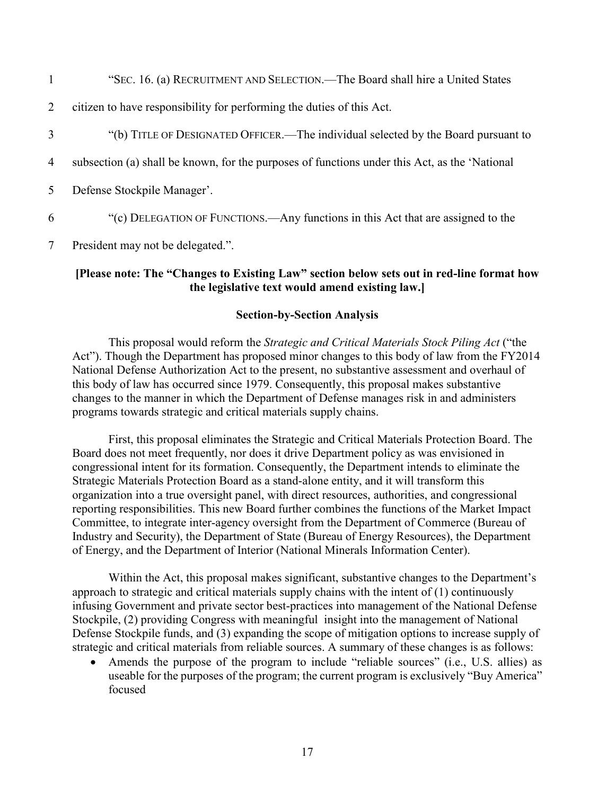"SEC. 16. (a) RECRUITMENT AND SELECTION.—The Board shall hire a United States citizen to have responsibility for performing the duties of this Act. "(b) TITLE OF DESIGNATED OFFICER.—The individual selected by the Board pursuant to subsection (a) shall be known, for the purposes of functions under this Act, as the 'National Defense Stockpile Manager'. "(c) DELEGATION OF FUNCTIONS.—Any functions in this Act that are assigned to the

7 President may not be delegated.".

# **[Please note: The "Changes to Existing Law" section below sets out in red-line format how the legislative text would amend existing law.]**

#### **Section-by-Section Analysis**

This proposal would reform the *Strategic and Critical Materials Stock Piling Act* ("the Act"). Though the Department has proposed minor changes to this body of law from the FY2014 National Defense Authorization Act to the present, no substantive assessment and overhaul of this body of law has occurred since 1979. Consequently, this proposal makes substantive changes to the manner in which the Department of Defense manages risk in and administers programs towards strategic and critical materials supply chains.

First, this proposal eliminates the Strategic and Critical Materials Protection Board. The Board does not meet frequently, nor does it drive Department policy as was envisioned in congressional intent for its formation. Consequently, the Department intends to eliminate the Strategic Materials Protection Board as a stand-alone entity, and it will transform this organization into a true oversight panel, with direct resources, authorities, and congressional reporting responsibilities. This new Board further combines the functions of the Market Impact Committee, to integrate inter-agency oversight from the Department of Commerce (Bureau of Industry and Security), the Department of State (Bureau of Energy Resources), the Department of Energy, and the Department of Interior (National Minerals Information Center).

Within the Act, this proposal makes significant, substantive changes to the Department's approach to strategic and critical materials supply chains with the intent of (1) continuously infusing Government and private sector best-practices into management of the National Defense Stockpile, (2) providing Congress with meaningful insight into the management of National Defense Stockpile funds, and (3) expanding the scope of mitigation options to increase supply of strategic and critical materials from reliable sources. A summary of these changes is as follows:

• Amends the purpose of the program to include "reliable sources" (i.e., U.S. allies) as useable for the purposes of the program; the current program is exclusively "Buy America" focused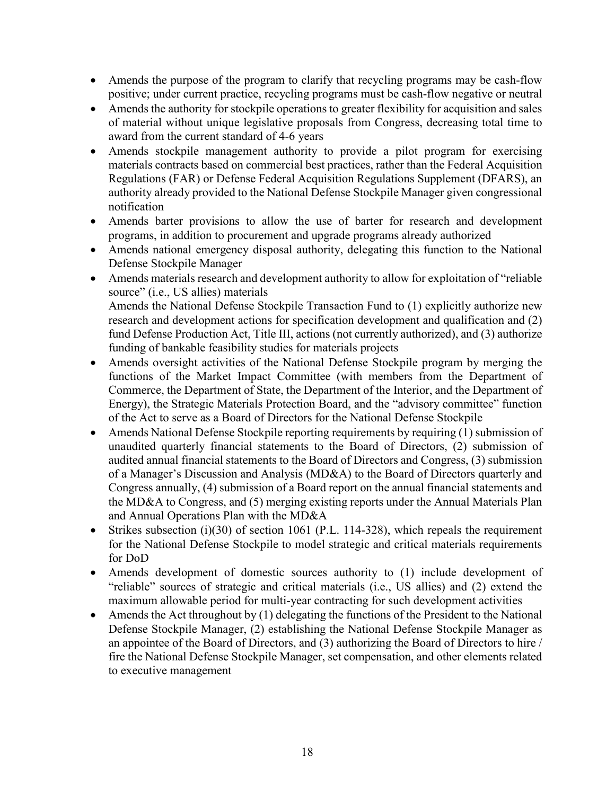- Amends the purpose of the program to clarify that recycling programs may be cash-flow positive; under current practice, recycling programs must be cash-flow negative or neutral
- Amends the authority for stockpile operations to greater flexibility for acquisition and sales of material without unique legislative proposals from Congress, decreasing total time to award from the current standard of 4-6 years
- Amends stockpile management authority to provide a pilot program for exercising materials contracts based on commercial best practices, rather than the Federal Acquisition Regulations (FAR) or Defense Federal Acquisition Regulations Supplement (DFARS), an authority already provided to the National Defense Stockpile Manager given congressional notification
- Amends barter provisions to allow the use of barter for research and development programs, in addition to procurement and upgrade programs already authorized
- Amends national emergency disposal authority, delegating this function to the National Defense Stockpile Manager
- Amends materials research and development authority to allow for exploitation of "reliable source" (i.e., US allies) materials Amends the National Defense Stockpile Transaction Fund to (1) explicitly authorize new research and development actions for specification development and qualification and (2) fund Defense Production Act, Title III, actions (not currently authorized), and (3) authorize funding of bankable feasibility studies for materials projects
- Amends oversight activities of the National Defense Stockpile program by merging the functions of the Market Impact Committee (with members from the Department of Commerce, the Department of State, the Department of the Interior, and the Department of Energy), the Strategic Materials Protection Board, and the "advisory committee" function of the Act to serve as a Board of Directors for the National Defense Stockpile
- Amends National Defense Stockpile reporting requirements by requiring (1) submission of unaudited quarterly financial statements to the Board of Directors, (2) submission of audited annual financial statements to the Board of Directors and Congress, (3) submission of a Manager's Discussion and Analysis (MD&A) to the Board of Directors quarterly and Congress annually, (4) submission of a Board report on the annual financial statements and the MD&A to Congress, and (5) merging existing reports under the Annual Materials Plan and Annual Operations Plan with the MD&A
- Strikes subsection (i)(30) of section 1061 (P.L. 114-328), which repeals the requirement for the National Defense Stockpile to model strategic and critical materials requirements for DoD
- Amends development of domestic sources authority to (1) include development of "reliable" sources of strategic and critical materials (i.e., US allies) and (2) extend the maximum allowable period for multi-year contracting for such development activities
- Amends the Act throughout by (1) delegating the functions of the President to the National Defense Stockpile Manager, (2) establishing the National Defense Stockpile Manager as an appointee of the Board of Directors, and (3) authorizing the Board of Directors to hire / fire the National Defense Stockpile Manager, set compensation, and other elements related to executive management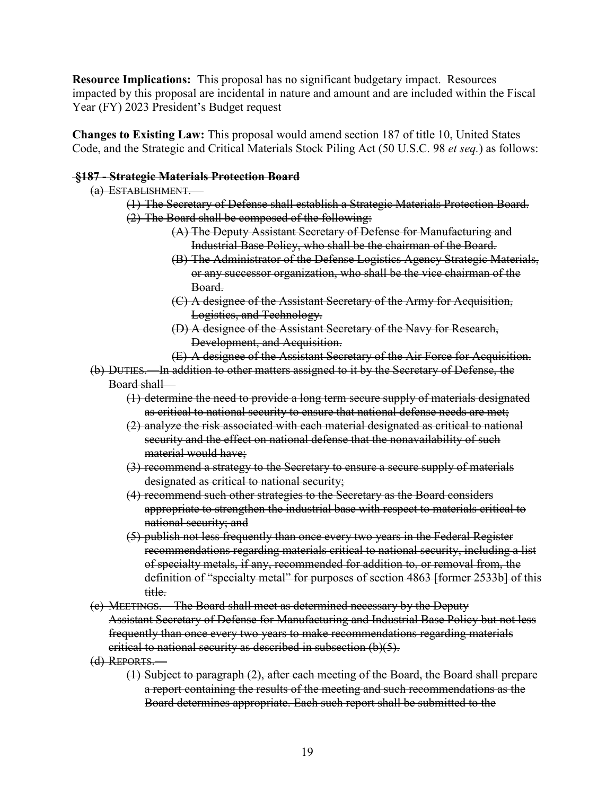**Resource Implications:** This proposal has no significant budgetary impact. Resources impacted by this proposal are incidental in nature and amount and are included within the Fiscal Year (FY) 2023 President's Budget request

**Changes to Existing Law:** This proposal would amend section 187 of title 10, United States Code, and the Strategic and Critical Materials Stock Piling Act (50 U.S.C. 98 *et seq.*) as follows:

## **§187 - Strategic Materials Protection Board**

## (a) ESTABLISHMENT.—

- (1) The Secretary of Defense shall establish a Strategic Materials Protection Board.
- (2) The Board shall be composed of the following:
	- (A) The Deputy Assistant Secretary of Defense for Manufacturing and Industrial Base Policy, who shall be the chairman of the Board.
	- (B) The Administrator of the Defense Logistics Agency Strategic Materials, or any successor organization, who shall be the vice chairman of the Board.
	- (C) A designee of the Assistant Secretary of the Army for Acquisition, Logistics, and Technology.
	- (D) A designee of the Assistant Secretary of the Navy for Research, Development, and Acquisition.
	- (E) A designee of the Assistant Secretary of the Air Force for Acquisition.
- (b) DUTIES.—In addition to other matters assigned to it by the Secretary of Defense, the Board shall—
	- (1) determine the need to provide a long term secure supply of materials designated as critical to national security to ensure that national defense needs are met;
	- (2) analyze the risk associated with each material designated as critical to national security and the effect on national defense that the nonavailability of such material would have;
	- (3) recommend a strategy to the Secretary to ensure a secure supply of materials designated as critical to national security;
	- (4) recommend such other strategies to the Secretary as the Board considers appropriate to strengthen the industrial base with respect to materials critical to national security; and
	- (5) publish not less frequently than once every two years in the Federal Register recommendations regarding materials critical to national security, including a list of specialty metals, if any, recommended for addition to, or removal from, the definition of "specialty metal" for purposes of section 4863 [former 2533b] of this title.
- (c) MEETINGS.—The Board shall meet as determined necessary by the Deputy Assistant Secretary of Defense for Manufacturing and Industrial Base Policy but not less frequently than once every two years to make recommendations regarding materials critical to national security as described in subsection (b)(5).
- (d) REPORTS.—
	- (1) Subject to paragraph (2), after each meeting of the Board, the Board shall prepare a report containing the results of the meeting and such recommendations as the Board determines appropriate. Each such report shall be submitted to the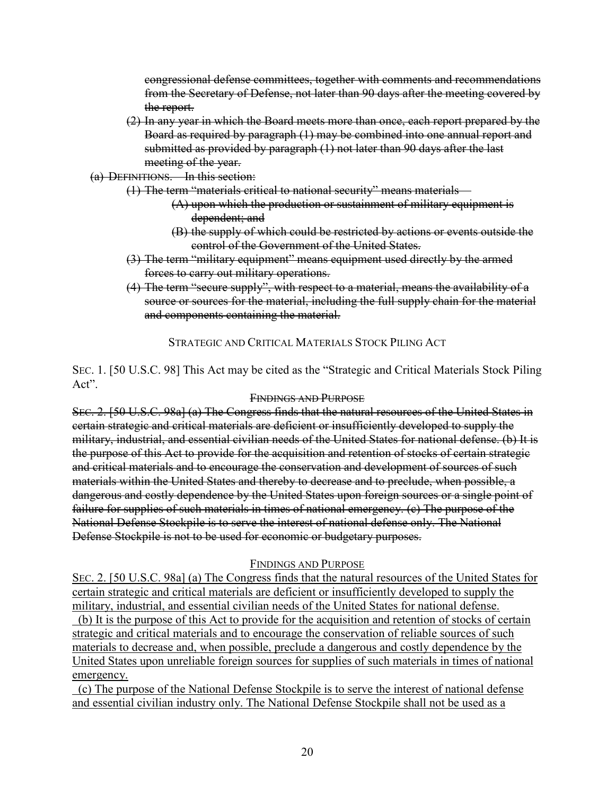congressional defense committees, together with comments and recommendations from the Secretary of Defense, not later than 90 days after the meeting covered by the report.

- (2) In any year in which the Board meets more than once, each report prepared by the Board as required by paragraph (1) may be combined into one annual report and submitted as provided by paragraph (1) not later than 90 days after the last meeting of the year.
- (a) DEFINITIONS.—In this section:
	- (1) The term "materials critical to national security" means materials—
		- (A) upon which the production or sustainment of military equipment is dependent; and
		- (B) the supply of which could be restricted by actions or events outside the control of the Government of the United States.
	- (3) The term "military equipment" means equipment used directly by the armed forces to carry out military operations.
	- (4) The term "secure supply", with respect to a material, means the availability of a source or sources for the material, including the full supply chain for the material and components containing the material.

STRATEGIC AND CRITICAL MATERIALS STOCK PILING ACT

SEC. 1. [50 U.S.C. 98] This Act may be cited as the "Strategic and Critical Materials Stock Piling Act".

#### FINDINGS AND PURPOSE

SEC. 2. [50 U.S.C. 98a] (a) The Congress finds that the natural resources of the United States in certain strategic and critical materials are deficient or insufficiently developed to supply the military, industrial, and essential civilian needs of the United States for national defense. (b) It is the purpose of this Act to provide for the acquisition and retention of stocks of certain strategic and critical materials and to encourage the conservation and development of sources of such materials within the United States and thereby to decrease and to preclude, when possible, a dangerous and costly dependence by the United States upon foreign sources or a single point of failure for supplies of such materials in times of national emergency. (c) The purpose of the National Defense Stockpile is to serve the interest of national defense only. The National Defense Stockpile is not to be used for economic or budgetary purposes.

#### FINDINGS AND PURPOSE

SEC. 2. [50 U.S.C. 98a] (a) The Congress finds that the natural resources of the United States for certain strategic and critical materials are deficient or insufficiently developed to supply the military, industrial, and essential civilian needs of the United States for national defense. (b) It is the purpose of this Act to provide for the acquisition and retention of stocks of certain strategic and critical materials and to encourage the conservation of reliable sources of such materials to decrease and, when possible, preclude a dangerous and costly dependence by the United States upon unreliable foreign sources for supplies of such materials in times of national emergency.

 (c) The purpose of the National Defense Stockpile is to serve the interest of national defense and essential civilian industry only. The National Defense Stockpile shall not be used as a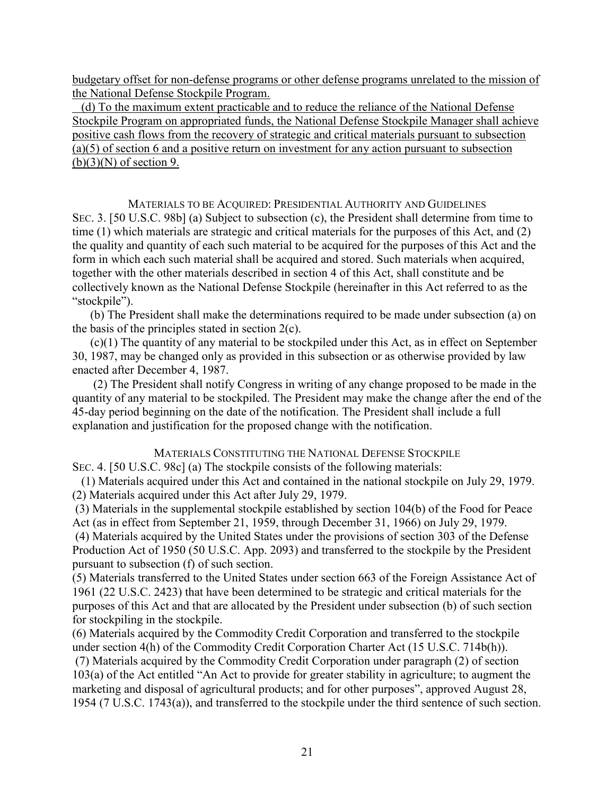budgetary offset for non-defense programs or other defense programs unrelated to the mission of the National Defense Stockpile Program.

 (d) To the maximum extent practicable and to reduce the reliance of the National Defense Stockpile Program on appropriated funds, the National Defense Stockpile Manager shall achieve positive cash flows from the recovery of strategic and critical materials pursuant to subsection (a)(5) of section 6 and a positive return on investment for any action pursuant to subsection  $(b)(3)(N)$  of section 9.

MATERIALS TO BE ACQUIRED: PRESIDENTIAL AUTHORITY AND GUIDELINES SEC. 3. [50 U.S.C. 98b] (a) Subject to subsection (c), the President shall determine from time to time (1) which materials are strategic and critical materials for the purposes of this Act, and (2) the quality and quantity of each such material to be acquired for the purposes of this Act and the form in which each such material shall be acquired and stored. Such materials when acquired, together with the other materials described in section 4 of this Act, shall constitute and be collectively known as the National Defense Stockpile (hereinafter in this Act referred to as the "stockpile").

 (b) The President shall make the determinations required to be made under subsection (a) on the basis of the principles stated in section  $2(c)$ .

 (c)(1) The quantity of any material to be stockpiled under this Act, as in effect on September 30, 1987, may be changed only as provided in this subsection or as otherwise provided by law enacted after December 4, 1987.

 (2) The President shall notify Congress in writing of any change proposed to be made in the quantity of any material to be stockpiled. The President may make the change after the end of the 45-day period beginning on the date of the notification. The President shall include a full explanation and justification for the proposed change with the notification.

## MATERIALS CONSTITUTING THE NATIONAL DEFENSE STOCKPILE

SEC. 4. [50 U.S.C. 98c] (a) The stockpile consists of the following materials:

 (1) Materials acquired under this Act and contained in the national stockpile on July 29, 1979. (2) Materials acquired under this Act after July 29, 1979.

(3) Materials in the supplemental stockpile established by section 104(b) of the Food for Peace Act (as in effect from September 21, 1959, through December 31, 1966) on July 29, 1979.

(4) Materials acquired by the United States under the provisions of section 303 of the Defense Production Act of 1950 (50 U.S.C. App. 2093) and transferred to the stockpile by the President pursuant to subsection (f) of such section.

(5) Materials transferred to the United States under section 663 of the Foreign Assistance Act of 1961 (22 U.S.C. 2423) that have been determined to be strategic and critical materials for the purposes of this Act and that are allocated by the President under subsection (b) of such section for stockpiling in the stockpile.

(6) Materials acquired by the Commodity Credit Corporation and transferred to the stockpile under section 4(h) of the Commodity Credit Corporation Charter Act (15 U.S.C. 714b(h)).

(7) Materials acquired by the Commodity Credit Corporation under paragraph (2) of section 103(a) of the Act entitled "An Act to provide for greater stability in agriculture; to augment the marketing and disposal of agricultural products; and for other purposes", approved August 28, 1954 (7 U.S.C. 1743(a)), and transferred to the stockpile under the third sentence of such section.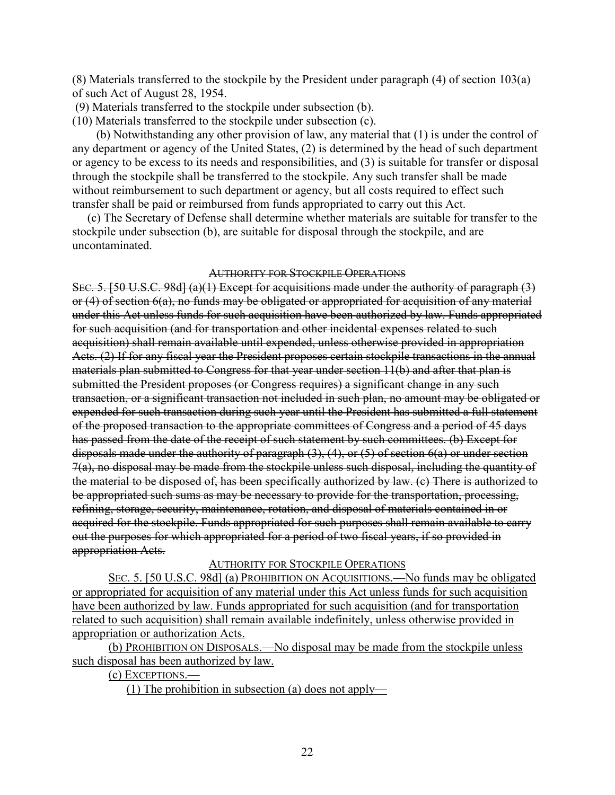(8) Materials transferred to the stockpile by the President under paragraph (4) of section 103(a) of such Act of August 28, 1954.

(9) Materials transferred to the stockpile under subsection (b).

(10) Materials transferred to the stockpile under subsection (c).

 (b) Notwithstanding any other provision of law, any material that (1) is under the control of any department or agency of the United States, (2) is determined by the head of such department or agency to be excess to its needs and responsibilities, and (3) is suitable for transfer or disposal through the stockpile shall be transferred to the stockpile. Any such transfer shall be made without reimbursement to such department or agency, but all costs required to effect such transfer shall be paid or reimbursed from funds appropriated to carry out this Act.

 (c) The Secretary of Defense shall determine whether materials are suitable for transfer to the stockpile under subsection (b), are suitable for disposal through the stockpile, and are uncontaminated.

## AUTHORITY FOR STOCKPILE OPERATIONS

SEC. 5. [50 U.S.C. 98d] (a)(1) Except for acquisitions made under the authority of paragraph (3) or (4) of section 6(a), no funds may be obligated or appropriated for acquisition of any material under this Act unless funds for such acquisition have been authorized by law. Funds appropriated for such acquisition (and for transportation and other incidental expenses related to such acquisition) shall remain available until expended, unless otherwise provided in appropriation Acts. (2) If for any fiscal year the President proposes certain stockpile transactions in the annual materials plan submitted to Congress for that year under section 11(b) and after that plan is submitted the President proposes (or Congress requires) a significant change in any such transaction, or a significant transaction not included in such plan, no amount may be obligated or expended for such transaction during such year until the President has submitted a full statement of the proposed transaction to the appropriate committees of Congress and a period of 45 days has passed from the date of the receipt of such statement by such committees. (b) Except for disposals made under the authority of paragraph  $(3)$ ,  $(4)$ , or  $(5)$  of section  $6(a)$  or under section 7(a), no disposal may be made from the stockpile unless such disposal, including the quantity of the material to be disposed of, has been specifically authorized by law. (c) There is authorized to be appropriated such sums as may be necessary to provide for the transportation, processing, refining, storage, security, maintenance, rotation, and disposal of materials contained in or acquired for the stockpile. Funds appropriated for such purposes shall remain available to carry out the purposes for which appropriated for a period of two fiscal years, if so provided in appropriation Acts.

## AUTHORITY FOR STOCKPILE OPERATIONS

SEC. 5. [50 U.S.C. 98d] (a) PROHIBITION ON ACQUISITIONS.—No funds may be obligated or appropriated for acquisition of any material under this Act unless funds for such acquisition have been authorized by law. Funds appropriated for such acquisition (and for transportation related to such acquisition) shall remain available indefinitely, unless otherwise provided in appropriation or authorization Acts.

(b) PROHIBITION ON DISPOSALS.—No disposal may be made from the stockpile unless such disposal has been authorized by law.

(c) EXCEPTIONS.—

(1) The prohibition in subsection (a) does not apply—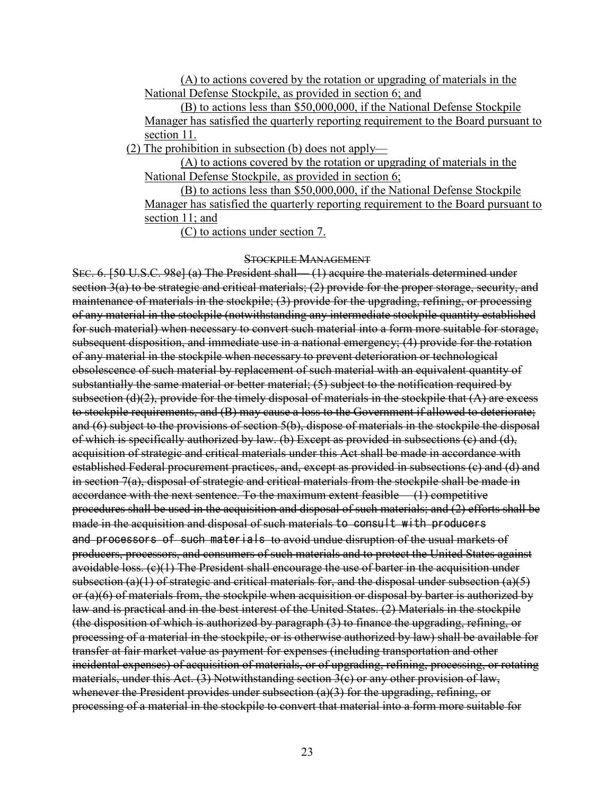(A) to actions covered by the rotation or upgrading of materials in the National Defense Stockpile, as provided in section 6; and

(B) to actions less than \$50,000,000, if the National Defense Stockpile Manager has satisfied the quarterly reporting requirement to the Board pursuant to section 11.

(2) The prohibition in subsection (b) does not apply—

(A) to actions covered by the rotation or upgrading of materials in the National Defense Stockpile, as provided in section 6;

(B) to actions less than \$50,000,000, if the National Defense Stockpile Manager has satisfied the quarterly reporting requirement to the Board pursuant to section 11; and

(C) to actions under section 7.

## STOCKPILE MANAGEMENT

SEC. 6. [50 U.S.C. 98e] (a) The President shall— (1) acquire the materials determined under section 3(a) to be strategic and critical materials; (2) provide for the proper storage, security, and maintenance of materials in the stockpile; (3) provide for the upgrading, refining, or processing of any material in the stockpile (notwithstanding any intermediate stockpile quantity established for such material) when necessary to convert such material into a form more suitable for storage, subsequent disposition, and immediate use in a national emergency; (4) provide for the rotation of any material in the stockpile when necessary to prevent deterioration or technological obsolescence of such material by replacement of such material with an equivalent quantity of substantially the same material or better material; (5) subject to the notification required by subsection  $(d)(2)$ , provide for the timely disposal of materials in the stockpile that  $(A)$  are excess to stockpile requirements, and (B) may cause a loss to the Government if allowed to deteriorate; and (6) subject to the provisions of section 5(b), dispose of materials in the stockpile the disposal of which is specifically authorized by law. (b) Except as provided in subsections (c) and (d), acquisition of strategic and critical materials under this Act shall be made in accordance with established Federal procurement practices, and, except as provided in subsections (c) and (d) and in section 7(a), disposal of strategic and critical materials from the stockpile shall be made in accordance with the next sentence. To the maximum extent feasible— (1) competitive procedures shall be used in the acquisition and disposal of such materials; and (2) efforts shall be made in the acquisition and disposal of such materials to consult with producers and processors of such materials to avoid undue disruption of the usual markets of producers, processors, and consumers of such materials and to protect the United States against avoidable loss.  $(e)(1)$  The President shall encourage the use of barter in the acquisition under subsection (a)(1) of strategic and critical materials for, and the disposal under subsection (a)(5) or (a)(6) of materials from, the stockpile when acquisition or disposal by barter is authorized by law and is practical and in the best interest of the United States. (2) Materials in the stockpile (the disposition of which is authorized by paragraph (3) to finance the upgrading, refining, or processing of a material in the stockpile, or is otherwise authorized by law) shall be available for transfer at fair market value as payment for expenses (including transportation and other incidental expenses) of acquisition of materials, or of upgrading, refining, processing, or rotating materials, under this Act. (3) Notwithstanding section 3(c) or any other provision of law, whenever the President provides under subsection (a)(3) for the upgrading, refining, or processing of a material in the stockpile to convert that material into a form more suitable for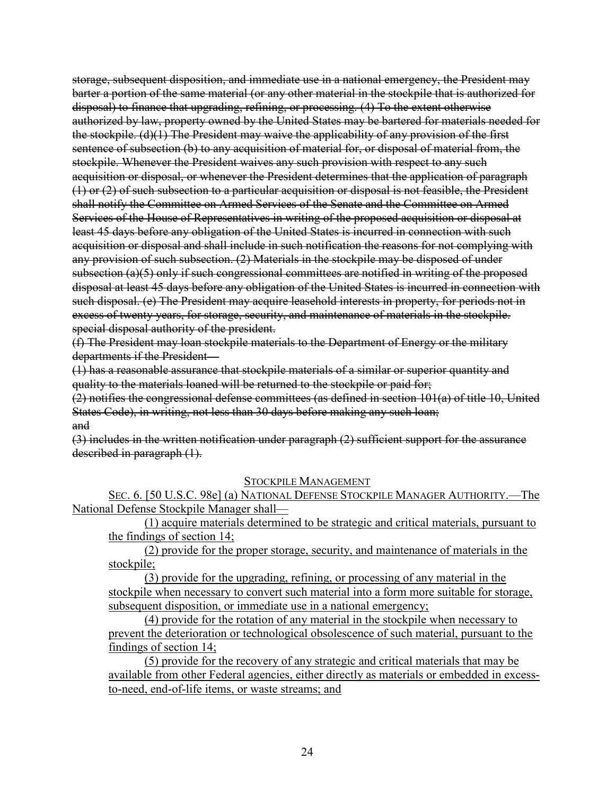storage, subsequent disposition, and immediate use in a national emergency, the President may barter a portion of the same material (or any other material in the stockpile that is authorized for disposal) to finance that upgrading, refining, or processing. (4) To the extent otherwise authorized by law, property owned by the United States may be bartered for materials needed for the stockpile. (d)(1) The President may waive the applicability of any provision of the first sentence of subsection (b) to any acquisition of material for, or disposal of material from, the stockpile. Whenever the President waives any such provision with respect to any such acquisition or disposal, or whenever the President determines that the application of paragraph (1) or (2) of such subsection to a particular acquisition or disposal is not feasible, the President shall notify the Committee on Armed Services of the Senate and the Committee on Armed Services of the House of Representatives in writing of the proposed acquisition or disposal at least 45 days before any obligation of the United States is incurred in connection with such acquisition or disposal and shall include in such notification the reasons for not complying with any provision of such subsection. (2) Materials in the stockpile may be disposed of under subsection (a)(5) only if such congressional committees are notified in writing of the proposed disposal at least 45 days before any obligation of the United States is incurred in connection with such disposal. (e) The President may acquire leasehold interests in property, for periods not in excess of twenty years, for storage, security, and maintenance of materials in the stockpile. special disposal authority of the president.

(f) The President may loan stockpile materials to the Department of Energy or the military departments if the President—

(1) has a reasonable assurance that stockpile materials of a similar or superior quantity and quality to the materials loaned will be returned to the stockpile or paid for;

(2) notifies the congressional defense committees (as defined in section 101(a) of title 10, United States Code), in writing, not less than 30 days before making any such loan; and

(3) includes in the written notification under paragraph (2) sufficient support for the assurance described in paragraph  $(1)$ .

## STOCKPILE MANAGEMENT

SEC. 6. [50 U.S.C. 98e] (a) NATIONAL DEFENSE STOCKPILE MANAGER AUTHORITY.—The National Defense Stockpile Manager shall—

(1) acquire materials determined to be strategic and critical materials, pursuant to the findings of section 14;

(2) provide for the proper storage, security, and maintenance of materials in the stockpile;

(3) provide for the upgrading, refining, or processing of any material in the stockpile when necessary to convert such material into a form more suitable for storage, subsequent disposition, or immediate use in a national emergency;

(4) provide for the rotation of any material in the stockpile when necessary to prevent the deterioration or technological obsolescence of such material, pursuant to the findings of section 14;

(5) provide for the recovery of any strategic and critical materials that may be available from other Federal agencies, either directly as materials or embedded in excessto-need, end-of-life items, or waste streams; and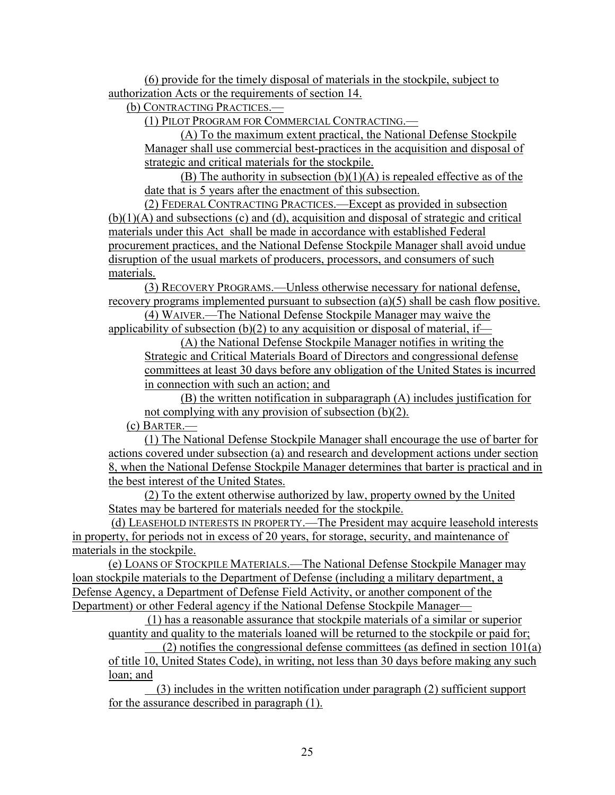(6) provide for the timely disposal of materials in the stockpile, subject to authorization Acts or the requirements of section 14.

(b) CONTRACTING PRACTICES.—

(1) PILOT PROGRAM FOR COMMERCIAL CONTRACTING.—

(A) To the maximum extent practical, the National Defense Stockpile Manager shall use commercial best-practices in the acquisition and disposal of strategic and critical materials for the stockpile.

(B) The authority in subsection  $(b)(1)(A)$  is repealed effective as of the date that is 5 years after the enactment of this subsection.

(2) FEDERAL CONTRACTING PRACTICES.—Except as provided in subsection (b)(1)(A) and subsections (c) and (d), acquisition and disposal of strategic and critical materials under this Act shall be made in accordance with established Federal procurement practices, and the National Defense Stockpile Manager shall avoid undue disruption of the usual markets of producers, processors, and consumers of such materials.

(3) RECOVERY PROGRAMS.—Unless otherwise necessary for national defense, recovery programs implemented pursuant to subsection (a)(5) shall be cash flow positive.

(4) WAIVER.—The National Defense Stockpile Manager may waive the applicability of subsection  $(b)(2)$  to any acquisition or disposal of material, if—

(A) the National Defense Stockpile Manager notifies in writing the Strategic and Critical Materials Board of Directors and congressional defense committees at least 30 days before any obligation of the United States is incurred in connection with such an action; and

(B) the written notification in subparagraph (A) includes justification for not complying with any provision of subsection (b)(2).

(c) BARTER.—

(1) The National Defense Stockpile Manager shall encourage the use of barter for actions covered under subsection (a) and research and development actions under section 8, when the National Defense Stockpile Manager determines that barter is practical and in the best interest of the United States.

(2) To the extent otherwise authorized by law, property owned by the United States may be bartered for materials needed for the stockpile.

(d) LEASEHOLD INTERESTS IN PROPERTY.—The President may acquire leasehold interests in property, for periods not in excess of 20 years, for storage, security, and maintenance of materials in the stockpile.

(e) LOANS OF STOCKPILE MATERIALS.—The National Defense Stockpile Manager may loan stockpile materials to the Department of Defense (including a military department, a Defense Agency, a Department of Defense Field Activity, or another component of the Department) or other Federal agency if the National Defense Stockpile Manager—

(1) has a reasonable assurance that stockpile materials of a similar or superior quantity and quality to the materials loaned will be returned to the stockpile or paid for;

(2) notifies the congressional defense committees (as defined in section  $101(a)$ of title 10, United States Code), in writing, not less than 30 days before making any such loan; and

 (3) includes in the written notification under paragraph (2) sufficient support for the assurance described in paragraph (1).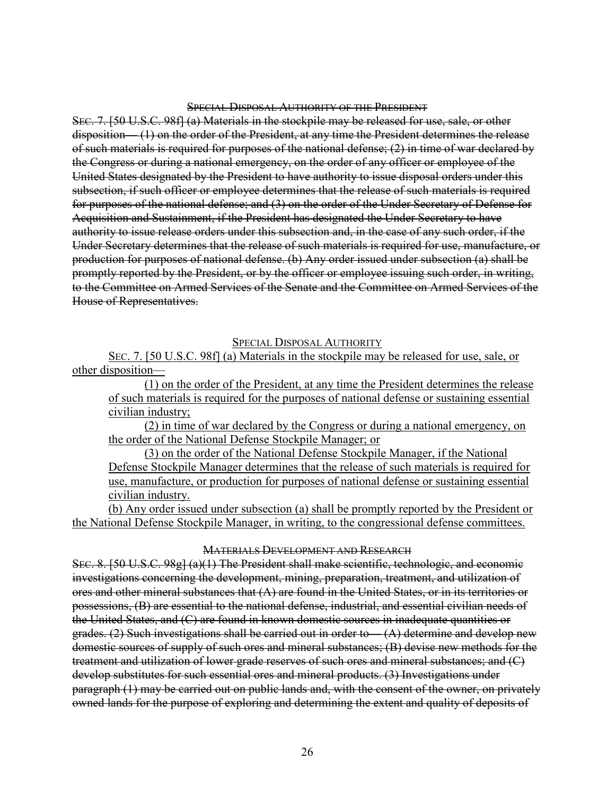#### SPECIAL DISPOSAL AUTHORITY OF THE PRESIDENT

SEC. 7. [50 U.S.C. 98f] (a) Materials in the stockpile may be released for use, sale, or other disposition— (1) on the order of the President, at any time the President determines the release of such materials is required for purposes of the national defense; (2) in time of war declared by the Congress or during a national emergency, on the order of any officer or employee of the United States designated by the President to have authority to issue disposal orders under this subsection, if such officer or employee determines that the release of such materials is required for purposes of the national defense; and (3) on the order of the Under Secretary of Defense for Acquisition and Sustainment, if the President has designated the Under Secretary to have authority to issue release orders under this subsection and, in the case of any such order, if the Under Secretary determines that the release of such materials is required for use, manufacture, or production for purposes of national defense. (b) Any order issued under subsection (a) shall be promptly reported by the President, or by the officer or employee issuing such order, in writing, to the Committee on Armed Services of the Senate and the Committee on Armed Services of the House of Representatives.

## SPECIAL DISPOSAL AUTHORITY

SEC. 7. [50 U.S.C. 98f] (a) Materials in the stockpile may be released for use, sale, or other disposition—

(1) on the order of the President, at any time the President determines the release of such materials is required for the purposes of national defense or sustaining essential civilian industry;

(2) in time of war declared by the Congress or during a national emergency, on the order of the National Defense Stockpile Manager; or

(3) on the order of the National Defense Stockpile Manager, if the National Defense Stockpile Manager determines that the release of such materials is required for use, manufacture, or production for purposes of national defense or sustaining essential civilian industry.

(b) Any order issued under subsection (a) shall be promptly reported by the President or the National Defense Stockpile Manager, in writing, to the congressional defense committees.

#### MATERIALS DEVELOPMENT AND RESEARCH

SEC. 8. [50 U.S.C. 98g] (a)(1) The President shall make scientific, technologic, and economic investigations concerning the development, mining, preparation, treatment, and utilization of ores and other mineral substances that (A) are found in the United States, or in its territories or possessions, (B) are essential to the national defense, industrial, and essential civilian needs of the United States, and (C) are found in known domestic sources in inadequate quantities or grades. (2) Such investigations shall be carried out in order to— $(A)$  determine and develop new domestic sources of supply of such ores and mineral substances; (B) devise new methods for the treatment and utilization of lower grade reserves of such ores and mineral substances; and (C) develop substitutes for such essential ores and mineral products. (3) Investigations under paragraph (1) may be carried out on public lands and, with the consent of the owner, on privately owned lands for the purpose of exploring and determining the extent and quality of deposits of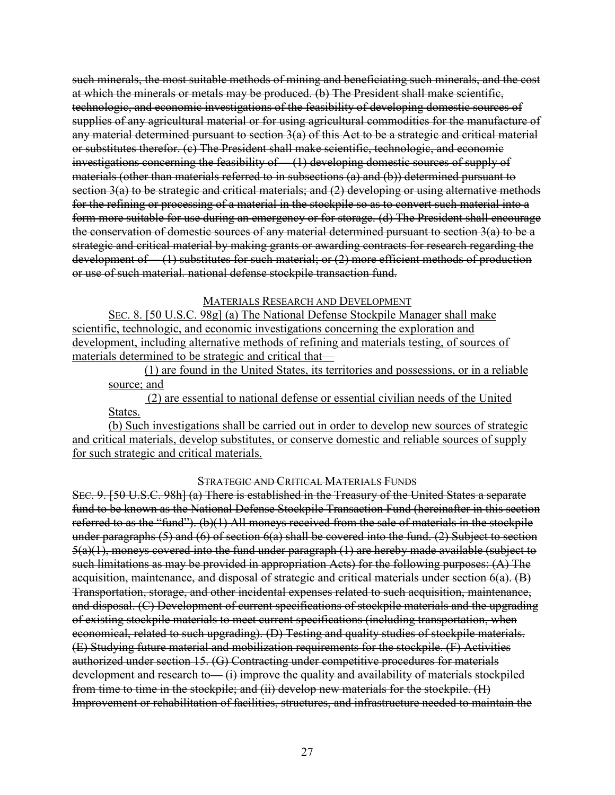such minerals, the most suitable methods of mining and beneficiating such minerals, and the cost at which the minerals or metals may be produced. (b) The President shall make scientific, technologic, and economic investigations of the feasibility of developing domestic sources of supplies of any agricultural material or for using agricultural commodities for the manufacture of any material determined pursuant to section 3(a) of this Act to be a strategic and critical material or substitutes therefor. (c) The President shall make scientific, technologic, and economic investigations concerning the feasibility of— (1) developing domestic sources of supply of materials (other than materials referred to in subsections (a) and (b)) determined pursuant to section 3(a) to be strategic and critical materials; and (2) developing or using alternative methods for the refining or processing of a material in the stockpile so as to convert such material into a form more suitable for use during an emergency or for storage. (d) The President shall encourage the conservation of domestic sources of any material determined pursuant to section 3(a) to be a strategic and critical material by making grants or awarding contracts for research regarding the development of  $(1)$  substitutes for such material; or (2) more efficient methods of production or use of such material. national defense stockpile transaction fund.

MATERIALS RESEARCH AND DEVELOPMENT

SEC. 8. [50 U.S.C. 98g] (a) The National Defense Stockpile Manager shall make scientific, technologic, and economic investigations concerning the exploration and development, including alternative methods of refining and materials testing, of sources of materials determined to be strategic and critical that—

(1) are found in the United States, its territories and possessions, or in a reliable source; and

(2) are essential to national defense or essential civilian needs of the United States.

(b) Such investigations shall be carried out in order to develop new sources of strategic and critical materials, develop substitutes, or conserve domestic and reliable sources of supply for such strategic and critical materials.

STRATEGIC AND CRITICAL MATERIALS FUNDS

SEC. 9. [50 U.S.C. 98h] (a) There is established in the Treasury of the United States a separate fund to be known as the National Defense Stockpile Transaction Fund (hereinafter in this section referred to as the "fund"). (b)(1) All moneys received from the sale of materials in the stockpile under paragraphs (5) and (6) of section 6(a) shall be covered into the fund. (2) Subject to section 5(a)(1), moneys covered into the fund under paragraph (1) are hereby made available (subject to such limitations as may be provided in appropriation Acts) for the following purposes: (A) The acquisition, maintenance, and disposal of strategic and critical materials under section 6(a). (B) Transportation, storage, and other incidental expenses related to such acquisition, maintenance, and disposal. (C) Development of current specifications of stockpile materials and the upgrading of existing stockpile materials to meet current specifications (including transportation, when economical, related to such upgrading). (D) Testing and quality studies of stockpile materials. (E) Studying future material and mobilization requirements for the stockpile. (F) Activities authorized under section 15. (G) Contracting under competitive procedures for materials development and research to — (i) improve the quality and availability of materials stockpiled from time to time in the stockpile; and (ii) develop new materials for the stockpile. (H) Improvement or rehabilitation of facilities, structures, and infrastructure needed to maintain the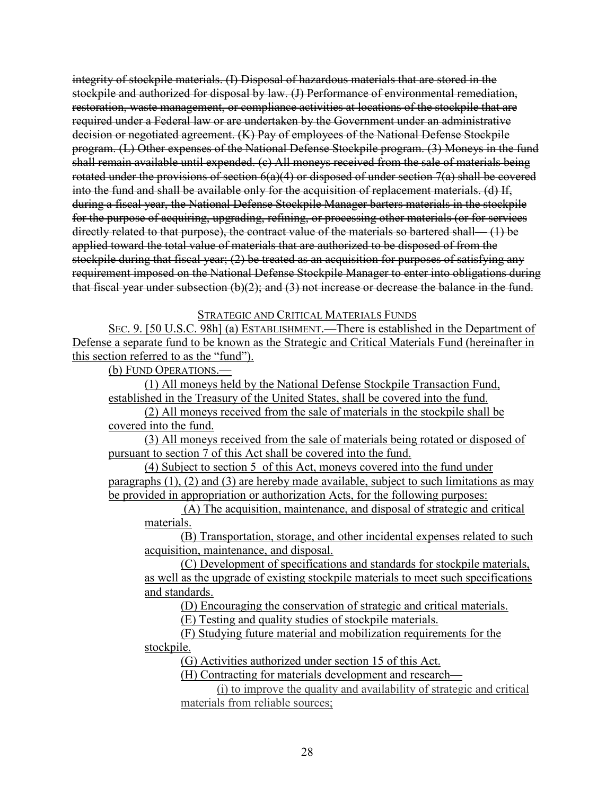integrity of stockpile materials. (I) Disposal of hazardous materials that are stored in the stockpile and authorized for disposal by law. (J) Performance of environmental remediation, restoration, waste management, or compliance activities at locations of the stockpile that are required under a Federal law or are undertaken by the Government under an administrative decision or negotiated agreement. (K) Pay of employees of the National Defense Stockpile program. (L) Other expenses of the National Defense Stockpile program. (3) Moneys in the fund shall remain available until expended. (c) All moneys received from the sale of materials being rotated under the provisions of section  $6(a)(4)$  or disposed of under section  $7(a)$  shall be covered into the fund and shall be available only for the acquisition of replacement materials. (d) If, during a fiscal year, the National Defense Stockpile Manager barters materials in the stockpile for the purpose of acquiring, upgrading, refining, or processing other materials (or for services directly related to that purpose), the contract value of the materials so bartered shall— (1) be applied toward the total value of materials that are authorized to be disposed of from the stockpile during that fiscal year; (2) be treated as an acquisition for purposes of satisfying any requirement imposed on the National Defense Stockpile Manager to enter into obligations during that fiscal year under subsection  $(b)(2)$ ; and  $(3)$  not increase or decrease the balance in the fund.

## STRATEGIC AND CRITICAL MATERIALS FUNDS

SEC. 9. [50 U.S.C. 98h] (a) ESTABLISHMENT.—There is established in the Department of Defense a separate fund to be known as the Strategic and Critical Materials Fund (hereinafter in this section referred to as the "fund").

(b) FUND OPERATIONS.—

(1) All moneys held by the National Defense Stockpile Transaction Fund, established in the Treasury of the United States, shall be covered into the fund.

(2) All moneys received from the sale of materials in the stockpile shall be covered into the fund.

(3) All moneys received from the sale of materials being rotated or disposed of pursuant to section 7 of this Act shall be covered into the fund.

(4) Subject to section 5 of this Act, moneys covered into the fund under paragraphs (1), (2) and (3) are hereby made available, subject to such limitations as may be provided in appropriation or authorization Acts, for the following purposes:

(A) The acquisition, maintenance, and disposal of strategic and critical materials.

(B) Transportation, storage, and other incidental expenses related to such acquisition, maintenance, and disposal.

(C) Development of specifications and standards for stockpile materials, as well as the upgrade of existing stockpile materials to meet such specifications and standards.

(D) Encouraging the conservation of strategic and critical materials.

(E) Testing and quality studies of stockpile materials.

(F) Studying future material and mobilization requirements for the stockpile.

(G) Activities authorized under section 15 of this Act.

(H) Contracting for materials development and research—

(i) to improve the quality and availability of strategic and critical materials from reliable sources;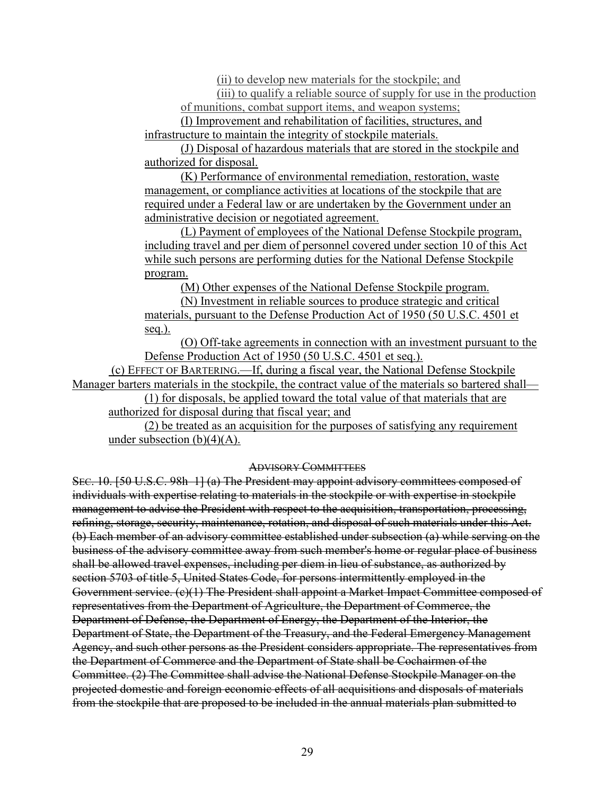(ii) to develop new materials for the stockpile; and

(iii) to qualify a reliable source of supply for use in the production of munitions, combat support items, and weapon systems;

(I) Improvement and rehabilitation of facilities, structures, and infrastructure to maintain the integrity of stockpile materials.

(J) Disposal of hazardous materials that are stored in the stockpile and authorized for disposal.

(K) Performance of environmental remediation, restoration, waste management, or compliance activities at locations of the stockpile that are required under a Federal law or are undertaken by the Government under an administrative decision or negotiated agreement.

(L) Payment of employees of the National Defense Stockpile program, including travel and per diem of personnel covered under section 10 of this Act while such persons are performing duties for the National Defense Stockpile program.

(M) Other expenses of the National Defense Stockpile program.

(N) Investment in reliable sources to produce strategic and critical materials, pursuant to the Defense Production Act of 1950 (50 U.S.C. 4501 et seq.).

(O) Off-take agreements in connection with an investment pursuant to the Defense Production Act of 1950 (50 U.S.C. 4501 et seq.).

(c) EFFECT OF BARTERING.—If, during a fiscal year, the National Defense Stockpile Manager barters materials in the stockpile, the contract value of the materials so bartered shall—

(1) for disposals, be applied toward the total value of that materials that are authorized for disposal during that fiscal year; and

(2) be treated as an acquisition for the purposes of satisfying any requirement under subsection  $(b)(4)(A)$ .

#### ADVISORY COMMITTEES

SEC. 10. [50 U.S.C. 98h–1] (a) The President may appoint advisory committees composed of individuals with expertise relating to materials in the stockpile or with expertise in stockpile management to advise the President with respect to the acquisition, transportation, processing, refining, storage, security, maintenance, rotation, and disposal of such materials under this Act. (b) Each member of an advisory committee established under subsection (a) while serving on the business of the advisory committee away from such member's home or regular place of business shall be allowed travel expenses, including per diem in lieu of substance, as authorized by section 5703 of title 5, United States Code, for persons intermittently employed in the Government service. (c)(1) The President shall appoint a Market Impact Committee composed of representatives from the Department of Agriculture, the Department of Commerce, the Department of Defense, the Department of Energy, the Department of the Interior, the Department of State, the Department of the Treasury, and the Federal Emergency Management Agency, and such other persons as the President considers appropriate. The representatives from the Department of Commerce and the Department of State shall be Cochairmen of the Committee. (2) The Committee shall advise the National Defense Stockpile Manager on the projected domestic and foreign economic effects of all acquisitions and disposals of materials from the stockpile that are proposed to be included in the annual materials plan submitted to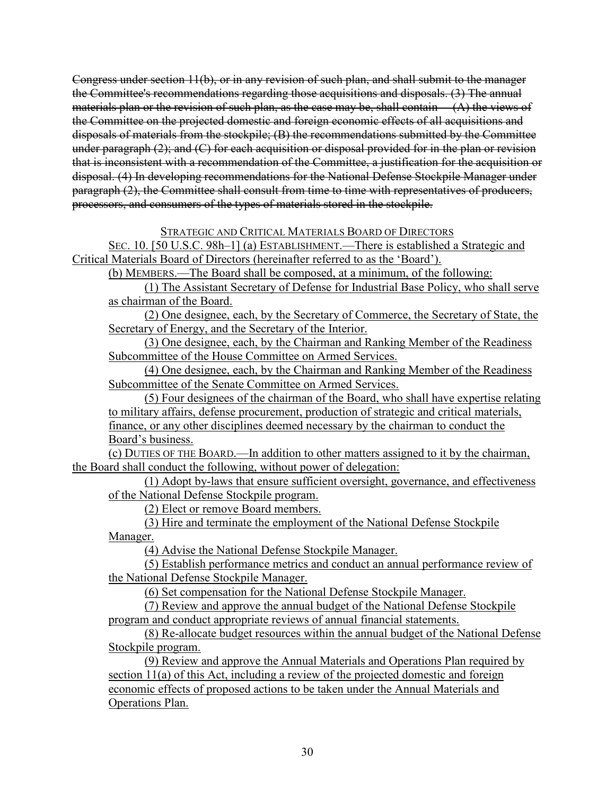Congress under section 11(b), or in any revision of such plan, and shall submit to the manager the Committee's recommendations regarding those acquisitions and disposals. (3) The annual materials plan or the revision of such plan, as the case may be, shall contain  $(A)$  the views of the Committee on the projected domestic and foreign economic effects of all acquisitions and disposals of materials from the stockpile; (B) the recommendations submitted by the Committee under paragraph (2); and (C) for each acquisition or disposal provided for in the plan or revision that is inconsistent with a recommendation of the Committee, a justification for the acquisition or disposal. (4) In developing recommendations for the National Defense Stockpile Manager under paragraph (2), the Committee shall consult from time to time with representatives of producers, processors, and consumers of the types of materials stored in the stockpile.

## STRATEGIC AND CRITICAL MATERIALS BOARD OF DIRECTORS

SEC. 10. [50 U.S.C. 98h–1] (a) ESTABLISHMENT.—There is established a Strategic and Critical Materials Board of Directors (hereinafter referred to as the 'Board').

(b) MEMBERS.—The Board shall be composed, at a minimum, of the following:

(1) The Assistant Secretary of Defense for Industrial Base Policy, who shall serve as chairman of the Board.

(2) One designee, each, by the Secretary of Commerce, the Secretary of State, the Secretary of Energy, and the Secretary of the Interior.

(3) One designee, each, by the Chairman and Ranking Member of the Readiness Subcommittee of the House Committee on Armed Services.

(4) One designee, each, by the Chairman and Ranking Member of the Readiness Subcommittee of the Senate Committee on Armed Services.

(5) Four designees of the chairman of the Board, who shall have expertise relating to military affairs, defense procurement, production of strategic and critical materials, finance, or any other disciplines deemed necessary by the chairman to conduct the Board's business.

(c) DUTIES OF THE BOARD.—In addition to other matters assigned to it by the chairman, the Board shall conduct the following, without power of delegation:

(1) Adopt by-laws that ensure sufficient oversight, governance, and effectiveness of the National Defense Stockpile program.

(2) Elect or remove Board members.

(3) Hire and terminate the employment of the National Defense Stockpile Manager.

(4) Advise the National Defense Stockpile Manager.

(5) Establish performance metrics and conduct an annual performance review of the National Defense Stockpile Manager.

(6) Set compensation for the National Defense Stockpile Manager.

(7) Review and approve the annual budget of the National Defense Stockpile program and conduct appropriate reviews of annual financial statements.

(8) Re-allocate budget resources within the annual budget of the National Defense Stockpile program.

(9) Review and approve the Annual Materials and Operations Plan required by section 11(a) of this Act, including a review of the projected domestic and foreign economic effects of proposed actions to be taken under the Annual Materials and Operations Plan.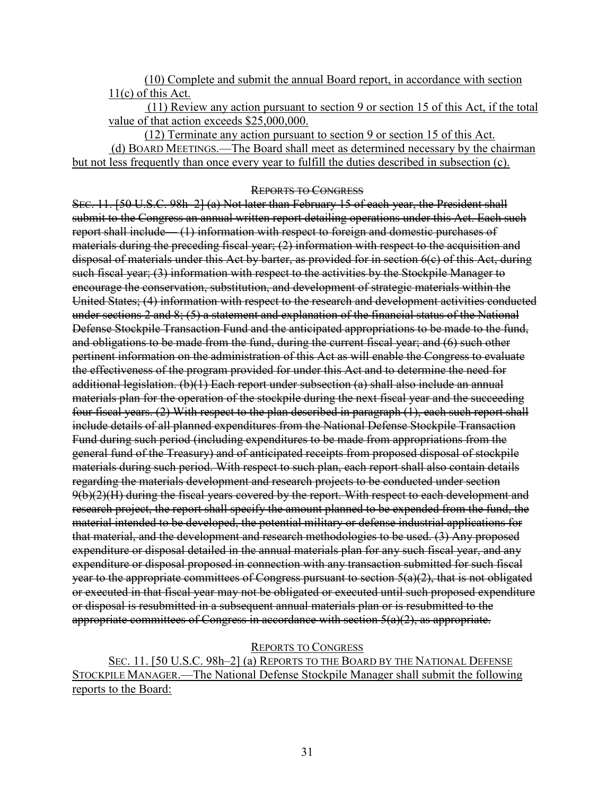(10) Complete and submit the annual Board report, in accordance with section 11(c) of this Act.

(11) Review any action pursuant to section 9 or section 15 of this Act, if the total value of that action exceeds \$25,000,000.

(12) Terminate any action pursuant to section 9 or section 15 of this Act. (d) BOARD MEETINGS.—The Board shall meet as determined necessary by the chairman but not less frequently than once every year to fulfill the duties described in subsection (c).

#### REPORTS TO CONGRESS

SEC. 11. [50 U.S.C. 98h–2] (a) Not later than February 15 of each year, the President shall submit to the Congress an annual written report detailing operations under this Act. Each such report shall include— (1) information with respect to foreign and domestic purchases of materials during the preceding fiscal year; (2) information with respect to the acquisition and disposal of materials under this Act by barter, as provided for in section 6(c) of this Act, during such fiscal year; (3) information with respect to the activities by the Stockpile Manager to encourage the conservation, substitution, and development of strategic materials within the United States; (4) information with respect to the research and development activities conducted under sections 2 and 8; (5) a statement and explanation of the financial status of the National Defense Stockpile Transaction Fund and the anticipated appropriations to be made to the fund, and obligations to be made from the fund, during the current fiscal year; and (6) such other pertinent information on the administration of this Act as will enable the Congress to evaluate the effectiveness of the program provided for under this Act and to determine the need for additional legislation. (b)(1) Each report under subsection (a) shall also include an annual materials plan for the operation of the stockpile during the next fiscal year and the succeeding four fiscal years. (2) With respect to the plan described in paragraph (1), each such report shall include details of all planned expenditures from the National Defense Stockpile Transaction Fund during such period (including expenditures to be made from appropriations from the general fund of the Treasury) and of anticipated receipts from proposed disposal of stockpile materials during such period. With respect to such plan, each report shall also contain details regarding the materials development and research projects to be conducted under section 9(b)(2)(H) during the fiscal years covered by the report. With respect to each development and research project, the report shall specify the amount planned to be expended from the fund, the material intended to be developed, the potential military or defense industrial applications for that material, and the development and research methodologies to be used. (3) Any proposed expenditure or disposal detailed in the annual materials plan for any such fiscal year, and any expenditure or disposal proposed in connection with any transaction submitted for such fiscal year to the appropriate committees of Congress pursuant to section 5(a)(2), that is not obligated or executed in that fiscal year may not be obligated or executed until such proposed expenditure or disposal is resubmitted in a subsequent annual materials plan or is resubmitted to the appropriate committees of Congress in accordance with section 5(a)(2), as appropriate.

REPORTS TO CONGRESS

SEC. 11. [50 U.S.C. 98h–2] (a) REPORTS TO THE BOARD BY THE NATIONAL DEFENSE STOCKPILE MANAGER.—The National Defense Stockpile Manager shall submit the following reports to the Board: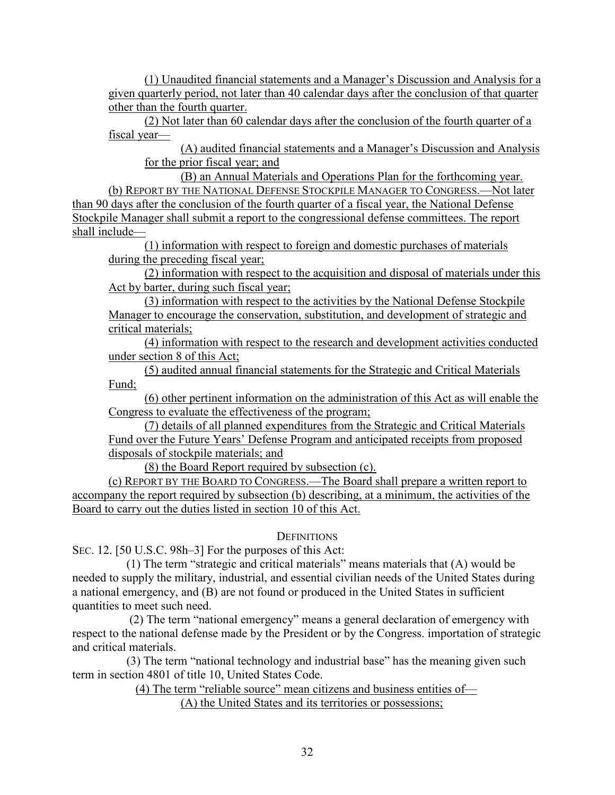(1) Unaudited financial statements and a Manager's Discussion and Analysis for a given quarterly period, not later than 40 calendar days after the conclusion of that quarter other than the fourth quarter.

(2) Not later than 60 calendar days after the conclusion of the fourth quarter of a fiscal year—

(A) audited financial statements and a Manager's Discussion and Analysis for the prior fiscal year; and

(B) an Annual Materials and Operations Plan for the forthcoming year. (b) REPORT BY THE NATIONAL DEFENSE STOCKPILE MANAGER TO CONGRESS.—Not later than 90 days after the conclusion of the fourth quarter of a fiscal year, the National Defense Stockpile Manager shall submit a report to the congressional defense committees. The report shall include—

(1) information with respect to foreign and domestic purchases of materials during the preceding fiscal year;

(2) information with respect to the acquisition and disposal of materials under this Act by barter, during such fiscal year;

(3) information with respect to the activities by the National Defense Stockpile Manager to encourage the conservation, substitution, and development of strategic and critical materials;

(4) information with respect to the research and development activities conducted under section 8 of this Act;

(5) audited annual financial statements for the Strategic and Critical Materials Fund;

(6) other pertinent information on the administration of this Act as will enable the Congress to evaluate the effectiveness of the program;

(7) details of all planned expenditures from the Strategic and Critical Materials Fund over the Future Years' Defense Program and anticipated receipts from proposed disposals of stockpile materials; and

(8) the Board Report required by subsection (c).

(c) REPORT BY THE BOARD TO CONGRESS.—The Board shall prepare a written report to accompany the report required by subsection (b) describing, at a minimum, the activities of the Board to carry out the duties listed in section 10 of this Act.

# **DEFINITIONS**

SEC. 12. [50 U.S.C. 98h–3] For the purposes of this Act:

 (1) The term "strategic and critical materials" means materials that (A) would be needed to supply the military, industrial, and essential civilian needs of the United States during a national emergency, and (B) are not found or produced in the United States in sufficient quantities to meet such need.

 (2) The term "national emergency" means a general declaration of emergency with respect to the national defense made by the President or by the Congress. importation of strategic and critical materials.

 (3) The term "national technology and industrial base" has the meaning given such term in section 4801 of title 10, United States Code.

(4) The term "reliable source" mean citizens and business entities of—

(A) the United States and its territories or possessions;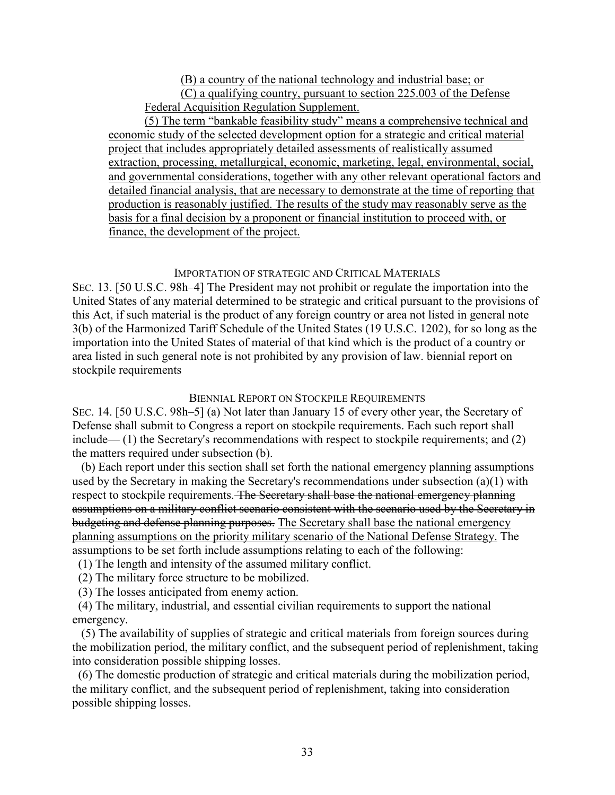(B) a country of the national technology and industrial base; or (C) a qualifying country, pursuant to section 225.003 of the Defense Federal Acquisition Regulation Supplement.

 (5) The term "bankable feasibility study" means a comprehensive technical and economic study of the selected development option for a strategic and critical material project that includes appropriately detailed assessments of realistically assumed extraction, processing, metallurgical, economic, marketing, legal, environmental, social, and governmental considerations, together with any other relevant operational factors and detailed financial analysis, that are necessary to demonstrate at the time of reporting that production is reasonably justified. The results of the study may reasonably serve as the basis for a final decision by a proponent or financial institution to proceed with, or finance, the development of the project.

## IMPORTATION OF STRATEGIC AND CRITICAL MATERIALS

SEC. 13. [50 U.S.C. 98h–4] The President may not prohibit or regulate the importation into the United States of any material determined to be strategic and critical pursuant to the provisions of this Act, if such material is the product of any foreign country or area not listed in general note 3(b) of the Harmonized Tariff Schedule of the United States (19 U.S.C. 1202), for so long as the importation into the United States of material of that kind which is the product of a country or area listed in such general note is not prohibited by any provision of law. biennial report on stockpile requirements

# BIENNIAL REPORT ON STOCKPILE REQUIREMENTS

SEC. 14. [50 U.S.C. 98h–5] (a) Not later than January 15 of every other year, the Secretary of Defense shall submit to Congress a report on stockpile requirements. Each such report shall include— (1) the Secretary's recommendations with respect to stockpile requirements; and (2) the matters required under subsection (b).

 (b) Each report under this section shall set forth the national emergency planning assumptions used by the Secretary in making the Secretary's recommendations under subsection (a)(1) with respect to stockpile requirements. The Secretary shall base the national emergency planning assumptions on a military conflict scenario consistent with the scenario used by the Secretary in budgeting and defense planning purposes. The Secretary shall base the national emergency planning assumptions on the priority military scenario of the National Defense Strategy. The assumptions to be set forth include assumptions relating to each of the following:

- (1) The length and intensity of the assumed military conflict.
- (2) The military force structure to be mobilized.
- (3) The losses anticipated from enemy action.

 (4) The military, industrial, and essential civilian requirements to support the national emergency.

 (5) The availability of supplies of strategic and critical materials from foreign sources during the mobilization period, the military conflict, and the subsequent period of replenishment, taking into consideration possible shipping losses.

 (6) The domestic production of strategic and critical materials during the mobilization period, the military conflict, and the subsequent period of replenishment, taking into consideration possible shipping losses.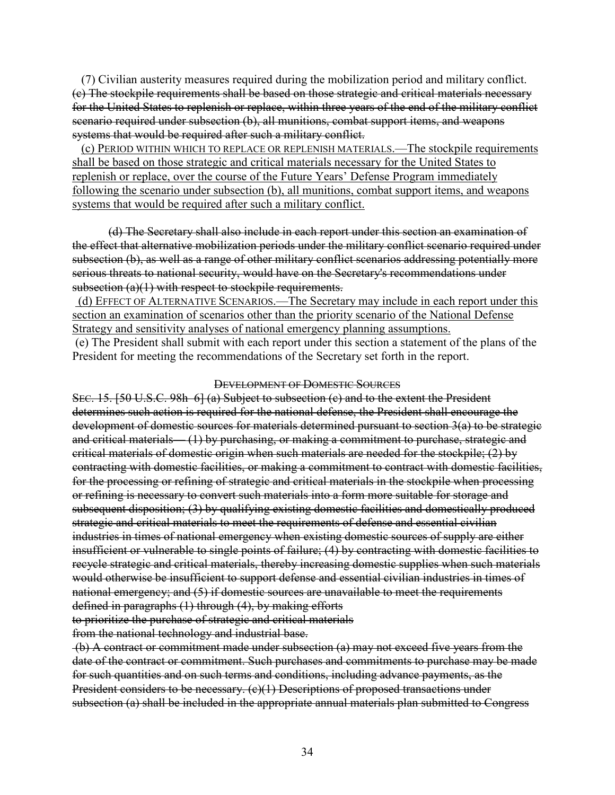(7) Civilian austerity measures required during the mobilization period and military conflict. (c) The stockpile requirements shall be based on those strategic and critical materials necessary for the United States to replenish or replace, within three years of the end of the military conflict scenario required under subsection (b), all munitions, combat support items, and weapons systems that would be required after such a military conflict.

 (c) PERIOD WITHIN WHICH TO REPLACE OR REPLENISH MATERIALS.—The stockpile requirements shall be based on those strategic and critical materials necessary for the United States to replenish or replace, over the course of the Future Years' Defense Program immediately following the scenario under subsection (b), all munitions, combat support items, and weapons systems that would be required after such a military conflict.

(d) The Secretary shall also include in each report under this section an examination of the effect that alternative mobilization periods under the military conflict scenario required under subsection (b), as well as a range of other military conflict scenarios addressing potentially more serious threats to national security, would have on the Secretary's recommendations under subsection (a)(1) with respect to stockpile requirements.

(d) EFFECT OF ALTERNATIVE SCENARIOS.—The Secretary may include in each report under this section an examination of scenarios other than the priority scenario of the National Defense Strategy and sensitivity analyses of national emergency planning assumptions.

(e) The President shall submit with each report under this section a statement of the plans of the President for meeting the recommendations of the Secretary set forth in the report.

## DEVELOPMENT OF DOMESTIC SOURCES

SEC. 15. [50 U.S.C. 98h–6] (a) Subject to subsection (c) and to the extent the President determines such action is required for the national defense, the President shall encourage the development of domestic sources for materials determined pursuant to section 3(a) to be strategic and critical materials— (1) by purchasing, or making a commitment to purchase, strategic and critical materials of domestic origin when such materials are needed for the stockpile; (2) by contracting with domestic facilities, or making a commitment to contract with domestic facilities, for the processing or refining of strategic and critical materials in the stockpile when processing or refining is necessary to convert such materials into a form more suitable for storage and subsequent disposition; (3) by qualifying existing domestic facilities and domestically produced strategic and critical materials to meet the requirements of defense and essential civilian industries in times of national emergency when existing domestic sources of supply are either insufficient or vulnerable to single points of failure; (4) by contracting with domestic facilities to recycle strategic and critical materials, thereby increasing domestic supplies when such materials would otherwise be insufficient to support defense and essential civilian industries in times of national emergency; and (5) if domestic sources are unavailable to meet the requirements defined in paragraphs (1) through (4), by making efforts to prioritize the purchase of strategic and critical materials

from the national technology and industrial base.

(b) A contract or commitment made under subsection (a) may not exceed five years from the date of the contract or commitment. Such purchases and commitments to purchase may be made for such quantities and on such terms and conditions, including advance payments, as the President considers to be necessary. (c)(1) Descriptions of proposed transactions under subsection (a) shall be included in the appropriate annual materials plan submitted to Congress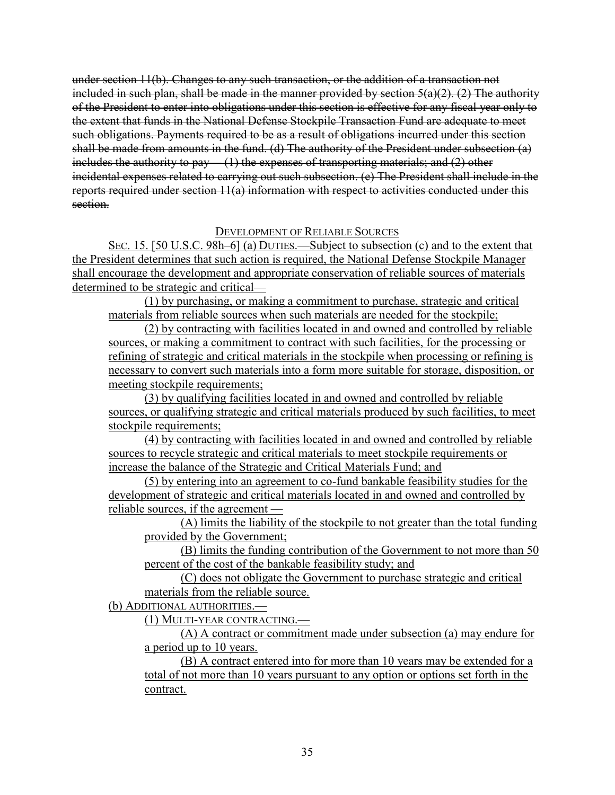under section 11(b). Changes to any such transaction, or the addition of a transaction not included in such plan, shall be made in the manner provided by section  $5(a)(2)$ . (2) The authority of the President to enter into obligations under this section is effective for any fiscal year only to the extent that funds in the National Defense Stockpile Transaction Fund are adequate to meet such obligations. Payments required to be as a result of obligations incurred under this section shall be made from amounts in the fund. (d) The authority of the President under subsection (a) includes the authority to pay— (1) the expenses of transporting materials; and (2) other incidental expenses related to carrying out such subsection. (e) The President shall include in the reports required under section 11(a) information with respect to activities conducted under this section.

## DEVELOPMENT OF RELIABLE SOURCES

SEC. 15. [50 U.S.C. 98h–6] (a) DUTIES.—Subject to subsection (c) and to the extent that the President determines that such action is required, the National Defense Stockpile Manager shall encourage the development and appropriate conservation of reliable sources of materials determined to be strategic and critical—

(1) by purchasing, or making a commitment to purchase, strategic and critical materials from reliable sources when such materials are needed for the stockpile;

(2) by contracting with facilities located in and owned and controlled by reliable sources, or making a commitment to contract with such facilities, for the processing or refining of strategic and critical materials in the stockpile when processing or refining is necessary to convert such materials into a form more suitable for storage, disposition, or meeting stockpile requirements;

(3) by qualifying facilities located in and owned and controlled by reliable sources, or qualifying strategic and critical materials produced by such facilities, to meet stockpile requirements;

(4) by contracting with facilities located in and owned and controlled by reliable sources to recycle strategic and critical materials to meet stockpile requirements or increase the balance of the Strategic and Critical Materials Fund; and

(5) by entering into an agreement to co-fund bankable feasibility studies for the development of strategic and critical materials located in and owned and controlled by reliable sources, if the agreement —

(A) limits the liability of the stockpile to not greater than the total funding provided by the Government;

(B) limits the funding contribution of the Government to not more than 50 percent of the cost of the bankable feasibility study; and

(C) does not obligate the Government to purchase strategic and critical materials from the reliable source.

(b) ADDITIONAL AUTHORITIES.—

(1) MULTI-YEAR CONTRACTING.—

(A) A contract or commitment made under subsection (a) may endure for a period up to 10 years.

(B) A contract entered into for more than 10 years may be extended for a total of not more than 10 years pursuant to any option or options set forth in the contract.